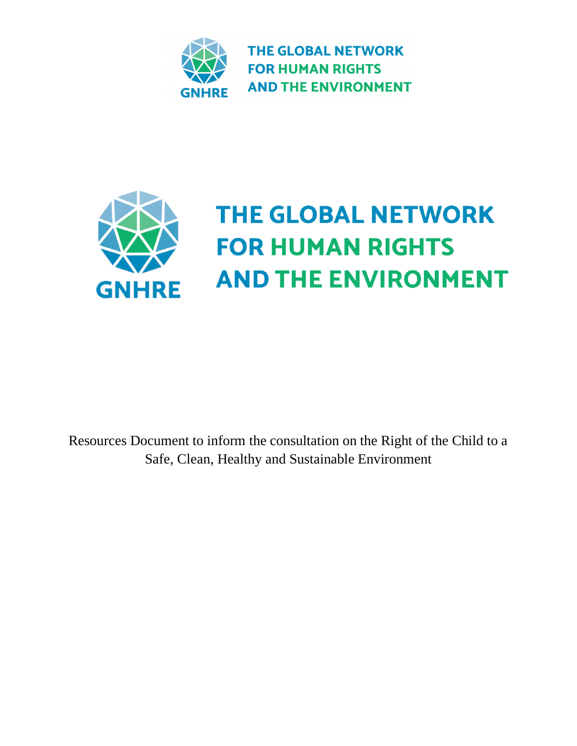



Resources Document to inform the consultation on the Right of the Child to a Safe, Clean, Healthy and Sustainable Environment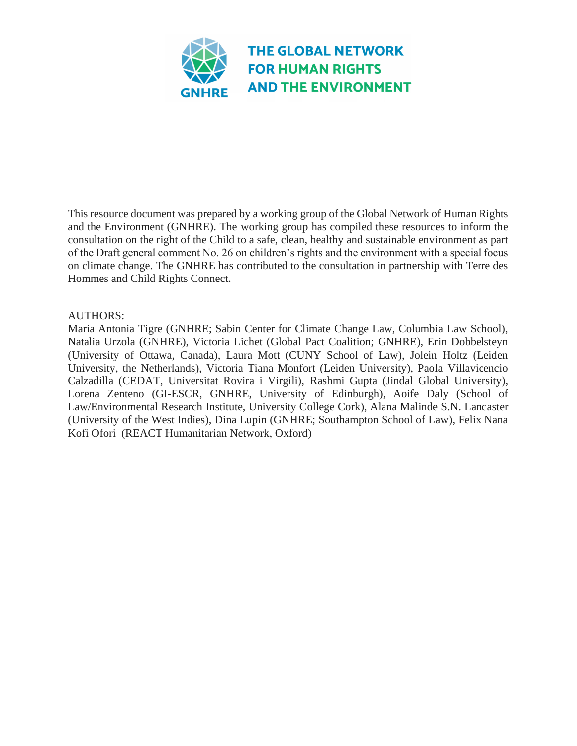

This resource document was prepared by a working group of the Global Network of Human Rights and the Environment (GNHRE). The working group has compiled these resources to inform the consultation on the right of the Child to a safe, clean, healthy and sustainable environment as part of the Draft general comment No. 26 on children's rights and the environment with a special focus on climate change. The GNHRE has contributed to the consultation in partnership with Terre des Hommes and Child Rights Connect.

#### AUTHORS:

Maria Antonia Tigre (GNHRE; Sabin Center for Climate Change Law, Columbia Law School), Natalia Urzola (GNHRE), Victoria Lichet (Global Pact Coalition; GNHRE), Erin Dobbelsteyn (University of Ottawa, Canada), Laura Mott (CUNY School of Law), Jolein Holtz (Leiden University, the Netherlands), Victoria Tiana Monfort (Leiden University), Paola Villavicencio Calzadilla (CEDAT, Universitat Rovira i Virgili), Rashmi Gupta (Jindal Global University), Lorena Zenteno (GI-ESCR, GNHRE, University of Edinburgh), Aoife Daly (School of Law/Environmental Research Institute, University College Cork), Alana Malinde S.N. Lancaster (University of the West Indies), Dina Lupin (GNHRE; Southampton School of Law), Felix Nana Kofi Ofori (REACT Humanitarian Network, Oxford)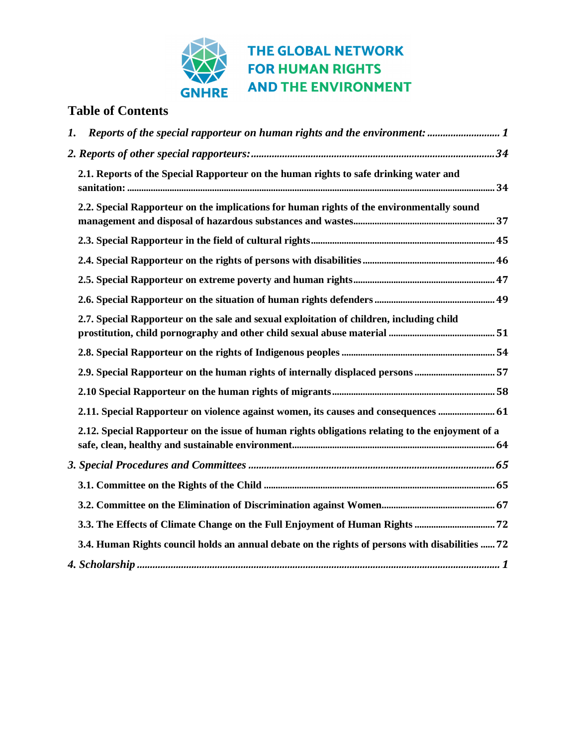

#### **Table of Contents**

| Reports of the special rapporteur on human rights and the environment:  1<br>$\mathbf{I}$ .      |  |
|--------------------------------------------------------------------------------------------------|--|
|                                                                                                  |  |
| 2.1. Reports of the Special Rapporteur on the human rights to safe drinking water and            |  |
| 2.2. Special Rapporteur on the implications for human rights of the environmentally sound        |  |
|                                                                                                  |  |
|                                                                                                  |  |
|                                                                                                  |  |
|                                                                                                  |  |
| 2.7. Special Rapporteur on the sale and sexual exploitation of children, including child         |  |
|                                                                                                  |  |
| 2.9. Special Rapporteur on the human rights of internally displaced persons 57                   |  |
|                                                                                                  |  |
| 2.11. Special Rapporteur on violence against women, its causes and consequences  61              |  |
| 2.12. Special Rapporteur on the issue of human rights obligations relating to the enjoyment of a |  |
|                                                                                                  |  |
|                                                                                                  |  |
|                                                                                                  |  |
|                                                                                                  |  |
| 3.4. Human Rights council holds an annual debate on the rights of persons with disabilities  72  |  |
|                                                                                                  |  |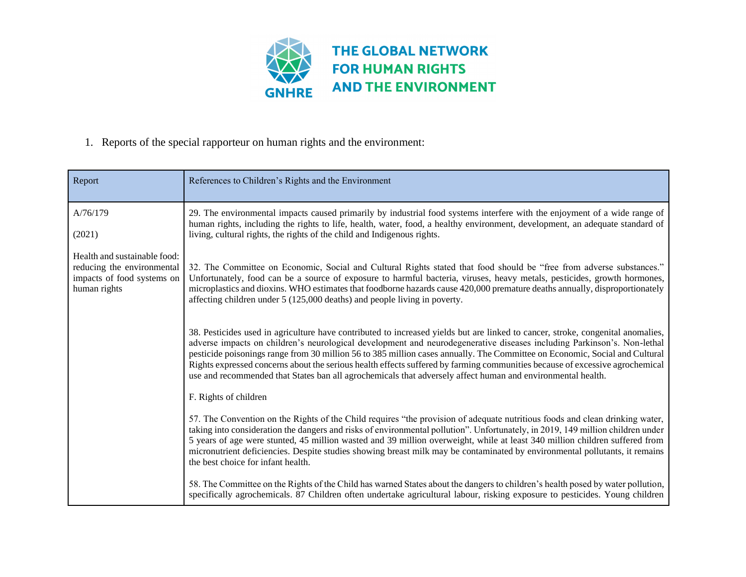

#### 1. Reports of the special rapporteur on human rights and the environment:

<span id="page-3-0"></span>

| Report                                                                                                   | References to Children's Rights and the Environment                                                                                                                                                                                                                                                                                                                                                                                                                                                                                                                                                                                      |
|----------------------------------------------------------------------------------------------------------|------------------------------------------------------------------------------------------------------------------------------------------------------------------------------------------------------------------------------------------------------------------------------------------------------------------------------------------------------------------------------------------------------------------------------------------------------------------------------------------------------------------------------------------------------------------------------------------------------------------------------------------|
| A/76/179                                                                                                 | 29. The environmental impacts caused primarily by industrial food systems interfere with the enjoyment of a wide range of<br>human rights, including the rights to life, health, water, food, a healthy environment, development, an adequate standard of                                                                                                                                                                                                                                                                                                                                                                                |
| (2021)                                                                                                   | living, cultural rights, the rights of the child and Indigenous rights.                                                                                                                                                                                                                                                                                                                                                                                                                                                                                                                                                                  |
| Health and sustainable food:<br>reducing the environmental<br>impacts of food systems on<br>human rights | 32. The Committee on Economic, Social and Cultural Rights stated that food should be "free from adverse substances."<br>Unfortunately, food can be a source of exposure to harmful bacteria, viruses, heavy metals, pesticides, growth hormones,<br>microplastics and dioxins. WHO estimates that foodborne hazards cause 420,000 premature deaths annually, disproportionately<br>affecting children under 5 (125,000 deaths) and people living in poverty.                                                                                                                                                                             |
|                                                                                                          | 38. Pesticides used in agriculture have contributed to increased yields but are linked to cancer, stroke, congenital anomalies,<br>adverse impacts on children's neurological development and neurodegenerative diseases including Parkinson's. Non-lethal<br>pesticide poisonings range from 30 million 56 to 385 million cases annually. The Committee on Economic, Social and Cultural<br>Rights expressed concerns about the serious health effects suffered by farming communities because of excessive agrochemical<br>use and recommended that States ban all agrochemicals that adversely affect human and environmental health. |
|                                                                                                          | F. Rights of children                                                                                                                                                                                                                                                                                                                                                                                                                                                                                                                                                                                                                    |
|                                                                                                          | 57. The Convention on the Rights of the Child requires "the provision of adequate nutritious foods and clean drinking water,<br>taking into consideration the dangers and risks of environmental pollution". Unfortunately, in 2019, 149 million children under<br>5 years of age were stunted, 45 million wasted and 39 million overweight, while at least 340 million children suffered from<br>micronutrient deficiencies. Despite studies showing breast milk may be contaminated by environmental pollutants, it remains<br>the best choice for infant health.                                                                      |
|                                                                                                          | 58. The Committee on the Rights of the Child has warned States about the dangers to children's health posed by water pollution,<br>specifically agrochemicals. 87 Children often undertake agricultural labour, risking exposure to pesticides. Young children                                                                                                                                                                                                                                                                                                                                                                           |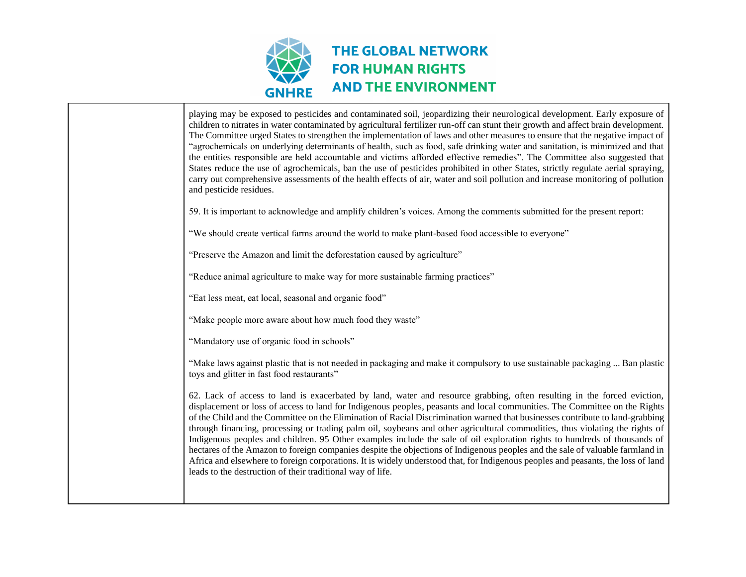

playing may be exposed to pesticides and contaminated soil, jeopardizing their neurological development. Early exposure of children to nitrates in water contaminated by agricultural fertilizer run-off can stunt their growth and affect brain development. The Committee urged States to strengthen the implementation of laws and other measures to ensure that the negative impact of "agrochemicals on underlying determinants of health, such as food, safe drinking water and sanitation, is minimized and that the entities responsible are held accountable and victims afforded effective remedies". The Committee also suggested that States reduce the use of agrochemicals, ban the use of pesticides prohibited in other States, strictly regulate aerial spraying, carry out comprehensive assessments of the health effects of air, water and soil pollution and increase monitoring of pollution and pesticide residues. 59. It is important to acknowledge and amplify children's voices. Among the comments submitted for the present report: "We should create vertical farms around the world to make plant-based food accessible to everyone" "Preserve the Amazon and limit the deforestation caused by agriculture" "Reduce animal agriculture to make way for more sustainable farming practices" "Eat less meat, eat local, seasonal and organic food" "Make people more aware about how much food they waste" "Mandatory use of organic food in schools" "Make laws against plastic that is not needed in packaging and make it compulsory to use sustainable packaging ... Ban plastic toys and glitter in fast food restaurants" 62. Lack of access to land is exacerbated by land, water and resource grabbing, often resulting in the forced eviction, displacement or loss of access to land for Indigenous peoples, peasants and local communities. The Committee on the Rights of the Child and the Committee on the Elimination of Racial Discrimination warned that businesses contribute to land-grabbing through financing, processing or trading palm oil, soybeans and other agricultural commodities, thus violating the rights of Indigenous peoples and children. 95 Other examples include the sale of oil exploration rights to hundreds of thousands of hectares of the Amazon to foreign companies despite the objections of Indigenous peoples and the sale of valuable farmland in Africa and elsewhere to foreign corporations. It is widely understood that, for Indigenous peoples and peasants, the loss of land leads to the destruction of their traditional way of life.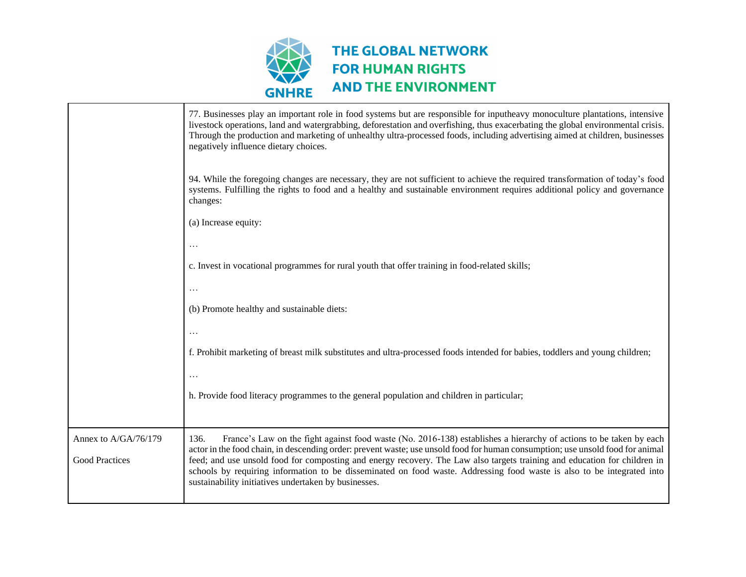

|                      | 77. Businesses play an important role in food systems but are responsible for inputheavy monoculture plantations, intensive<br>livestock operations, land and watergrabbing, deforestation and overfishing, thus exacerbating the global environmental crisis.<br>Through the production and marketing of unhealthy ultra-processed foods, including advertising aimed at children, businesses<br>negatively influence dietary choices. |
|----------------------|-----------------------------------------------------------------------------------------------------------------------------------------------------------------------------------------------------------------------------------------------------------------------------------------------------------------------------------------------------------------------------------------------------------------------------------------|
|                      | 94. While the foregoing changes are necessary, they are not sufficient to achieve the required transformation of today's food<br>systems. Fulfilling the rights to food and a healthy and sustainable environment requires additional policy and governance<br>changes:                                                                                                                                                                 |
|                      | (a) Increase equity:                                                                                                                                                                                                                                                                                                                                                                                                                    |
|                      |                                                                                                                                                                                                                                                                                                                                                                                                                                         |
|                      | c. Invest in vocational programmes for rural youth that offer training in food-related skills;                                                                                                                                                                                                                                                                                                                                          |
|                      | .                                                                                                                                                                                                                                                                                                                                                                                                                                       |
|                      | (b) Promote healthy and sustainable diets:                                                                                                                                                                                                                                                                                                                                                                                              |
|                      |                                                                                                                                                                                                                                                                                                                                                                                                                                         |
|                      | f. Prohibit marketing of breast milk substitutes and ultra-processed foods intended for babies, toddlers and young children;                                                                                                                                                                                                                                                                                                            |
|                      |                                                                                                                                                                                                                                                                                                                                                                                                                                         |
|                      | h. Provide food literacy programmes to the general population and children in particular;                                                                                                                                                                                                                                                                                                                                               |
|                      |                                                                                                                                                                                                                                                                                                                                                                                                                                         |
| Annex to A/GA/76/179 | France's Law on the fight against food waste (No. 2016-138) establishes a hierarchy of actions to be taken by each<br>136.<br>actor in the food chain, in descending order: prevent waste; use unsold food for human consumption; use unsold food for animal                                                                                                                                                                            |
| Good Practices       | feed; and use unsold food for composting and energy recovery. The Law also targets training and education for children in<br>schools by requiring information to be disseminated on food waste. Addressing food waste is also to be integrated into<br>sustainability initiatives undertaken by businesses.                                                                                                                             |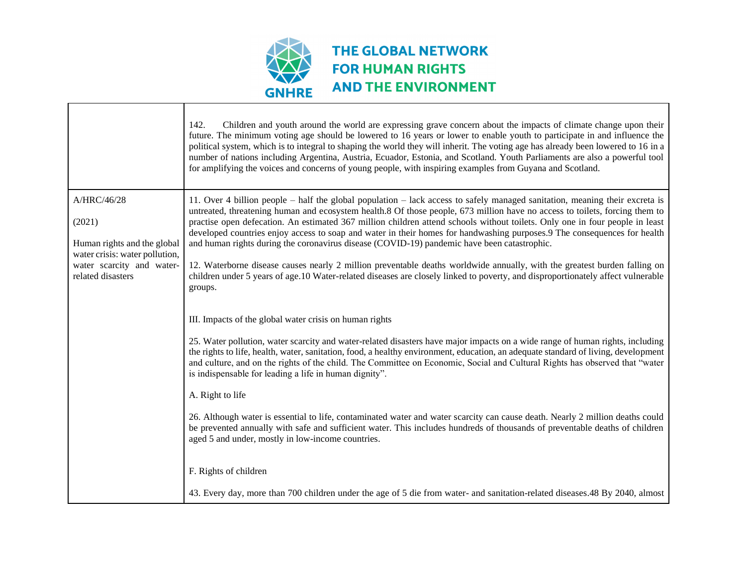

 $\Gamma$ 

|                                                                                  | 142.<br>Children and youth around the world are expressing grave concern about the impacts of climate change upon their<br>future. The minimum voting age should be lowered to 16 years or lower to enable youth to participate in and influence the<br>political system, which is to integral to shaping the world they will inherit. The voting age has already been lowered to 16 in a<br>number of nations including Argentina, Austria, Ecuador, Estonia, and Scotland. Youth Parliaments are also a powerful tool<br>for amplifying the voices and concerns of young people, with inspiring examples from Guyana and Scotland. |
|----------------------------------------------------------------------------------|--------------------------------------------------------------------------------------------------------------------------------------------------------------------------------------------------------------------------------------------------------------------------------------------------------------------------------------------------------------------------------------------------------------------------------------------------------------------------------------------------------------------------------------------------------------------------------------------------------------------------------------|
| A/HRC/46/28                                                                      | 11. Over 4 billion people – half the global population – lack access to safely managed sanitation, meaning their excreta is<br>untreated, threatening human and ecosystem health.8 Of those people, 673 million have no access to toilets, forcing them to                                                                                                                                                                                                                                                                                                                                                                           |
| (2021)<br>Human rights and the global                                            | practise open defecation. An estimated 367 million children attend schools without toilets. Only one in four people in least<br>developed countries enjoy access to soap and water in their homes for handwashing purposes.9 The consequences for health<br>and human rights during the coronavirus disease (COVID-19) pandemic have been catastrophic.                                                                                                                                                                                                                                                                              |
| water crisis: water pollution,<br>water scarcity and water-<br>related disasters | 12. Waterborne disease causes nearly 2 million preventable deaths worldwide annually, with the greatest burden falling on<br>children under 5 years of age.10 Water-related diseases are closely linked to poverty, and disproportionately affect vulnerable<br>groups.                                                                                                                                                                                                                                                                                                                                                              |
|                                                                                  | III. Impacts of the global water crisis on human rights                                                                                                                                                                                                                                                                                                                                                                                                                                                                                                                                                                              |
|                                                                                  | 25. Water pollution, water scarcity and water-related disasters have major impacts on a wide range of human rights, including<br>the rights to life, health, water, sanitation, food, a healthy environment, education, an adequate standard of living, development<br>and culture, and on the rights of the child. The Committee on Economic, Social and Cultural Rights has observed that "water<br>is indispensable for leading a life in human dignity".                                                                                                                                                                         |
|                                                                                  | A. Right to life                                                                                                                                                                                                                                                                                                                                                                                                                                                                                                                                                                                                                     |
|                                                                                  | 26. Although water is essential to life, contaminated water and water scarcity can cause death. Nearly 2 million deaths could<br>be prevented annually with safe and sufficient water. This includes hundreds of thousands of preventable deaths of children<br>aged 5 and under, mostly in low-income countries.                                                                                                                                                                                                                                                                                                                    |
|                                                                                  | F. Rights of children                                                                                                                                                                                                                                                                                                                                                                                                                                                                                                                                                                                                                |
|                                                                                  | 43. Every day, more than 700 children under the age of 5 die from water- and sanitation-related diseases. 48 By 2040, almost                                                                                                                                                                                                                                                                                                                                                                                                                                                                                                         |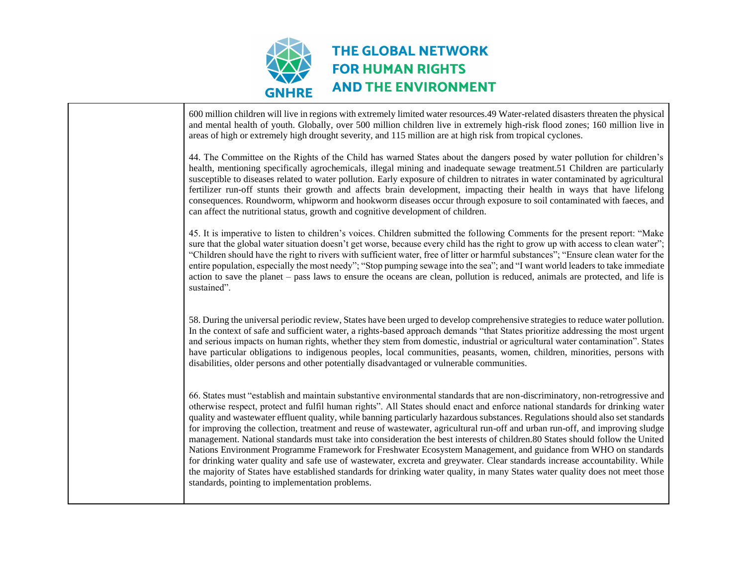

| 600 million children will live in regions with extremely limited water resources.49 Water-related disasters threaten the physical<br>and mental health of youth. Globally, over 500 million children live in extremely high-risk flood zones; 160 million live in<br>areas of high or extremely high drought severity, and 115 million are at high risk from tropical cyclones.                                                                                                                                                                                                                                                                                                                                                                                                                                                                                                                                                                                                                                                                                                                               |
|---------------------------------------------------------------------------------------------------------------------------------------------------------------------------------------------------------------------------------------------------------------------------------------------------------------------------------------------------------------------------------------------------------------------------------------------------------------------------------------------------------------------------------------------------------------------------------------------------------------------------------------------------------------------------------------------------------------------------------------------------------------------------------------------------------------------------------------------------------------------------------------------------------------------------------------------------------------------------------------------------------------------------------------------------------------------------------------------------------------|
| 44. The Committee on the Rights of the Child has warned States about the dangers posed by water pollution for children's<br>health, mentioning specifically agrochemicals, illegal mining and inadequate sewage treatment.51 Children are particularly<br>susceptible to diseases related to water pollution. Early exposure of children to nitrates in water contaminated by agricultural<br>fertilizer run-off stunts their growth and affects brain development, impacting their health in ways that have lifelong<br>consequences. Roundworm, whipworm and hookworm diseases occur through exposure to soil contaminated with faeces, and<br>can affect the nutritional status, growth and cognitive development of children.                                                                                                                                                                                                                                                                                                                                                                             |
| 45. It is imperative to listen to children's voices. Children submitted the following Comments for the present report: "Make<br>sure that the global water situation doesn't get worse, because every child has the right to grow up with access to clean water";<br>"Children should have the right to rivers with sufficient water, free of litter or harmful substances"; "Ensure clean water for the<br>entire population, especially the most needy"; "Stop pumping sewage into the sea"; and "I want world leaders to take immediate<br>action to save the planet – pass laws to ensure the oceans are clean, pollution is reduced, animals are protected, and life is<br>sustained".                                                                                                                                                                                                                                                                                                                                                                                                                   |
| 58. During the universal periodic review, States have been urged to develop comprehensive strategies to reduce water pollution.<br>In the context of safe and sufficient water, a rights-based approach demands "that States prioritize addressing the most urgent<br>and serious impacts on human rights, whether they stem from domestic, industrial or agricultural water contamination". States<br>have particular obligations to indigenous peoples, local communities, peasants, women, children, minorities, persons with<br>disabilities, older persons and other potentially disadvantaged or vulnerable communities.                                                                                                                                                                                                                                                                                                                                                                                                                                                                                |
| 66. States must "establish and maintain substantive environmental standards that are non-discriminatory, non-retrogressive and<br>otherwise respect, protect and fulfil human rights". All States should enact and enforce national standards for drinking water<br>quality and wastewater effluent quality, while banning particularly hazardous substances. Regulations should also set standards<br>for improving the collection, treatment and reuse of wastewater, agricultural run-off and urban run-off, and improving sludge<br>management. National standards must take into consideration the best interests of children.80 States should follow the United<br>Nations Environment Programme Framework for Freshwater Ecosystem Management, and guidance from WHO on standards<br>for drinking water quality and safe use of wastewater, excreta and greywater. Clear standards increase accountability. While<br>the majority of States have established standards for drinking water quality, in many States water quality does not meet those<br>standards, pointing to implementation problems. |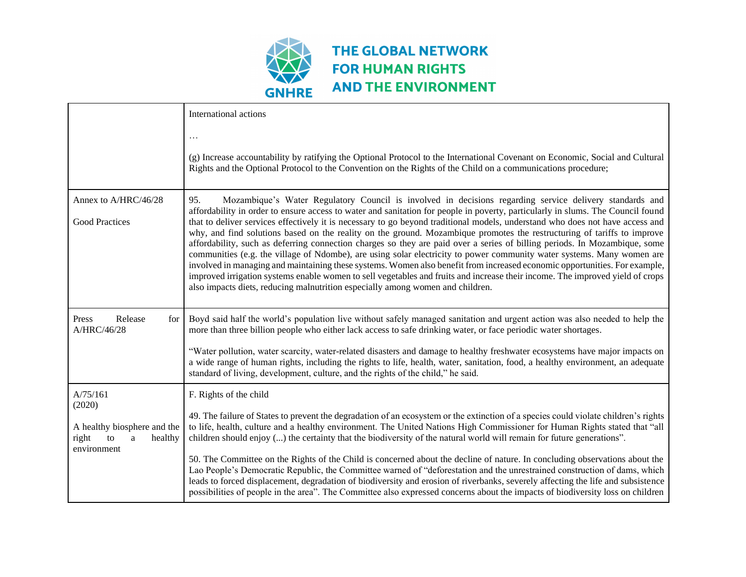

|                                                                           | International actions                                                                                                                                                                                                                                                                                                                                                                                                                                                                                                                                                                                                                                                                                                                                                                                                                                                                                                                                                                                                                                                                                                  |
|---------------------------------------------------------------------------|------------------------------------------------------------------------------------------------------------------------------------------------------------------------------------------------------------------------------------------------------------------------------------------------------------------------------------------------------------------------------------------------------------------------------------------------------------------------------------------------------------------------------------------------------------------------------------------------------------------------------------------------------------------------------------------------------------------------------------------------------------------------------------------------------------------------------------------------------------------------------------------------------------------------------------------------------------------------------------------------------------------------------------------------------------------------------------------------------------------------|
|                                                                           | (g) Increase accountability by ratifying the Optional Protocol to the International Covenant on Economic, Social and Cultural<br>Rights and the Optional Protocol to the Convention on the Rights of the Child on a communications procedure;                                                                                                                                                                                                                                                                                                                                                                                                                                                                                                                                                                                                                                                                                                                                                                                                                                                                          |
| Annex to A/HRC/46/28<br><b>Good Practices</b>                             | 95.<br>Mozambique's Water Regulatory Council is involved in decisions regarding service delivery standards and<br>affordability in order to ensure access to water and sanitation for people in poverty, particularly in slums. The Council found<br>that to deliver services effectively it is necessary to go beyond traditional models, understand who does not have access and<br>why, and find solutions based on the reality on the ground. Mozambique promotes the restructuring of tariffs to improve<br>affordability, such as deferring connection charges so they are paid over a series of billing periods. In Mozambique, some<br>communities (e.g. the village of Ndombe), are using solar electricity to power community water systems. Many women are<br>involved in managing and maintaining these systems. Women also benefit from increased economic opportunities. For example,<br>improved irrigation systems enable women to sell vegetables and fruits and increase their income. The improved yield of crops<br>also impacts diets, reducing malnutrition especially among women and children. |
| Press<br>Release<br>for<br>A/HRC/46/28                                    | Boyd said half the world's population live without safely managed sanitation and urgent action was also needed to help the<br>more than three billion people who either lack access to safe drinking water, or face periodic water shortages.<br>"Water pollution, water scarcity, water-related disasters and damage to healthy freshwater ecosystems have major impacts on                                                                                                                                                                                                                                                                                                                                                                                                                                                                                                                                                                                                                                                                                                                                           |
|                                                                           | a wide range of human rights, including the rights to life, health, water, sanitation, food, a healthy environment, an adequate<br>standard of living, development, culture, and the rights of the child," he said.                                                                                                                                                                                                                                                                                                                                                                                                                                                                                                                                                                                                                                                                                                                                                                                                                                                                                                    |
| A/75/161<br>(2020)                                                        | F. Rights of the child<br>49. The failure of States to prevent the degradation of an ecosystem or the extinction of a species could violate children's rights                                                                                                                                                                                                                                                                                                                                                                                                                                                                                                                                                                                                                                                                                                                                                                                                                                                                                                                                                          |
| A healthy biosphere and the<br>right<br>healthy<br>to<br>a<br>environment | to life, health, culture and a healthy environment. The United Nations High Commissioner for Human Rights stated that "all<br>children should enjoy () the certainty that the biodiversity of the natural world will remain for future generations".                                                                                                                                                                                                                                                                                                                                                                                                                                                                                                                                                                                                                                                                                                                                                                                                                                                                   |
|                                                                           | 50. The Committee on the Rights of the Child is concerned about the decline of nature. In concluding observations about the<br>Lao People's Democratic Republic, the Committee warned of "deforestation and the unrestrained construction of dams, which<br>leads to forced displacement, degradation of biodiversity and erosion of riverbanks, severely affecting the life and subsistence<br>possibilities of people in the area". The Committee also expressed concerns about the impacts of biodiversity loss on children                                                                                                                                                                                                                                                                                                                                                                                                                                                                                                                                                                                         |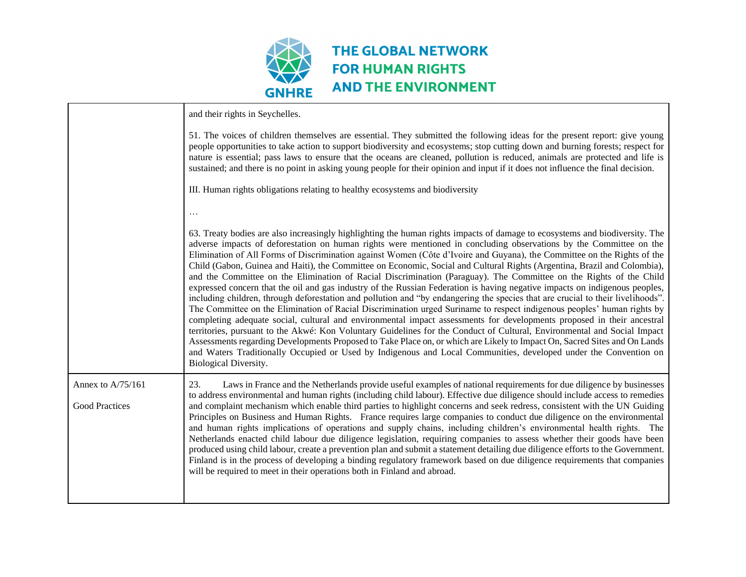

|                                            | and their rights in Seychelles.                                                                                                                                                                                                                                                                                                                                                                                                                                                                                                                                                                                                                                                                                                                                                                                                                                                                                                                                                                                                                                                                                                                                                                                                                                                                                                                                                                                                                                                                                                                                    |
|--------------------------------------------|--------------------------------------------------------------------------------------------------------------------------------------------------------------------------------------------------------------------------------------------------------------------------------------------------------------------------------------------------------------------------------------------------------------------------------------------------------------------------------------------------------------------------------------------------------------------------------------------------------------------------------------------------------------------------------------------------------------------------------------------------------------------------------------------------------------------------------------------------------------------------------------------------------------------------------------------------------------------------------------------------------------------------------------------------------------------------------------------------------------------------------------------------------------------------------------------------------------------------------------------------------------------------------------------------------------------------------------------------------------------------------------------------------------------------------------------------------------------------------------------------------------------------------------------------------------------|
|                                            | 51. The voices of children themselves are essential. They submitted the following ideas for the present report: give young<br>people opportunities to take action to support biodiversity and ecosystems; stop cutting down and burning forests; respect for<br>nature is essential; pass laws to ensure that the oceans are cleaned, pollution is reduced, animals are protected and life is<br>sustained; and there is no point in asking young people for their opinion and input if it does not influence the final decision.                                                                                                                                                                                                                                                                                                                                                                                                                                                                                                                                                                                                                                                                                                                                                                                                                                                                                                                                                                                                                                  |
|                                            | III. Human rights obligations relating to healthy ecosystems and biodiversity                                                                                                                                                                                                                                                                                                                                                                                                                                                                                                                                                                                                                                                                                                                                                                                                                                                                                                                                                                                                                                                                                                                                                                                                                                                                                                                                                                                                                                                                                      |
|                                            | $\ddotsc$                                                                                                                                                                                                                                                                                                                                                                                                                                                                                                                                                                                                                                                                                                                                                                                                                                                                                                                                                                                                                                                                                                                                                                                                                                                                                                                                                                                                                                                                                                                                                          |
|                                            | 63. Treaty bodies are also increasingly highlighting the human rights impacts of damage to ecosystems and biodiversity. The<br>adverse impacts of deforestation on human rights were mentioned in concluding observations by the Committee on the<br>Elimination of All Forms of Discrimination against Women (Côte d'Ivoire and Guyana), the Committee on the Rights of the<br>Child (Gabon, Guinea and Haiti), the Committee on Economic, Social and Cultural Rights (Argentina, Brazil and Colombia),<br>and the Committee on the Elimination of Racial Discrimination (Paraguay). The Committee on the Rights of the Child<br>expressed concern that the oil and gas industry of the Russian Federation is having negative impacts on indigenous peoples,<br>including children, through deforestation and pollution and "by endangering the species that are crucial to their livelihoods".<br>The Committee on the Elimination of Racial Discrimination urged Suriname to respect indigenous peoples' human rights by<br>completing adequate social, cultural and environmental impact assessments for developments proposed in their ancestral<br>territories, pursuant to the Akwé: Kon Voluntary Guidelines for the Conduct of Cultural, Environmental and Social Impact<br>Assessments regarding Developments Proposed to Take Place on, or which are Likely to Impact On, Sacred Sites and On Lands<br>and Waters Traditionally Occupied or Used by Indigenous and Local Communities, developed under the Convention on<br><b>Biological Diversity.</b> |
| Annex to A/75/161<br><b>Good Practices</b> | 23.<br>Laws in France and the Netherlands provide useful examples of national requirements for due diligence by businesses<br>to address environmental and human rights (including child labour). Effective due diligence should include access to remedies<br>and complaint mechanism which enable third parties to highlight concerns and seek redress, consistent with the UN Guiding<br>Principles on Business and Human Rights. France requires large companies to conduct due diligence on the environmental<br>and human rights implications of operations and supply chains, including children's environmental health rights. The<br>Netherlands enacted child labour due diligence legislation, requiring companies to assess whether their goods have been<br>produced using child labour, create a prevention plan and submit a statement detailing due diligence efforts to the Government.<br>Finland is in the process of developing a binding regulatory framework based on due diligence requirements that companies<br>will be required to meet in their operations both in Finland and abroad.                                                                                                                                                                                                                                                                                                                                                                                                                                                  |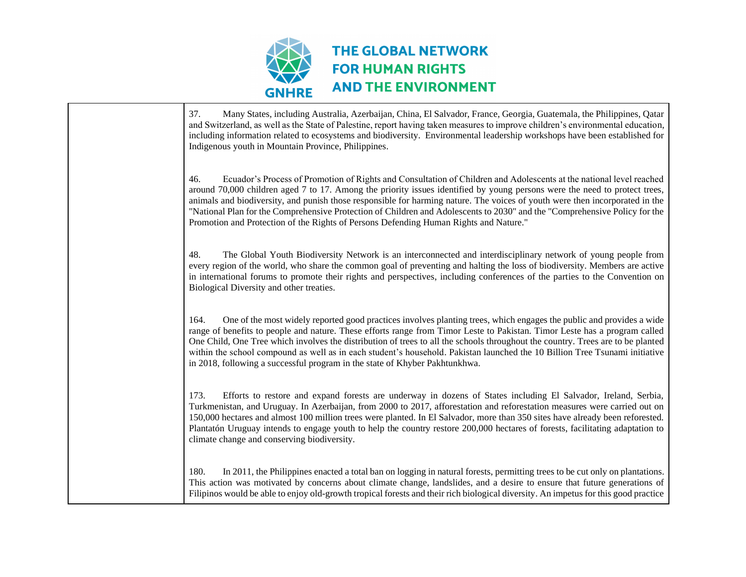

37. Many States, including Australia, Azerbaijan, China, El Salvador, France, Georgia, Guatemala, the Philippines, Qatar and Switzerland, as well as the State of Palestine, report having taken measures to improve children's environmental education, including information related to ecosystems and biodiversity. Environmental leadership workshops have been established for Indigenous youth in Mountain Province, Philippines. 46. Ecuador's Process of Promotion of Rights and Consultation of Children and Adolescents at the national level reached around 70,000 children aged 7 to 17. Among the priority issues identified by young persons were the need to protect trees, animals and biodiversity, and punish those responsible for harming nature. The voices of youth were then incorporated in the "National Plan for the Comprehensive Protection of Children and Adolescents to 2030" and the "Comprehensive Policy for the Promotion and Protection of the Rights of Persons Defending Human Rights and Nature." 48. The Global Youth Biodiversity Network is an interconnected and interdisciplinary network of young people from every region of the world, who share the common goal of preventing and halting the loss of biodiversity. Members are active in international forums to promote their rights and perspectives, including conferences of the parties to the Convention on Biological Diversity and other treaties. 164. One of the most widely reported good practices involves planting trees, which engages the public and provides a wide range of benefits to people and nature. These efforts range from Timor Leste to Pakistan. Timor Leste has a program called One Child, One Tree which involves the distribution of trees to all the schools throughout the country. Trees are to be planted within the school compound as well as in each student's household. Pakistan launched the 10 Billion Tree Tsunami initiative in 2018, following a successful program in the state of Khyber Pakhtunkhwa. 173. Efforts to restore and expand forests are underway in dozens of States including El Salvador, Ireland, Serbia, Turkmenistan, and Uruguay. In Azerbaijan, from 2000 to 2017, afforestation and reforestation measures were carried out on 150,000 hectares and almost 100 million trees were planted. In El Salvador, more than 350 sites have already been reforested. Plantatón Uruguay intends to engage youth to help the country restore 200,000 hectares of forests, facilitating adaptation to climate change and conserving biodiversity. 180. In 2011, the Philippines enacted a total ban on logging in natural forests, permitting trees to be cut only on plantations. This action was motivated by concerns about climate change, landslides, and a desire to ensure that future generations of Filipinos would be able to enjoy old-growth tropical forests and their rich biological diversity. An impetus for this good practice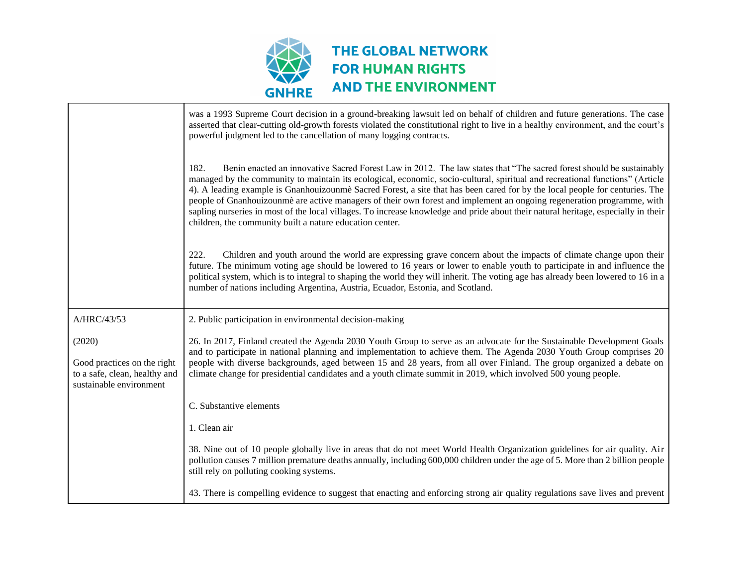

|                                                                                                   | was a 1993 Supreme Court decision in a ground-breaking lawsuit led on behalf of children and future generations. The case<br>asserted that clear-cutting old-growth forests violated the constitutional right to live in a healthy environment, and the court's<br>powerful judgment led to the cancellation of many logging contracts.                                                                                                                                                                                                                                                                                                                                                                                  |
|---------------------------------------------------------------------------------------------------|--------------------------------------------------------------------------------------------------------------------------------------------------------------------------------------------------------------------------------------------------------------------------------------------------------------------------------------------------------------------------------------------------------------------------------------------------------------------------------------------------------------------------------------------------------------------------------------------------------------------------------------------------------------------------------------------------------------------------|
|                                                                                                   | 182.<br>Benin enacted an innovative Sacred Forest Law in 2012. The law states that "The sacred forest should be sustainably<br>managed by the community to maintain its ecological, economic, socio-cultural, spiritual and recreational functions" (Article<br>4). A leading example is Gnanhouizounme Sacred Forest, a site that has been cared for by the local people for centuries. The<br>people of Gnanhouizounmè are active managers of their own forest and implement an ongoing regeneration programme, with<br>sapling nurseries in most of the local villages. To increase knowledge and pride about their natural heritage, especially in their<br>children, the community built a nature education center. |
|                                                                                                   | Children and youth around the world are expressing grave concern about the impacts of climate change upon their<br>222.<br>future. The minimum voting age should be lowered to 16 years or lower to enable youth to participate in and influence the<br>political system, which is to integral to shaping the world they will inherit. The voting age has already been lowered to 16 in a<br>number of nations including Argentina, Austria, Ecuador, Estonia, and Scotland.                                                                                                                                                                                                                                             |
| A/HRC/43/53                                                                                       | 2. Public participation in environmental decision-making                                                                                                                                                                                                                                                                                                                                                                                                                                                                                                                                                                                                                                                                 |
|                                                                                                   |                                                                                                                                                                                                                                                                                                                                                                                                                                                                                                                                                                                                                                                                                                                          |
| (2020)<br>Good practices on the right<br>to a safe, clean, healthy and<br>sustainable environment | 26. In 2017, Finland created the Agenda 2030 Youth Group to serve as an advocate for the Sustainable Development Goals<br>and to participate in national planning and implementation to achieve them. The Agenda 2030 Youth Group comprises 20<br>people with diverse backgrounds, aged between 15 and 28 years, from all over Finland. The group organized a debate on<br>climate change for presidential candidates and a youth climate summit in 2019, which involved 500 young people.                                                                                                                                                                                                                               |
|                                                                                                   | C. Substantive elements                                                                                                                                                                                                                                                                                                                                                                                                                                                                                                                                                                                                                                                                                                  |
|                                                                                                   | 1. Clean air                                                                                                                                                                                                                                                                                                                                                                                                                                                                                                                                                                                                                                                                                                             |
|                                                                                                   | 38. Nine out of 10 people globally live in areas that do not meet World Health Organization guidelines for air quality. Air<br>pollution causes 7 million premature deaths annually, including 600,000 children under the age of 5. More than 2 billion people<br>still rely on polluting cooking systems.                                                                                                                                                                                                                                                                                                                                                                                                               |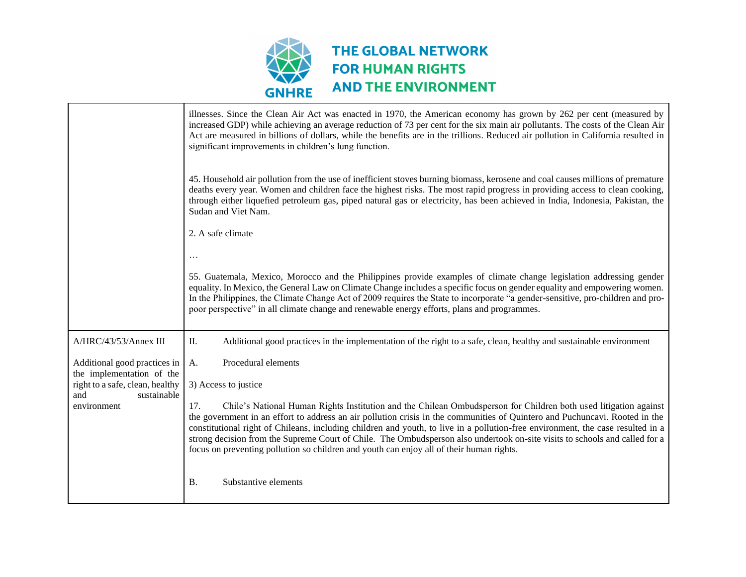

|                                                           | illnesses. Since the Clean Air Act was enacted in 1970, the American economy has grown by 262 per cent (measured by<br>increased GDP) while achieving an average reduction of 73 per cent for the six main air pollutants. The costs of the Clean Air<br>Act are measured in billions of dollars, while the benefits are in the trillions. Reduced air pollution in California resulted in<br>significant improvements in children's lung function.                                                                                                                                                                  |
|-----------------------------------------------------------|----------------------------------------------------------------------------------------------------------------------------------------------------------------------------------------------------------------------------------------------------------------------------------------------------------------------------------------------------------------------------------------------------------------------------------------------------------------------------------------------------------------------------------------------------------------------------------------------------------------------|
|                                                           | 45. Household air pollution from the use of inefficient stoves burning biomass, kerosene and coal causes millions of premature<br>deaths every year. Women and children face the highest risks. The most rapid progress in providing access to clean cooking,<br>through either liquefied petroleum gas, piped natural gas or electricity, has been achieved in India, Indonesia, Pakistan, the<br>Sudan and Viet Nam.                                                                                                                                                                                               |
|                                                           | 2. A safe climate                                                                                                                                                                                                                                                                                                                                                                                                                                                                                                                                                                                                    |
|                                                           | 55. Guatemala, Mexico, Morocco and the Philippines provide examples of climate change legislation addressing gender<br>equality. In Mexico, the General Law on Climate Change includes a specific focus on gender equality and empowering women.<br>In the Philippines, the Climate Change Act of 2009 requires the State to incorporate "a gender-sensitive, pro-children and pro-<br>poor perspective" in all climate change and renewable energy efforts, plans and programmes.                                                                                                                                   |
| A/HRC/43/53/Annex III                                     | II.<br>Additional good practices in the implementation of the right to a safe, clean, healthy and sustainable environment                                                                                                                                                                                                                                                                                                                                                                                                                                                                                            |
| Additional good practices in<br>the implementation of the | Procedural elements<br>A.                                                                                                                                                                                                                                                                                                                                                                                                                                                                                                                                                                                            |
| right to a safe, clean, healthy<br>and<br>sustainable     | 3) Access to justice                                                                                                                                                                                                                                                                                                                                                                                                                                                                                                                                                                                                 |
| environment                                               | 17.<br>Chile's National Human Rights Institution and the Chilean Ombudsperson for Children both used litigation against<br>the government in an effort to address an air pollution crisis in the communities of Quintero and Puchuncavi. Rooted in the<br>constitutional right of Chileans, including children and youth, to live in a pollution-free environment, the case resulted in a<br>strong decision from the Supreme Court of Chile. The Ombudsperson also undertook on-site visits to schools and called for a<br>focus on preventing pollution so children and youth can enjoy all of their human rights. |
|                                                           | <b>B.</b><br>Substantive elements                                                                                                                                                                                                                                                                                                                                                                                                                                                                                                                                                                                    |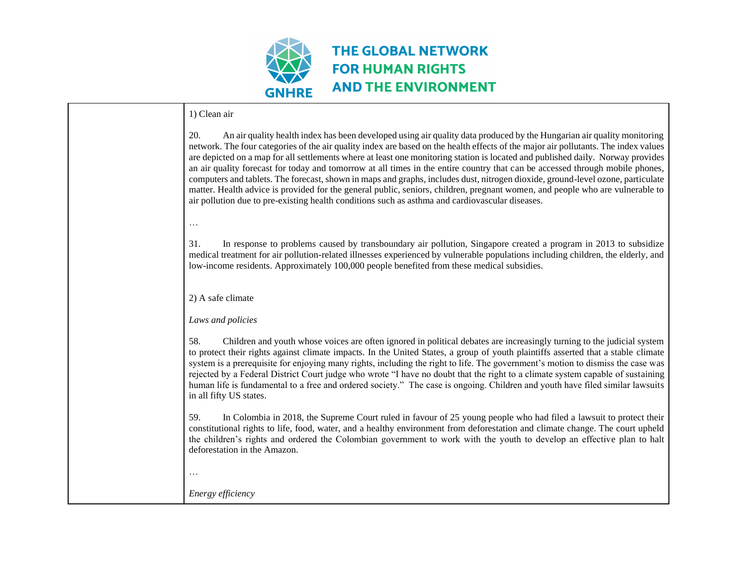

#### 1) Clean air

| 20.<br>An air quality health index has been developed using air quality data produced by the Hungarian air quality monitoring<br>network. The four categories of the air quality index are based on the health effects of the major air pollutants. The index values<br>are depicted on a map for all settlements where at least one monitoring station is located and published daily. Norway provides<br>an air quality forecast for today and tomorrow at all times in the entire country that can be accessed through mobile phones,<br>computers and tablets. The forecast, shown in maps and graphs, includes dust, nitrogen dioxide, ground-level ozone, particulate<br>matter. Health advice is provided for the general public, seniors, children, pregnant women, and people who are vulnerable to<br>air pollution due to pre-existing health conditions such as asthma and cardiovascular diseases. |
|-----------------------------------------------------------------------------------------------------------------------------------------------------------------------------------------------------------------------------------------------------------------------------------------------------------------------------------------------------------------------------------------------------------------------------------------------------------------------------------------------------------------------------------------------------------------------------------------------------------------------------------------------------------------------------------------------------------------------------------------------------------------------------------------------------------------------------------------------------------------------------------------------------------------|
| $\ddots$                                                                                                                                                                                                                                                                                                                                                                                                                                                                                                                                                                                                                                                                                                                                                                                                                                                                                                        |
| In response to problems caused by transboundary air pollution, Singapore created a program in 2013 to subsidize<br>31.<br>medical treatment for air pollution-related illnesses experienced by vulnerable populations including children, the elderly, and<br>low-income residents. Approximately 100,000 people benefited from these medical subsidies.                                                                                                                                                                                                                                                                                                                                                                                                                                                                                                                                                        |
| 2) A safe climate                                                                                                                                                                                                                                                                                                                                                                                                                                                                                                                                                                                                                                                                                                                                                                                                                                                                                               |
| Laws and policies                                                                                                                                                                                                                                                                                                                                                                                                                                                                                                                                                                                                                                                                                                                                                                                                                                                                                               |
| 58.<br>Children and youth whose voices are often ignored in political debates are increasingly turning to the judicial system<br>to protect their rights against climate impacts. In the United States, a group of youth plaintiffs asserted that a stable climate<br>system is a prerequisite for enjoying many rights, including the right to life. The government's motion to dismiss the case was<br>rejected by a Federal District Court judge who wrote "I have no doubt that the right to a climate system capable of sustaining<br>human life is fundamental to a free and ordered society." The case is ongoing. Children and youth have filed similar lawsuits<br>in all fifty US states.                                                                                                                                                                                                             |
| 59.<br>In Colombia in 2018, the Supreme Court ruled in favour of 25 young people who had filed a lawsuit to protect their<br>constitutional rights to life, food, water, and a healthy environment from deforestation and climate change. The court upheld<br>the children's rights and ordered the Colombian government to work with the youth to develop an effective plan to halt<br>deforestation in the Amazon.                                                                                                                                                                                                                                                                                                                                                                                                                                                                                            |
|                                                                                                                                                                                                                                                                                                                                                                                                                                                                                                                                                                                                                                                                                                                                                                                                                                                                                                                 |
| Energy efficiency                                                                                                                                                                                                                                                                                                                                                                                                                                                                                                                                                                                                                                                                                                                                                                                                                                                                                               |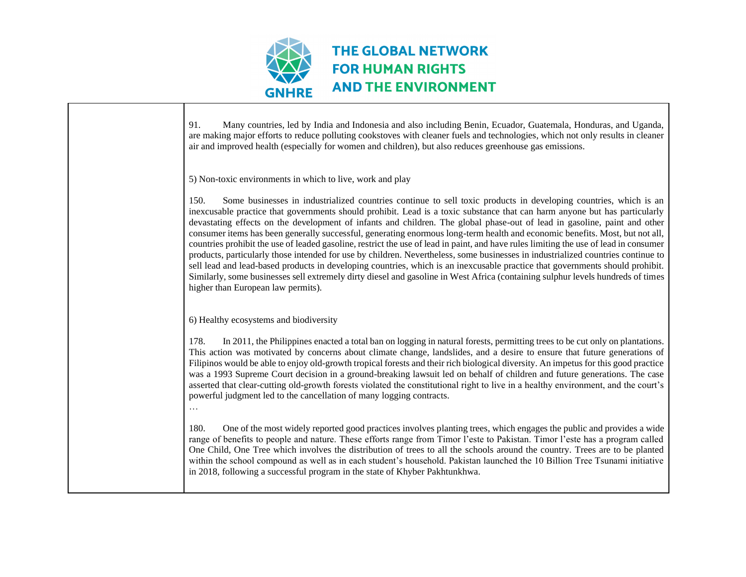

91. Many countries, led by India and Indonesia and also including Benin, Ecuador, Guatemala, Honduras, and Uganda, are making major efforts to reduce polluting cookstoves with cleaner fuels and technologies, which not only results in cleaner air and improved health (especially for women and children), but also reduces greenhouse gas emissions. 5) Non-toxic environments in which to live, work and play 150. Some businesses in industrialized countries continue to sell toxic products in developing countries, which is an inexcusable practice that governments should prohibit. Lead is a toxic substance that can harm anyone but has particularly devastating effects on the development of infants and children. The global phase-out of lead in gasoline, paint and other consumer items has been generally successful, generating enormous long-term health and economic benefits. Most, but not all, countries prohibit the use of leaded gasoline, restrict the use of lead in paint, and have rules limiting the use of lead in consumer products, particularly those intended for use by children. Nevertheless, some businesses in industrialized countries continue to sell lead and lead-based products in developing countries, which is an inexcusable practice that governments should prohibit. Similarly, some businesses sell extremely dirty diesel and gasoline in West Africa (containing sulphur levels hundreds of times higher than European law permits). 6) Healthy ecosystems and biodiversity 178. In 2011, the Philippines enacted a total ban on logging in natural forests, permitting trees to be cut only on plantations. This action was motivated by concerns about climate change, landslides, and a desire to ensure that future generations of Filipinos would be able to enjoy old-growth tropical forests and their rich biological diversity. An impetus for this good practice was a 1993 Supreme Court decision in a ground-breaking lawsuit led on behalf of children and future generations. The case asserted that clear-cutting old-growth forests violated the constitutional right to live in a healthy environment, and the court's powerful judgment led to the cancellation of many logging contracts. … 180. One of the most widely reported good practices involves planting trees, which engages the public and provides a wide range of benefits to people and nature. These efforts range from Timor l'este to Pakistan. Timor l'este has a program called One Child, One Tree which involves the distribution of trees to all the schools around the country. Trees are to be planted within the school compound as well as in each student's household. Pakistan launched the 10 Billion Tree Tsunami initiative in 2018, following a successful program in the state of Khyber Pakhtunkhwa.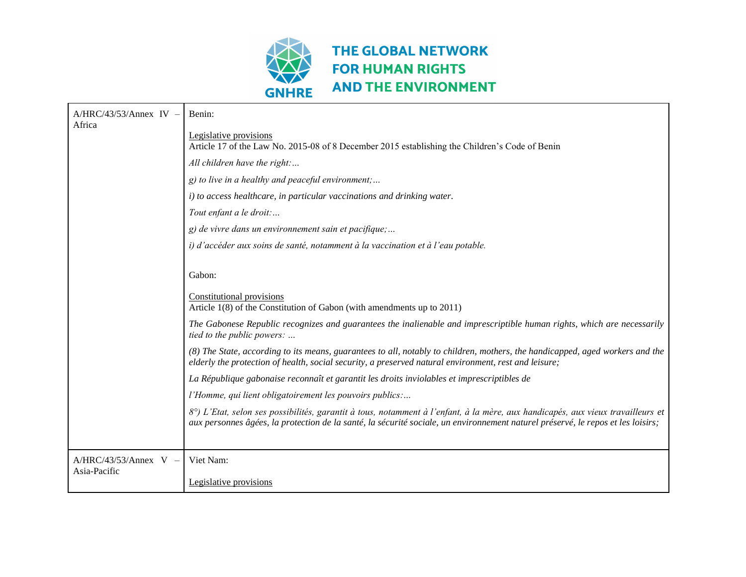

| $A/HRC/43/53/Annex IV -$<br>Africa      | Benin:                                                                                                                                                                                                                                                              |
|-----------------------------------------|---------------------------------------------------------------------------------------------------------------------------------------------------------------------------------------------------------------------------------------------------------------------|
|                                         | Legislative provisions<br>Article 17 of the Law No. 2015-08 of 8 December 2015 establishing the Children's Code of Benin                                                                                                                                            |
|                                         | All children have the right:                                                                                                                                                                                                                                        |
|                                         | $g$ ) to live in a healthy and peaceful environment;                                                                                                                                                                                                                |
|                                         | i) to access healthcare, in particular vaccinations and drinking water.                                                                                                                                                                                             |
|                                         | Tout enfant a le droit:                                                                                                                                                                                                                                             |
|                                         | g) de vivre dans un environnement sain et pacifique;                                                                                                                                                                                                                |
|                                         | i) d'accéder aux soins de santé, notamment à la vaccination et à l'eau potable.                                                                                                                                                                                     |
|                                         |                                                                                                                                                                                                                                                                     |
|                                         | Gabon:                                                                                                                                                                                                                                                              |
|                                         | Constitutional provisions<br>Article 1(8) of the Constitution of Gabon (with amendments up to 2011)                                                                                                                                                                 |
|                                         | The Gabonese Republic recognizes and guarantees the inalienable and imprescriptible human rights, which are necessarily<br>tied to the public powers:                                                                                                               |
|                                         | (8) The State, according to its means, guarantees to all, notably to children, mothers, the handicapped, aged workers and the<br>elderly the protection of health, social security, a preserved natural environment, rest and leisure;                              |
|                                         | La République gabonaise reconnaît et garantit les droits inviolables et imprescriptibles de                                                                                                                                                                         |
|                                         | l'Homme, qui lient obligatoirement les pouvoirs publics:                                                                                                                                                                                                            |
|                                         | 8°) L'Etat, selon ses possibilités, garantit à tous, notamment à l'enfant, à la mère, aux handicapés, aux vieux travailleurs et<br>aux personnes âgées, la protection de la santé, la sécurité sociale, un environnement naturel préservé, le repos et les loisirs; |
|                                         |                                                                                                                                                                                                                                                                     |
| $A/HRC/43/53/Annex$ V –<br>Asia-Pacific | Viet Nam:                                                                                                                                                                                                                                                           |
|                                         | Legislative provisions                                                                                                                                                                                                                                              |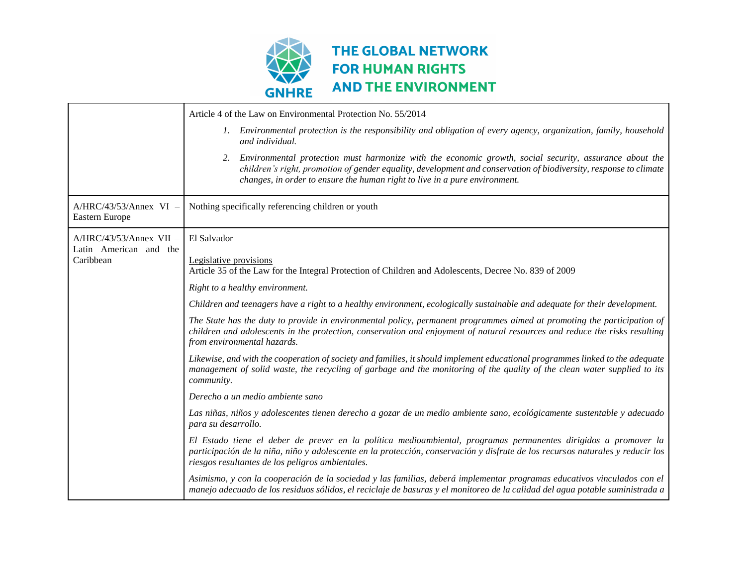

|                                            | Article 4 of the Law on Environmental Protection No. 55/2014                                                                                                                                                                                                                                                    |
|--------------------------------------------|-----------------------------------------------------------------------------------------------------------------------------------------------------------------------------------------------------------------------------------------------------------------------------------------------------------------|
|                                            | 1. Environmental protection is the responsibility and obligation of every agency, organization, family, household<br>and individual.                                                                                                                                                                            |
|                                            | Environmental protection must harmonize with the economic growth, social security, assurance about the<br>2.<br>children's right, promotion of gender equality, development and conservation of biodiversity, response to climate<br>changes, in order to ensure the human right to live in a pure environment. |
| $A/HRC/43/53/Annex$ VI -<br>Eastern Europe | Nothing specifically referencing children or youth                                                                                                                                                                                                                                                              |
| $A/HRC/43/53/Annex$ VII -                  | El Salvador                                                                                                                                                                                                                                                                                                     |
| Latin American and the<br>Caribbean        | Legislative provisions                                                                                                                                                                                                                                                                                          |
|                                            | Article 35 of the Law for the Integral Protection of Children and Adolescents, Decree No. 839 of 2009                                                                                                                                                                                                           |
|                                            | Right to a healthy environment.                                                                                                                                                                                                                                                                                 |
|                                            | Children and teenagers have a right to a healthy environment, ecologically sustainable and adequate for their development.                                                                                                                                                                                      |
|                                            | The State has the duty to provide in environmental policy, permanent programmes aimed at promoting the participation of<br>children and adolescents in the protection, conservation and enjoyment of natural resources and reduce the risks resulting<br>from environmental hazards.                            |
|                                            | Likewise, and with the cooperation of society and families, it should implement educational programmes linked to the adequate<br>management of solid waste, the recycling of garbage and the monitoring of the quality of the clean water supplied to its<br>community.                                         |
|                                            | Derecho a un medio ambiente sano                                                                                                                                                                                                                                                                                |
|                                            | Las niñas, niños y adolescentes tienen derecho a gozar de un medio ambiente sano, ecológicamente sustentable y adecuado<br>para su desarrollo.                                                                                                                                                                  |
|                                            | El Estado tiene el deber de prever en la política medioambiental, programas permanentes dirigidos a promover la<br>participación de la niña, niño y adolescente en la protección, conservación y disfrute de los recursos naturales y reducir los<br>riesgos resultantes de los peligros ambientales.           |
|                                            | Asimismo, y con la cooperación de la sociedad y las familias, deberá implementar programas educativos vinculados con el<br>manejo adecuado de los residuos sólidos, el reciclaje de basuras y el monitoreo de la calidad del agua potable suministrada a                                                        |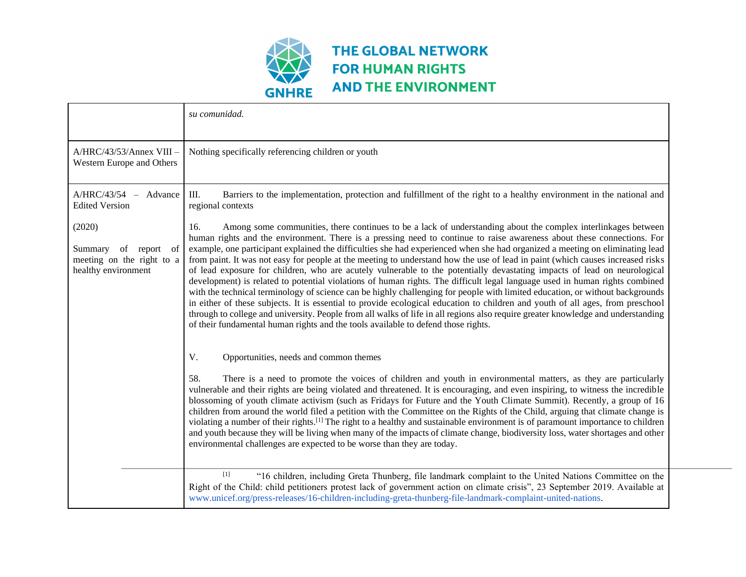

|                                                                                       | su comunidad.                                                                                                                                                                                                                                                                                                                                                                                                                                                                                                                                                                                                                                                                                                                                                                                                                                                                                                                                                                                                                                                                                                                                                                                                                                                           |
|---------------------------------------------------------------------------------------|-------------------------------------------------------------------------------------------------------------------------------------------------------------------------------------------------------------------------------------------------------------------------------------------------------------------------------------------------------------------------------------------------------------------------------------------------------------------------------------------------------------------------------------------------------------------------------------------------------------------------------------------------------------------------------------------------------------------------------------------------------------------------------------------------------------------------------------------------------------------------------------------------------------------------------------------------------------------------------------------------------------------------------------------------------------------------------------------------------------------------------------------------------------------------------------------------------------------------------------------------------------------------|
| A/HRC/43/53/Annex VIII -<br>Western Europe and Others                                 | Nothing specifically referencing children or youth                                                                                                                                                                                                                                                                                                                                                                                                                                                                                                                                                                                                                                                                                                                                                                                                                                                                                                                                                                                                                                                                                                                                                                                                                      |
| A/HRC/43/54<br>Advance<br>$\overline{\phantom{a}}$<br><b>Edited Version</b>           | Ш.<br>Barriers to the implementation, protection and fulfillment of the right to a healthy environment in the national and<br>regional contexts                                                                                                                                                                                                                                                                                                                                                                                                                                                                                                                                                                                                                                                                                                                                                                                                                                                                                                                                                                                                                                                                                                                         |
| (2020)<br>Summary<br>of report of<br>meeting on the right to a<br>healthy environment | Among some communities, there continues to be a lack of understanding about the complex interlinkages between<br>16.<br>human rights and the environment. There is a pressing need to continue to raise awareness about these connections. For<br>example, one participant explained the difficulties she had experienced when she had organized a meeting on eliminating lead<br>from paint. It was not easy for people at the meeting to understand how the use of lead in paint (which causes increased risks<br>of lead exposure for children, who are acutely vulnerable to the potentially devastating impacts of lead on neurological<br>development) is related to potential violations of human rights. The difficult legal language used in human rights combined<br>with the technical terminology of science can be highly challenging for people with limited education, or without backgrounds<br>in either of these subjects. It is essential to provide ecological education to children and youth of all ages, from preschool<br>through to college and university. People from all walks of life in all regions also require greater knowledge and understanding<br>of their fundamental human rights and the tools available to defend those rights. |
|                                                                                       | V.<br>Opportunities, needs and common themes<br>58.<br>There is a need to promote the voices of children and youth in environmental matters, as they are particularly<br>vulnerable and their rights are being violated and threatened. It is encouraging, and even inspiring, to witness the incredible<br>blossoming of youth climate activism (such as Fridays for Future and the Youth Climate Summit). Recently, a group of 16<br>children from around the world filed a petition with the Committee on the Rights of the Child, arguing that climate change is<br>violating a number of their rights. <sup>[1]</sup> The right to a healthy and sustainable environment is of paramount importance to children<br>and youth because they will be living when many of the impacts of climate change, biodiversity loss, water shortages and other<br>environmental challenges are expected to be worse than they are today.                                                                                                                                                                                                                                                                                                                                        |
|                                                                                       | $[1]$<br>"16 children, including Greta Thunberg, file landmark complaint to the United Nations Committee on the<br>Right of the Child: child petitioners protest lack of government action on climate crisis", 23 September 2019. Available at<br>www.unicef.org/press-releases/16-children-including-greta-thunberg-file-landmark-complaint-united-nations.                                                                                                                                                                                                                                                                                                                                                                                                                                                                                                                                                                                                                                                                                                                                                                                                                                                                                                            |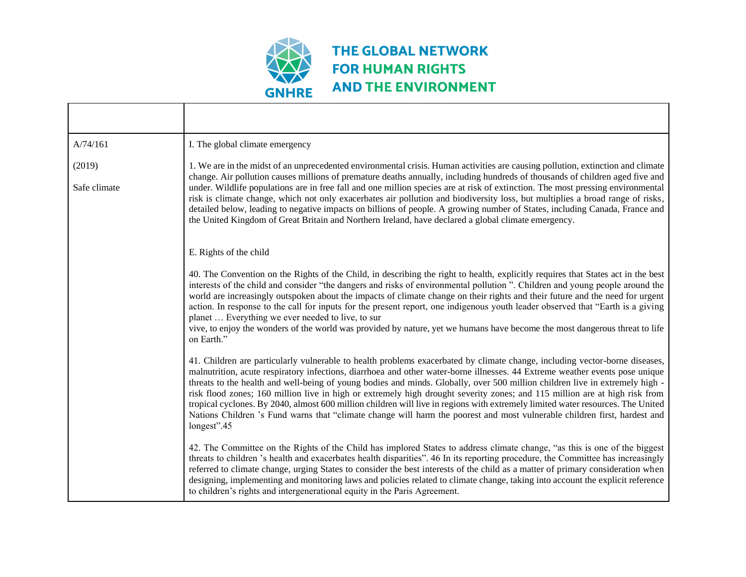

| A/74/161               | I. The global climate emergency                                                                                                                                                                                                                                                                                                                                                                                                                                                                                                                                                                                                                                                                                                                                                                          |
|------------------------|----------------------------------------------------------------------------------------------------------------------------------------------------------------------------------------------------------------------------------------------------------------------------------------------------------------------------------------------------------------------------------------------------------------------------------------------------------------------------------------------------------------------------------------------------------------------------------------------------------------------------------------------------------------------------------------------------------------------------------------------------------------------------------------------------------|
| (2019)<br>Safe climate | 1. We are in the midst of an unprecedented environmental crisis. Human activities are causing pollution, extinction and climate<br>change. Air pollution causes millions of premature deaths annually, including hundreds of thousands of children aged five and<br>under. Wildlife populations are in free fall and one million species are at risk of extinction. The most pressing environmental<br>risk is climate change, which not only exacerbates air pollution and biodiversity loss, but multiplies a broad range of risks,<br>detailed below, leading to negative impacts on billions of people. A growing number of States, including Canada, France and<br>the United Kingdom of Great Britain and Northern Ireland, have declared a global climate emergency.                              |
|                        | E. Rights of the child                                                                                                                                                                                                                                                                                                                                                                                                                                                                                                                                                                                                                                                                                                                                                                                   |
|                        | 40. The Convention on the Rights of the Child, in describing the right to health, explicitly requires that States act in the best<br>interests of the child and consider "the dangers and risks of environmental pollution". Children and young people around the<br>world are increasingly outspoken about the impacts of climate change on their rights and their future and the need for urgent<br>action. In response to the call for inputs for the present report, one indigenous youth leader observed that "Earth is a giving<br>planet  Everything we ever needed to live, to sur<br>vive, to enjoy the wonders of the world was provided by nature, yet we humans have become the most dangerous threat to life<br>on Earth."                                                                  |
|                        | 41. Children are particularly vulnerable to health problems exacerbated by climate change, including vector-borne diseases,<br>malnutrition, acute respiratory infections, diarrhoea and other water-borne illnesses. 44 Extreme weather events pose unique<br>threats to the health and well-being of young bodies and minds. Globally, over 500 million children live in extremely high -<br>risk flood zones; 160 million live in high or extremely high drought severity zones; and 115 million are at high risk from<br>tropical cyclones. By 2040, almost 600 million children will live in regions with extremely limited water resources. The United<br>Nations Children 's Fund warns that "climate change will harm the poorest and most vulnerable children first, hardest and<br>longest".45 |
|                        | 42. The Committee on the Rights of the Child has implored States to address climate change, "as this is one of the biggest<br>threats to children 's health and exacerbates health disparities". 46 In its reporting procedure, the Committee has increasingly<br>referred to climate change, urging States to consider the best interests of the child as a matter of primary consideration when<br>designing, implementing and monitoring laws and policies related to climate change, taking into account the explicit reference<br>to children's rights and intergenerational equity in the Paris Agreement.                                                                                                                                                                                         |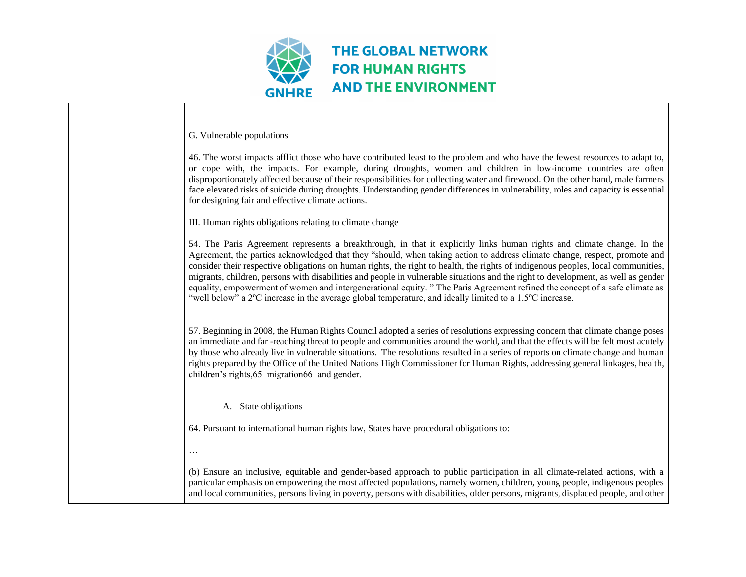

 $\Gamma$  G. Vulnerable populations

| G. Vulnerable populations                                                                                                                                                                                                                                                                                                                                                                                                                                                                                                                                                                                                                                                                                                                                                                  |
|--------------------------------------------------------------------------------------------------------------------------------------------------------------------------------------------------------------------------------------------------------------------------------------------------------------------------------------------------------------------------------------------------------------------------------------------------------------------------------------------------------------------------------------------------------------------------------------------------------------------------------------------------------------------------------------------------------------------------------------------------------------------------------------------|
| 46. The worst impacts afflict those who have contributed least to the problem and who have the fewest resources to adapt to,<br>or cope with, the impacts. For example, during droughts, women and children in low-income countries are often<br>disproportionately affected because of their responsibilities for collecting water and firewood. On the other hand, male farmers<br>face elevated risks of suicide during droughts. Understanding gender differences in vulnerability, roles and capacity is essential<br>for designing fair and effective climate actions.                                                                                                                                                                                                               |
| III. Human rights obligations relating to climate change                                                                                                                                                                                                                                                                                                                                                                                                                                                                                                                                                                                                                                                                                                                                   |
| 54. The Paris Agreement represents a breakthrough, in that it explicitly links human rights and climate change. In the<br>Agreement, the parties acknowledged that they "should, when taking action to address climate change, respect, promote and<br>consider their respective obligations on human rights, the right to health, the rights of indigenous peoples, local communities,<br>migrants, children, persons with disabilities and people in vulnerable situations and the right to development, as well as gender<br>equality, empowerment of women and intergenerational equity. "The Paris Agreement refined the concept of a safe climate as<br>"well below" a $2^{\circ}$ C increase in the average global temperature, and ideally limited to a 1.5 $^{\circ}$ C increase. |
| 57. Beginning in 2008, the Human Rights Council adopted a series of resolutions expressing concern that climate change poses<br>an immediate and far-reaching threat to people and communities around the world, and that the effects will be felt most acutely<br>by those who already live in vulnerable situations. The resolutions resulted in a series of reports on climate change and human<br>rights prepared by the Office of the United Nations High Commissioner for Human Rights, addressing general linkages, health,<br>children's rights, 65 migration 66 and gender.                                                                                                                                                                                                       |
| A. State obligations                                                                                                                                                                                                                                                                                                                                                                                                                                                                                                                                                                                                                                                                                                                                                                       |
| 64. Pursuant to international human rights law, States have procedural obligations to:                                                                                                                                                                                                                                                                                                                                                                                                                                                                                                                                                                                                                                                                                                     |
|                                                                                                                                                                                                                                                                                                                                                                                                                                                                                                                                                                                                                                                                                                                                                                                            |
| (b) Ensure an inclusive, equitable and gender-based approach to public participation in all climate-related actions, with a<br>particular emphasis on empowering the most affected populations, namely women, children, young people, indigenous peoples<br>and local communities, persons living in poverty, persons with disabilities, older persons, migrants, displaced people, and other                                                                                                                                                                                                                                                                                                                                                                                              |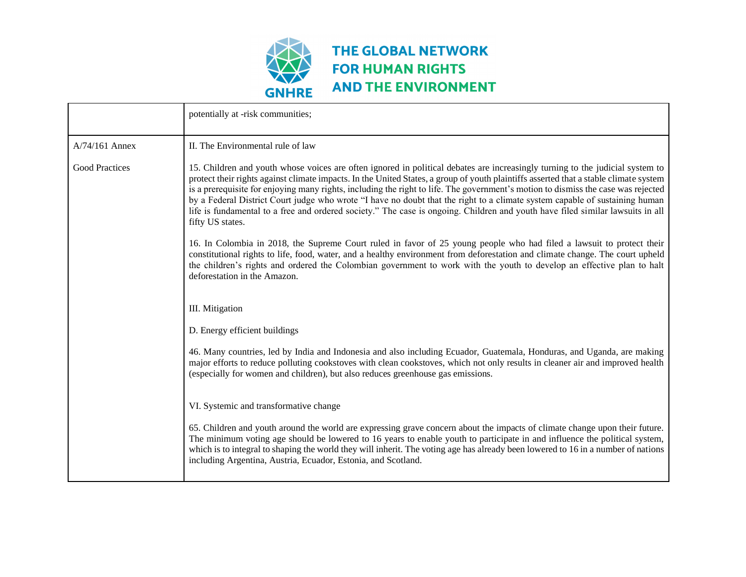

|                       | potentially at -risk communities;                                                                                                                                                                                                                                                                                                                                                                                                                                                                                                                                                                                                                                                                |
|-----------------------|--------------------------------------------------------------------------------------------------------------------------------------------------------------------------------------------------------------------------------------------------------------------------------------------------------------------------------------------------------------------------------------------------------------------------------------------------------------------------------------------------------------------------------------------------------------------------------------------------------------------------------------------------------------------------------------------------|
| A/74/161 Annex        | II. The Environmental rule of law                                                                                                                                                                                                                                                                                                                                                                                                                                                                                                                                                                                                                                                                |
| <b>Good Practices</b> | 15. Children and youth whose voices are often ignored in political debates are increasingly turning to the judicial system to<br>protect their rights against climate impacts. In the United States, a group of youth plaintiffs asserted that a stable climate system<br>is a prerequisite for enjoying many rights, including the right to life. The government's motion to dismiss the case was rejected<br>by a Federal District Court judge who wrote "I have no doubt that the right to a climate system capable of sustaining human<br>life is fundamental to a free and ordered society." The case is ongoing. Children and youth have filed similar lawsuits in all<br>fifty US states. |
|                       | 16. In Colombia in 2018, the Supreme Court ruled in favor of 25 young people who had filed a lawsuit to protect their<br>constitutional rights to life, food, water, and a healthy environment from deforestation and climate change. The court upheld<br>the children's rights and ordered the Colombian government to work with the youth to develop an effective plan to halt<br>deforestation in the Amazon.                                                                                                                                                                                                                                                                                 |
|                       | III. Mitigation                                                                                                                                                                                                                                                                                                                                                                                                                                                                                                                                                                                                                                                                                  |
|                       | D. Energy efficient buildings                                                                                                                                                                                                                                                                                                                                                                                                                                                                                                                                                                                                                                                                    |
|                       | 46. Many countries, led by India and Indonesia and also including Ecuador, Guatemala, Honduras, and Uganda, are making<br>major efforts to reduce polluting cookstoves with clean cookstoves, which not only results in cleaner air and improved health<br>(especially for women and children), but also reduces greenhouse gas emissions.                                                                                                                                                                                                                                                                                                                                                       |
|                       | VI. Systemic and transformative change                                                                                                                                                                                                                                                                                                                                                                                                                                                                                                                                                                                                                                                           |
|                       | 65. Children and youth around the world are expressing grave concern about the impacts of climate change upon their future.<br>The minimum voting age should be lowered to 16 years to enable youth to participate in and influence the political system,<br>which is to integral to shaping the world they will inherit. The voting age has already been lowered to 16 in a number of nations<br>including Argentina, Austria, Ecuador, Estonia, and Scotland.                                                                                                                                                                                                                                  |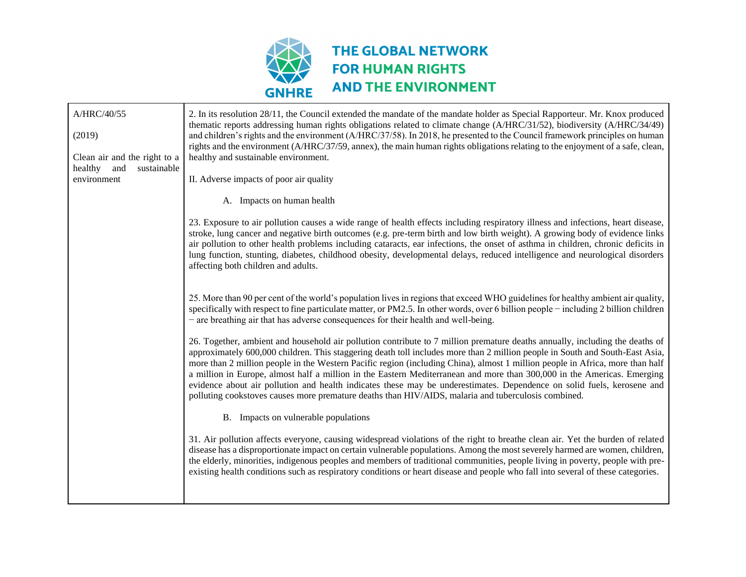

| A/HRC/40/55                  | 2. In its resolution 28/11, the Council extended the mandate of the mandate holder as Special Rapporteur. Mr. Knox produced<br>thematic reports addressing human rights obligations related to climate change (A/HRC/31/52), biodiversity (A/HRC/34/49)                                                                                                                                                                                                                                                                                                                                                                                                                                                                                                   |
|------------------------------|-----------------------------------------------------------------------------------------------------------------------------------------------------------------------------------------------------------------------------------------------------------------------------------------------------------------------------------------------------------------------------------------------------------------------------------------------------------------------------------------------------------------------------------------------------------------------------------------------------------------------------------------------------------------------------------------------------------------------------------------------------------|
| (2019)                       | and children's rights and the environment (A/HRC/37/58). In 2018, he presented to the Council framework principles on human                                                                                                                                                                                                                                                                                                                                                                                                                                                                                                                                                                                                                               |
| Clean air and the right to a | rights and the environment (A/HRC/37/59, annex), the main human rights obligations relating to the enjoyment of a safe, clean,<br>healthy and sustainable environment.                                                                                                                                                                                                                                                                                                                                                                                                                                                                                                                                                                                    |
| healthy and<br>sustainable   |                                                                                                                                                                                                                                                                                                                                                                                                                                                                                                                                                                                                                                                                                                                                                           |
| environment                  | II. Adverse impacts of poor air quality                                                                                                                                                                                                                                                                                                                                                                                                                                                                                                                                                                                                                                                                                                                   |
|                              | A. Impacts on human health                                                                                                                                                                                                                                                                                                                                                                                                                                                                                                                                                                                                                                                                                                                                |
|                              | 23. Exposure to air pollution causes a wide range of health effects including respiratory illness and infections, heart disease,<br>stroke, lung cancer and negative birth outcomes (e.g. pre-term birth and low birth weight). A growing body of evidence links<br>air pollution to other health problems including cataracts, ear infections, the onset of asthma in children, chronic deficits in<br>lung function, stunting, diabetes, childhood obesity, developmental delays, reduced intelligence and neurological disorders<br>affecting both children and adults.                                                                                                                                                                                |
|                              | 25. More than 90 per cent of the world's population lives in regions that exceed WHO guidelines for healthy ambient air quality,<br>specifically with respect to fine particulate matter, or PM2.5. In other words, over 6 billion people – including 2 billion children<br>- are breathing air that has adverse consequences for their health and well-being.                                                                                                                                                                                                                                                                                                                                                                                            |
|                              | 26. Together, ambient and household air pollution contribute to 7 million premature deaths annually, including the deaths of<br>approximately 600,000 children. This staggering death toll includes more than 2 million people in South and South-East Asia,<br>more than 2 million people in the Western Pacific region (including China), almost 1 million people in Africa, more than half<br>a million in Europe, almost half a million in the Eastern Mediterranean and more than 300,000 in the Americas. Emerging<br>evidence about air pollution and health indicates these may be underestimates. Dependence on solid fuels, kerosene and<br>polluting cookstoves causes more premature deaths than HIV/AIDS, malaria and tuberculosis combined. |
|                              | B. Impacts on vulnerable populations                                                                                                                                                                                                                                                                                                                                                                                                                                                                                                                                                                                                                                                                                                                      |
|                              | 31. Air pollution affects everyone, causing widespread violations of the right to breathe clean air. Yet the burden of related<br>disease has a disproportionate impact on certain vulnerable populations. Among the most severely harmed are women, children,<br>the elderly, minorities, indigenous peoples and members of traditional communities, people living in poverty, people with pre-<br>existing health conditions such as respiratory conditions or heart disease and people who fall into several of these categories.                                                                                                                                                                                                                      |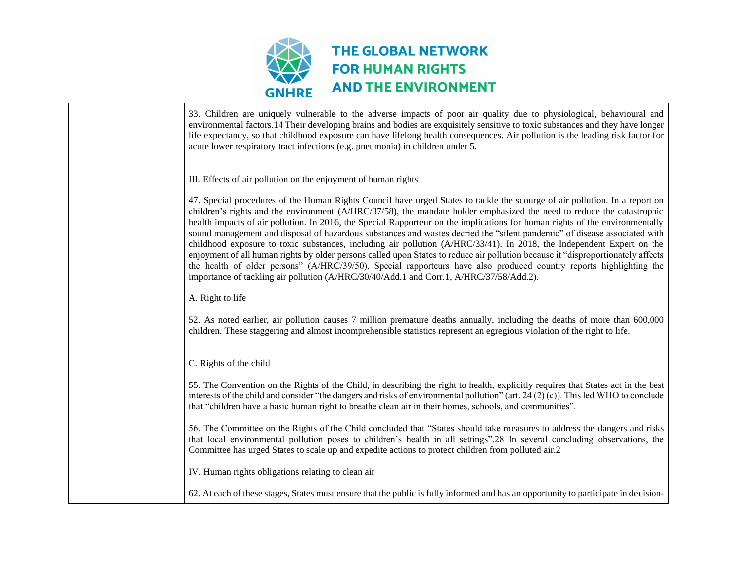

| 33. Children are uniquely vulnerable to the adverse impacts of poor air quality due to physiological, behavioural and<br>environmental factors.14 Their developing brains and bodies are exquisitely sensitive to toxic substances and they have longer<br>life expectancy, so that childhood exposure can have lifelong health consequences. Air pollution is the leading risk factor for<br>acute lower respiratory tract infections (e.g. pneumonia) in children under 5.                                                                                                                                                                                                                                                                                                                                                                                                                                                                                                                       |
|----------------------------------------------------------------------------------------------------------------------------------------------------------------------------------------------------------------------------------------------------------------------------------------------------------------------------------------------------------------------------------------------------------------------------------------------------------------------------------------------------------------------------------------------------------------------------------------------------------------------------------------------------------------------------------------------------------------------------------------------------------------------------------------------------------------------------------------------------------------------------------------------------------------------------------------------------------------------------------------------------|
| III. Effects of air pollution on the enjoyment of human rights                                                                                                                                                                                                                                                                                                                                                                                                                                                                                                                                                                                                                                                                                                                                                                                                                                                                                                                                     |
| 47. Special procedures of the Human Rights Council have urged States to tackle the scourge of air pollution. In a report on<br>children's rights and the environment (A/HRC/37/58), the mandate holder emphasized the need to reduce the catastrophic<br>health impacts of air pollution. In 2016, the Special Rapporteur on the implications for human rights of the environmentally<br>sound management and disposal of hazardous substances and wastes decried the "silent pandemic" of disease associated with<br>childhood exposure to toxic substances, including air pollution (A/HRC/33/41). In 2018, the Independent Expert on the<br>enjoyment of all human rights by older persons called upon States to reduce air pollution because it "disproportionately affects"<br>the health of older persons" (A/HRC/39/50). Special rapporteurs have also produced country reports highlighting the<br>importance of tackling air pollution (A/HRC/30/40/Add.1 and Corr.1, A/HRC/37/58/Add.2). |
| A. Right to life                                                                                                                                                                                                                                                                                                                                                                                                                                                                                                                                                                                                                                                                                                                                                                                                                                                                                                                                                                                   |
| 52. As noted earlier, air pollution causes 7 million premature deaths annually, including the deaths of more than 600,000<br>children. These staggering and almost incomprehensible statistics represent an egregious violation of the right to life.                                                                                                                                                                                                                                                                                                                                                                                                                                                                                                                                                                                                                                                                                                                                              |
| C. Rights of the child                                                                                                                                                                                                                                                                                                                                                                                                                                                                                                                                                                                                                                                                                                                                                                                                                                                                                                                                                                             |
| 55. The Convention on the Rights of the Child, in describing the right to health, explicitly requires that States act in the best<br>interests of the child and consider "the dangers and risks of environmental pollution" (art. 24 (2) (c)). This led WHO to conclude<br>that "children have a basic human right to breathe clean air in their homes, schools, and communities".                                                                                                                                                                                                                                                                                                                                                                                                                                                                                                                                                                                                                 |
| 56. The Committee on the Rights of the Child concluded that "States should take measures to address the dangers and risks<br>that local environmental pollution poses to children's health in all settings".28 In several concluding observations, the<br>Committee has urged States to scale up and expedite actions to protect children from polluted air.2                                                                                                                                                                                                                                                                                                                                                                                                                                                                                                                                                                                                                                      |
| IV. Human rights obligations relating to clean air                                                                                                                                                                                                                                                                                                                                                                                                                                                                                                                                                                                                                                                                                                                                                                                                                                                                                                                                                 |
| 62. At each of these stages, States must ensure that the public is fully informed and has an opportunity to participate in decision-                                                                                                                                                                                                                                                                                                                                                                                                                                                                                                                                                                                                                                                                                                                                                                                                                                                               |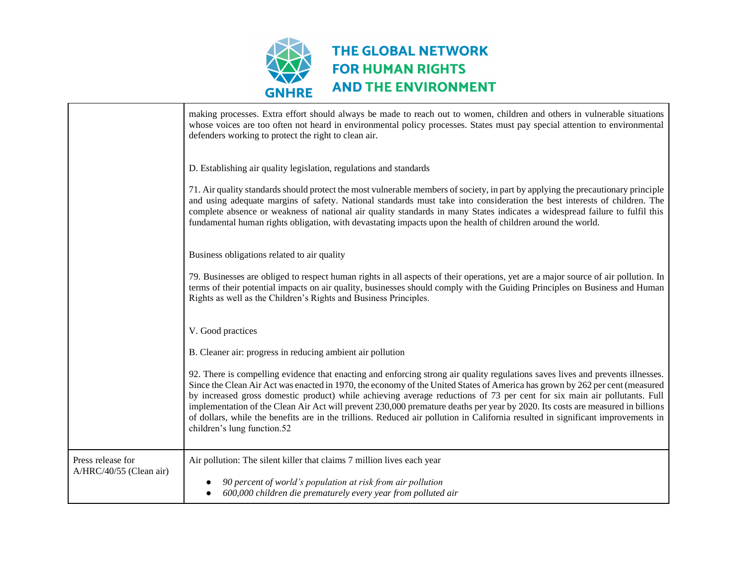

|                                              | making processes. Extra effort should always be made to reach out to women, children and others in vulnerable situations<br>whose voices are too often not heard in environmental policy processes. States must pay special attention to environmental<br>defenders working to protect the right to clean air.<br>D. Establishing air quality legislation, regulations and standards<br>71. Air quality standards should protect the most vulnerable members of society, in part by applying the precautionary principle<br>and using adequate margins of safety. National standards must take into consideration the best interests of children. The<br>complete absence or weakness of national air quality standards in many States indicates a widespread failure to fulfil this<br>fundamental human rights obligation, with devastating impacts upon the health of children around the world. |
|----------------------------------------------|-----------------------------------------------------------------------------------------------------------------------------------------------------------------------------------------------------------------------------------------------------------------------------------------------------------------------------------------------------------------------------------------------------------------------------------------------------------------------------------------------------------------------------------------------------------------------------------------------------------------------------------------------------------------------------------------------------------------------------------------------------------------------------------------------------------------------------------------------------------------------------------------------------|
|                                              | Business obligations related to air quality<br>79. Businesses are obliged to respect human rights in all aspects of their operations, yet are a major source of air pollution. In<br>terms of their potential impacts on air quality, businesses should comply with the Guiding Principles on Business and Human<br>Rights as well as the Children's Rights and Business Principles.                                                                                                                                                                                                                                                                                                                                                                                                                                                                                                                |
|                                              | V. Good practices<br>B. Cleaner air: progress in reducing ambient air pollution<br>92. There is compelling evidence that enacting and enforcing strong air quality regulations saves lives and prevents illnesses.<br>Since the Clean Air Act was enacted in 1970, the economy of the United States of America has grown by 262 per cent (measured<br>by increased gross domestic product) while achieving average reductions of 73 per cent for six main air pollutants. Full<br>implementation of the Clean Air Act will prevent 230,000 premature deaths per year by 2020. Its costs are measured in billions<br>of dollars, while the benefits are in the trillions. Reduced air pollution in California resulted in significant improvements in<br>children's lung function.52                                                                                                                 |
| Press release for<br>A/HRC/40/55 (Clean air) | Air pollution: The silent killer that claims 7 million lives each year<br>90 percent of world's population at risk from air pollution<br>600,000 children die prematurely every year from polluted air                                                                                                                                                                                                                                                                                                                                                                                                                                                                                                                                                                                                                                                                                              |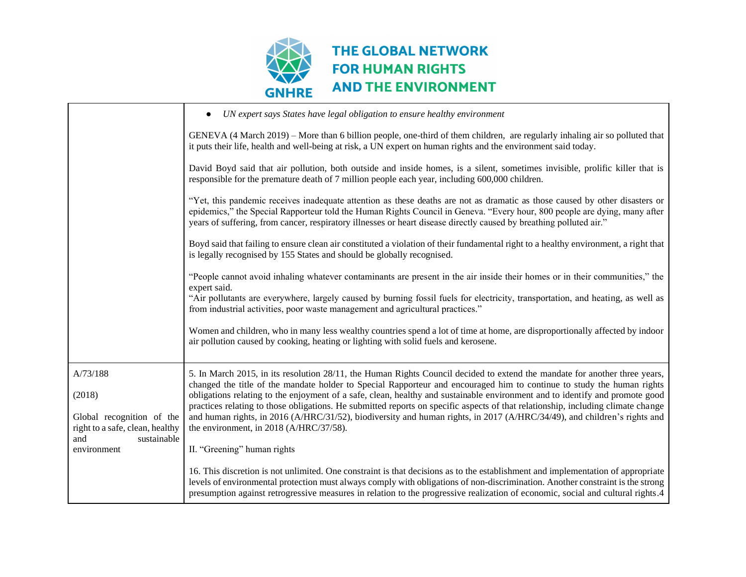

|                                                       | UN expert says States have legal obligation to ensure healthy environment<br>$\bullet$                                                                                                                                                                                                                                                                                                                                                                                                                                                                                                                                                               |
|-------------------------------------------------------|------------------------------------------------------------------------------------------------------------------------------------------------------------------------------------------------------------------------------------------------------------------------------------------------------------------------------------------------------------------------------------------------------------------------------------------------------------------------------------------------------------------------------------------------------------------------------------------------------------------------------------------------------|
|                                                       | GENEVA (4 March 2019) – More than 6 billion people, one-third of them children, are regularly inhaling air so polluted that<br>it puts their life, health and well-being at risk, a UN expert on human rights and the environment said today.                                                                                                                                                                                                                                                                                                                                                                                                        |
|                                                       | David Boyd said that air pollution, both outside and inside homes, is a silent, sometimes invisible, prolific killer that is<br>responsible for the premature death of 7 million people each year, including 600,000 children.                                                                                                                                                                                                                                                                                                                                                                                                                       |
|                                                       | "Yet, this pandemic receives inadequate attention as these deaths are not as dramatic as those caused by other disasters or<br>epidemics," the Special Rapporteur told the Human Rights Council in Geneva. "Every hour, 800 people are dying, many after<br>years of suffering, from cancer, respiratory illnesses or heart disease directly caused by breathing polluted air."                                                                                                                                                                                                                                                                      |
|                                                       | Boyd said that failing to ensure clean air constituted a violation of their fundamental right to a healthy environment, a right that<br>is legally recognised by 155 States and should be globally recognised.                                                                                                                                                                                                                                                                                                                                                                                                                                       |
|                                                       | "People cannot avoid inhaling whatever contaminants are present in the air inside their homes or in their communities," the<br>expert said.                                                                                                                                                                                                                                                                                                                                                                                                                                                                                                          |
|                                                       | "Air pollutants are everywhere, largely caused by burning fossil fuels for electricity, transportation, and heating, as well as<br>from industrial activities, poor waste management and agricultural practices."                                                                                                                                                                                                                                                                                                                                                                                                                                    |
|                                                       | Women and children, who in many less wealthy countries spend a lot of time at home, are disproportionally affected by indoor<br>air pollution caused by cooking, heating or lighting with solid fuels and kerosene.                                                                                                                                                                                                                                                                                                                                                                                                                                  |
| A/73/188<br>(2018)<br>Global recognition of the       | 5. In March 2015, in its resolution 28/11, the Human Rights Council decided to extend the mandate for another three years,<br>changed the title of the mandate holder to Special Rapporteur and encouraged him to continue to study the human rights<br>obligations relating to the enjoyment of a safe, clean, healthy and sustainable environment and to identify and promote good<br>practices relating to those obligations. He submitted reports on specific aspects of that relationship, including climate change<br>and human rights, in 2016 (A/HRC/31/52), biodiversity and human rights, in 2017 (A/HRC/34/49), and children's rights and |
| right to a safe, clean, healthy<br>and<br>sustainable | the environment, in 2018 (A/HRC/37/58).                                                                                                                                                                                                                                                                                                                                                                                                                                                                                                                                                                                                              |
| environment                                           | II. "Greening" human rights                                                                                                                                                                                                                                                                                                                                                                                                                                                                                                                                                                                                                          |
|                                                       | 16. This discretion is not unlimited. One constraint is that decisions as to the establishment and implementation of appropriate<br>levels of environmental protection must always comply with obligations of non-discrimination. Another constraint is the strong<br>presumption against retrogressive measures in relation to the progressive realization of economic, social and cultural rights.4                                                                                                                                                                                                                                                |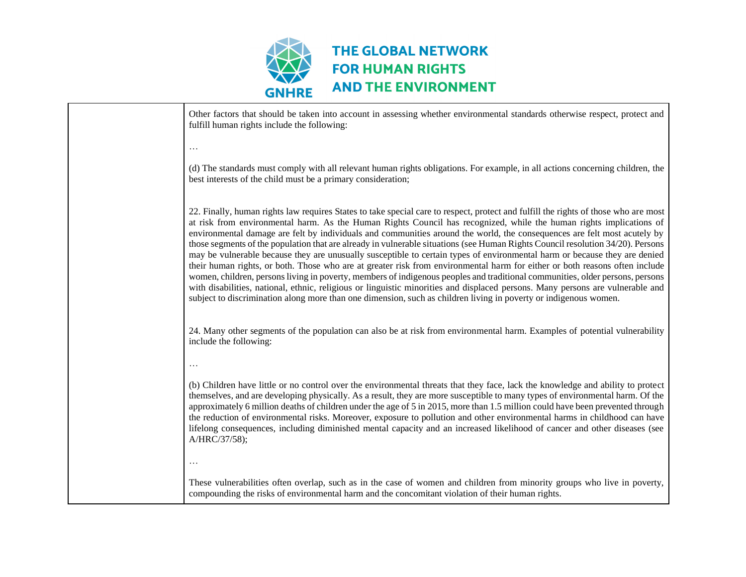

| Other factors that should be taken into account in assessing whether environmental standards otherwise respect, protect and<br>fulfill human rights include the following:                                                                                                                                                                                                                                                                                                                                                                                                                                                                                                                                                                                                                                                                                                                                                                                                                                                                                                                                                                                                    |
|-------------------------------------------------------------------------------------------------------------------------------------------------------------------------------------------------------------------------------------------------------------------------------------------------------------------------------------------------------------------------------------------------------------------------------------------------------------------------------------------------------------------------------------------------------------------------------------------------------------------------------------------------------------------------------------------------------------------------------------------------------------------------------------------------------------------------------------------------------------------------------------------------------------------------------------------------------------------------------------------------------------------------------------------------------------------------------------------------------------------------------------------------------------------------------|
| $\ldots$                                                                                                                                                                                                                                                                                                                                                                                                                                                                                                                                                                                                                                                                                                                                                                                                                                                                                                                                                                                                                                                                                                                                                                      |
| (d) The standards must comply with all relevant human rights obligations. For example, in all actions concerning children, the<br>best interests of the child must be a primary consideration;                                                                                                                                                                                                                                                                                                                                                                                                                                                                                                                                                                                                                                                                                                                                                                                                                                                                                                                                                                                |
| 22. Finally, human rights law requires States to take special care to respect, protect and fulfill the rights of those who are most<br>at risk from environmental harm. As the Human Rights Council has recognized, while the human rights implications of<br>environmental damage are felt by individuals and communities around the world, the consequences are felt most acutely by<br>those segments of the population that are already in vulnerable situations (see Human Rights Council resolution 34/20). Persons<br>may be vulnerable because they are unusually susceptible to certain types of environmental harm or because they are denied<br>their human rights, or both. Those who are at greater risk from environmental harm for either or both reasons often include<br>women, children, persons living in poverty, members of indigenous peoples and traditional communities, older persons, persons<br>with disabilities, national, ethnic, religious or linguistic minorities and displaced persons. Many persons are vulnerable and<br>subject to discrimination along more than one dimension, such as children living in poverty or indigenous women. |
| 24. Many other segments of the population can also be at risk from environmental harm. Examples of potential vulnerability<br>include the following:                                                                                                                                                                                                                                                                                                                                                                                                                                                                                                                                                                                                                                                                                                                                                                                                                                                                                                                                                                                                                          |
| (b) Children have little or no control over the environmental threats that they face, lack the knowledge and ability to protect<br>themselves, and are developing physically. As a result, they are more susceptible to many types of environmental harm. Of the<br>approximately 6 million deaths of children under the age of 5 in 2015, more than 1.5 million could have been prevented through<br>the reduction of environmental risks. Moreover, exposure to pollution and other environmental harms in childhood can have<br>lifelong consequences, including diminished mental capacity and an increased likelihood of cancer and other diseases (see<br>A/HRC/37/58);<br>$\cdots$                                                                                                                                                                                                                                                                                                                                                                                                                                                                                     |
| These vulnerabilities often overlap, such as in the case of women and children from minority groups who live in poverty,<br>compounding the risks of environmental harm and the concomitant violation of their human rights.                                                                                                                                                                                                                                                                                                                                                                                                                                                                                                                                                                                                                                                                                                                                                                                                                                                                                                                                                  |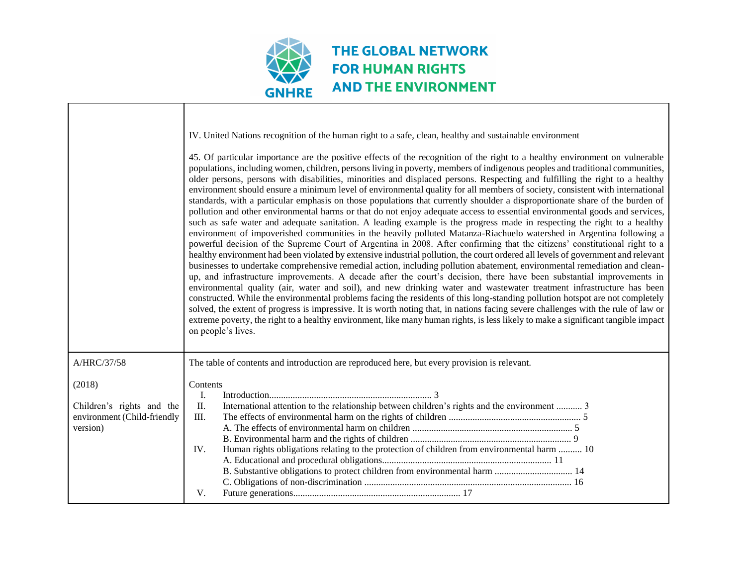

|                                                                                | IV. United Nations recognition of the human right to a safe, clean, healthy and sustainable environment<br>45. Of particular importance are the positive effects of the recognition of the right to a healthy environment on vulnerable<br>populations, including women, children, persons living in poverty, members of indigenous peoples and traditional communities,<br>older persons, persons with disabilities, minorities and displaced persons. Respecting and fulfilling the right to a healthy<br>environment should ensure a minimum level of environmental quality for all members of society, consistent with international<br>standards, with a particular emphasis on those populations that currently shoulder a disproportionate share of the burden of<br>pollution and other environmental harms or that do not enjoy adequate access to essential environmental goods and services,<br>such as safe water and adequate sanitation. A leading example is the progress made in respecting the right to a healthy<br>environment of impoverished communities in the heavily polluted Matanza-Riachuelo watershed in Argentina following a<br>powerful decision of the Supreme Court of Argentina in 2008. After confirming that the citizens' constitutional right to a<br>healthy environment had been violated by extensive industrial pollution, the court ordered all levels of government and relevant<br>businesses to undertake comprehensive remedial action, including pollution abatement, environmental remediation and clean-<br>up, and infrastructure improvements. A decade after the court's decision, there have been substantial improvements in<br>environmental quality (air, water and soil), and new drinking water and wastewater treatment infrastructure has been<br>constructed. While the environmental problems facing the residents of this long-standing pollution hotspot are not completely<br>solved, the extent of progress is impressive. It is worth noting that, in nations facing severe challenges with the rule of law or<br>extreme poverty, the right to a healthy environment, like many human rights, is less likely to make a significant tangible impact<br>on people's lives. |
|--------------------------------------------------------------------------------|-----------------------------------------------------------------------------------------------------------------------------------------------------------------------------------------------------------------------------------------------------------------------------------------------------------------------------------------------------------------------------------------------------------------------------------------------------------------------------------------------------------------------------------------------------------------------------------------------------------------------------------------------------------------------------------------------------------------------------------------------------------------------------------------------------------------------------------------------------------------------------------------------------------------------------------------------------------------------------------------------------------------------------------------------------------------------------------------------------------------------------------------------------------------------------------------------------------------------------------------------------------------------------------------------------------------------------------------------------------------------------------------------------------------------------------------------------------------------------------------------------------------------------------------------------------------------------------------------------------------------------------------------------------------------------------------------------------------------------------------------------------------------------------------------------------------------------------------------------------------------------------------------------------------------------------------------------------------------------------------------------------------------------------------------------------------------------------------------------------------------------------------------------------------------------------------------------------------------------------------------|
| A/HRC/37/58                                                                    | The table of contents and introduction are reproduced here, but every provision is relevant.                                                                                                                                                                                                                                                                                                                                                                                                                                                                                                                                                                                                                                                                                                                                                                                                                                                                                                                                                                                                                                                                                                                                                                                                                                                                                                                                                                                                                                                                                                                                                                                                                                                                                                                                                                                                                                                                                                                                                                                                                                                                                                                                                  |
| (2018)<br>Children's rights and the<br>environment (Child-friendly<br>version) | Contents<br>I.<br>International attention to the relationship between children's rights and the environment  3<br>П.<br>Ш.<br>Human rights obligations relating to the protection of children from environmental harm  10<br>IV.<br>V.                                                                                                                                                                                                                                                                                                                                                                                                                                                                                                                                                                                                                                                                                                                                                                                                                                                                                                                                                                                                                                                                                                                                                                                                                                                                                                                                                                                                                                                                                                                                                                                                                                                                                                                                                                                                                                                                                                                                                                                                        |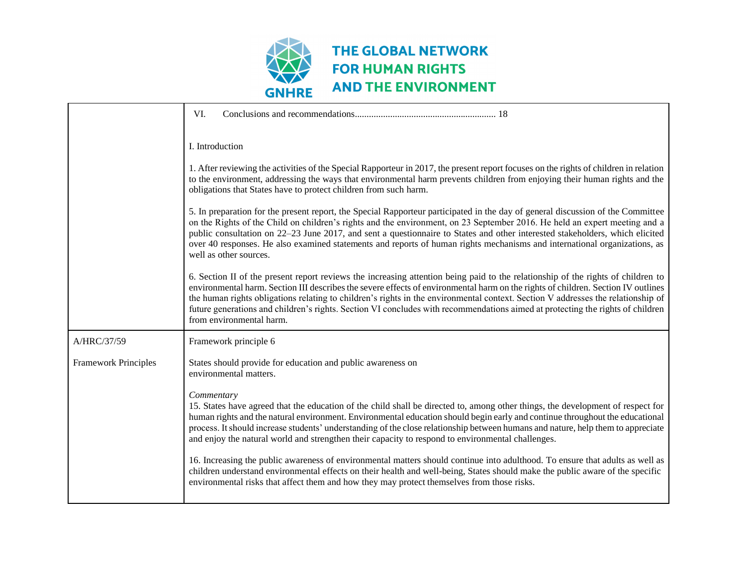

|                             | VI.                                                                                                                                                                                                                                                                                                                                                                                                                                                                                                                                                                     |
|-----------------------------|-------------------------------------------------------------------------------------------------------------------------------------------------------------------------------------------------------------------------------------------------------------------------------------------------------------------------------------------------------------------------------------------------------------------------------------------------------------------------------------------------------------------------------------------------------------------------|
|                             | I. Introduction                                                                                                                                                                                                                                                                                                                                                                                                                                                                                                                                                         |
|                             | 1. After reviewing the activities of the Special Rapporteur in 2017, the present report focuses on the rights of children in relation<br>to the environment, addressing the ways that environmental harm prevents children from enjoying their human rights and the<br>obligations that States have to protect children from such harm.                                                                                                                                                                                                                                 |
|                             | 5. In preparation for the present report, the Special Rapporteur participated in the day of general discussion of the Committee<br>on the Rights of the Child on children's rights and the environment, on 23 September 2016. He held an expert meeting and a<br>public consultation on 22–23 June 2017, and sent a questionnaire to States and other interested stakeholders, which elicited<br>over 40 responses. He also examined statements and reports of human rights mechanisms and international organizations, as<br>well as other sources.                    |
|                             | 6. Section II of the present report reviews the increasing attention being paid to the relationship of the rights of children to<br>environmental harm. Section III describes the severe effects of environmental harm on the rights of children. Section IV outlines<br>the human rights obligations relating to children's rights in the environmental context. Section V addresses the relationship of<br>future generations and children's rights. Section VI concludes with recommendations aimed at protecting the rights of children<br>from environmental harm. |
| A/HRC/37/59                 | Framework principle 6                                                                                                                                                                                                                                                                                                                                                                                                                                                                                                                                                   |
| <b>Framework Principles</b> | States should provide for education and public awareness on<br>environmental matters.                                                                                                                                                                                                                                                                                                                                                                                                                                                                                   |
|                             | Commentary<br>15. States have agreed that the education of the child shall be directed to, among other things, the development of respect for<br>human rights and the natural environment. Environmental education should begin early and continue throughout the educational<br>process. It should increase students' understanding of the close relationship between humans and nature, help them to appreciate<br>and enjoy the natural world and strengthen their capacity to respond to environmental challenges.                                                  |
|                             | 16. Increasing the public awareness of environmental matters should continue into adulthood. To ensure that adults as well as<br>children understand environmental effects on their health and well-being, States should make the public aware of the specific<br>environmental risks that affect them and how they may protect themselves from those risks.                                                                                                                                                                                                            |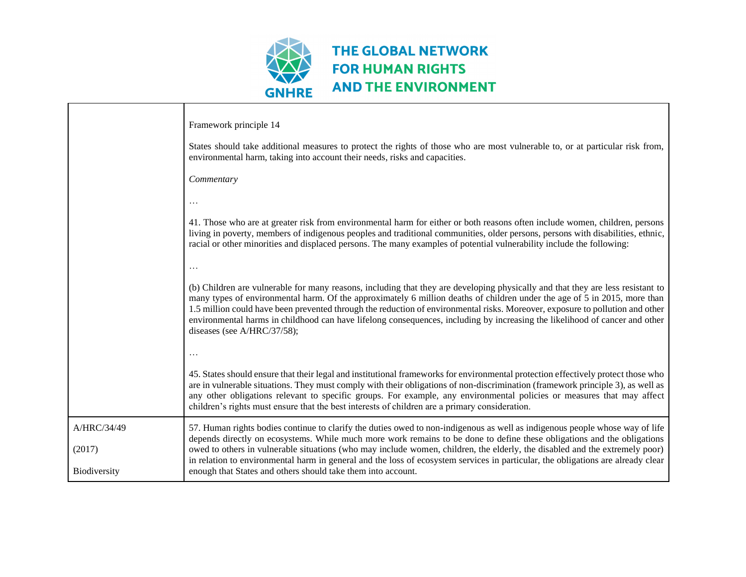

|                                       | Framework principle 14<br>States should take additional measures to protect the rights of those who are most vulnerable to, or at particular risk from,<br>environmental harm, taking into account their needs, risks and capacities.<br>Commentary                                                                                                                                                                                                                                                                                                                                        |
|---------------------------------------|--------------------------------------------------------------------------------------------------------------------------------------------------------------------------------------------------------------------------------------------------------------------------------------------------------------------------------------------------------------------------------------------------------------------------------------------------------------------------------------------------------------------------------------------------------------------------------------------|
|                                       | .<br>41. Those who are at greater risk from environmental harm for either or both reasons often include women, children, persons<br>living in poverty, members of indigenous peoples and traditional communities, older persons, persons with disabilities, ethnic,<br>racial or other minorities and displaced persons. The many examples of potential vulnerability include the following:<br>$\cdot$ .                                                                                                                                                                                  |
|                                       | (b) Children are vulnerable for many reasons, including that they are developing physically and that they are less resistant to<br>many types of environmental harm. Of the approximately 6 million deaths of children under the age of 5 in 2015, more than<br>1.5 million could have been prevented through the reduction of environmental risks. Moreover, exposure to pollution and other<br>environmental harms in childhood can have lifelong consequences, including by increasing the likelihood of cancer and other<br>diseases (see A/HRC/37/58);<br>$\cdots$                    |
|                                       | 45. States should ensure that their legal and institutional frameworks for environmental protection effectively protect those who<br>are in vulnerable situations. They must comply with their obligations of non-discrimination (framework principle 3), as well as<br>any other obligations relevant to specific groups. For example, any environmental policies or measures that may affect<br>children's rights must ensure that the best interests of children are a primary consideration.                                                                                           |
| A/HRC/34/49<br>(2017)<br>Biodiversity | 57. Human rights bodies continue to clarify the duties owed to non-indigenous as well as indigenous people whose way of life<br>depends directly on ecosystems. While much more work remains to be done to define these obligations and the obligations<br>owed to others in vulnerable situations (who may include women, children, the elderly, the disabled and the extremely poor)<br>in relation to environmental harm in general and the loss of ecosystem services in particular, the obligations are already clear<br>enough that States and others should take them into account. |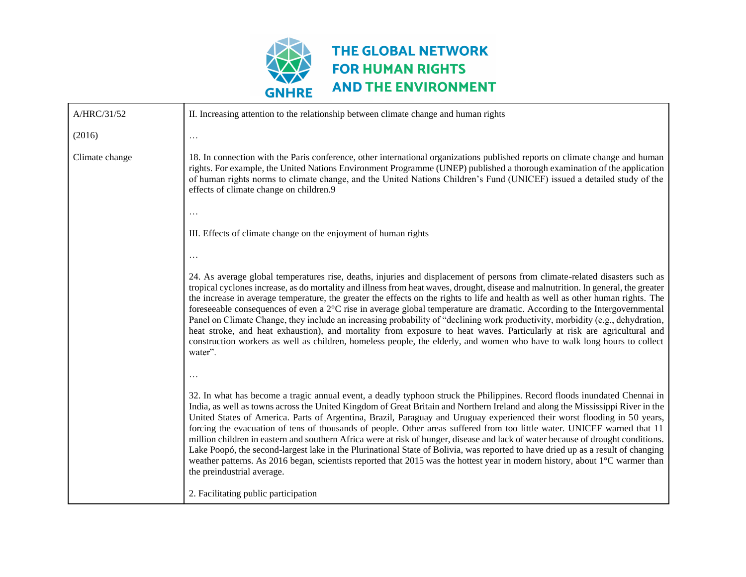

| A/HRC/31/52    | II. Increasing attention to the relationship between climate change and human rights                                                                                                                                                                                                                                                                                                                                                                                                                                                                                                                                                                                                                                                                                                                                                                                                                                                                      |
|----------------|-----------------------------------------------------------------------------------------------------------------------------------------------------------------------------------------------------------------------------------------------------------------------------------------------------------------------------------------------------------------------------------------------------------------------------------------------------------------------------------------------------------------------------------------------------------------------------------------------------------------------------------------------------------------------------------------------------------------------------------------------------------------------------------------------------------------------------------------------------------------------------------------------------------------------------------------------------------|
| (2016)         | $\cdots$                                                                                                                                                                                                                                                                                                                                                                                                                                                                                                                                                                                                                                                                                                                                                                                                                                                                                                                                                  |
| Climate change | 18. In connection with the Paris conference, other international organizations published reports on climate change and human<br>rights. For example, the United Nations Environment Programme (UNEP) published a thorough examination of the application<br>of human rights norms to climate change, and the United Nations Children's Fund (UNICEF) issued a detailed study of the<br>effects of climate change on children.9                                                                                                                                                                                                                                                                                                                                                                                                                                                                                                                            |
|                | $\cdots$                                                                                                                                                                                                                                                                                                                                                                                                                                                                                                                                                                                                                                                                                                                                                                                                                                                                                                                                                  |
|                | III. Effects of climate change on the enjoyment of human rights                                                                                                                                                                                                                                                                                                                                                                                                                                                                                                                                                                                                                                                                                                                                                                                                                                                                                           |
|                | $\cdots$                                                                                                                                                                                                                                                                                                                                                                                                                                                                                                                                                                                                                                                                                                                                                                                                                                                                                                                                                  |
|                | 24. As average global temperatures rise, deaths, injuries and displacement of persons from climate-related disasters such as<br>tropical cyclones increase, as do mortality and illness from heat waves, drought, disease and malnutrition. In general, the greater<br>the increase in average temperature, the greater the effects on the rights to life and health as well as other human rights. The<br>foreseeable consequences of even a 2°C rise in average global temperature are dramatic. According to the Intergovernmental<br>Panel on Climate Change, they include an increasing probability of "declining work productivity, morbidity (e.g., dehydration,<br>heat stroke, and heat exhaustion), and mortality from exposure to heat waves. Particularly at risk are agricultural and<br>construction workers as well as children, homeless people, the elderly, and women who have to walk long hours to collect<br>water".                 |
|                |                                                                                                                                                                                                                                                                                                                                                                                                                                                                                                                                                                                                                                                                                                                                                                                                                                                                                                                                                           |
|                | 32. In what has become a tragic annual event, a deadly typhoon struck the Philippines. Record floods inundated Chennai in<br>India, as well as towns across the United Kingdom of Great Britain and Northern Ireland and along the Mississippi River in the<br>United States of America. Parts of Argentina, Brazil, Paraguay and Uruguay experienced their worst flooding in 50 years,<br>forcing the evacuation of tens of thousands of people. Other areas suffered from too little water. UNICEF warned that 11<br>million children in eastern and southern Africa were at risk of hunger, disease and lack of water because of drought conditions.<br>Lake Poopó, the second-largest lake in the Plurinational State of Bolivia, was reported to have dried up as a result of changing<br>weather patterns. As 2016 began, scientists reported that 2015 was the hottest year in modern history, about 1°C warmer than<br>the preindustrial average. |
|                | 2. Facilitating public participation                                                                                                                                                                                                                                                                                                                                                                                                                                                                                                                                                                                                                                                                                                                                                                                                                                                                                                                      |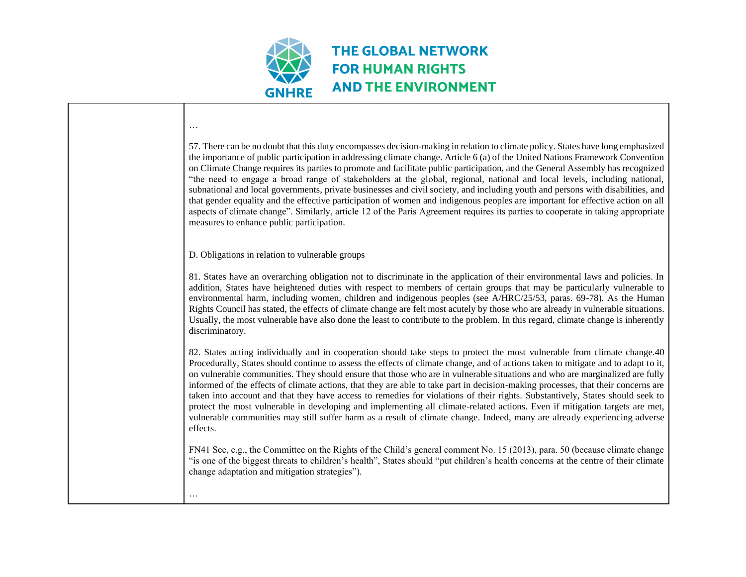

| 57. There can be no doubt that this duty encompasses decision-making in relation to climate policy. States have long emphasized<br>the importance of public participation in addressing climate change. Article 6 (a) of the United Nations Framework Convention<br>on Climate Change requires its parties to promote and facilitate public participation, and the General Assembly has recognized<br>"the need to engage a broad range of stakeholders at the global, regional, national and local levels, including national,<br>subnational and local governments, private businesses and civil society, and including youth and persons with disabilities, and<br>that gender equality and the effective participation of women and indigenous peoples are important for effective action on all<br>aspects of climate change". Similarly, article 12 of the Paris Agreement requires its parties to cooperate in taking appropriate<br>measures to enhance public participation. |
|---------------------------------------------------------------------------------------------------------------------------------------------------------------------------------------------------------------------------------------------------------------------------------------------------------------------------------------------------------------------------------------------------------------------------------------------------------------------------------------------------------------------------------------------------------------------------------------------------------------------------------------------------------------------------------------------------------------------------------------------------------------------------------------------------------------------------------------------------------------------------------------------------------------------------------------------------------------------------------------|
| D. Obligations in relation to vulnerable groups                                                                                                                                                                                                                                                                                                                                                                                                                                                                                                                                                                                                                                                                                                                                                                                                                                                                                                                                       |
| 81. States have an overarching obligation not to discriminate in the application of their environmental laws and policies. In<br>addition, States have heightened duties with respect to members of certain groups that may be particularly vulnerable to<br>environmental harm, including women, children and indigenous peoples (see A/HRC/25/53, paras. 69-78). As the Human<br>Rights Council has stated, the effects of climate change are felt most acutely by those who are already in vulnerable situations.<br>Usually, the most vulnerable have also done the least to contribute to the problem. In this regard, climate change is inherently<br>discriminatory.                                                                                                                                                                                                                                                                                                           |
| 82. States acting individually and in cooperation should take steps to protect the most vulnerable from climate change.40<br>Procedurally, States should continue to assess the effects of climate change, and of actions taken to mitigate and to adapt to it,<br>on vulnerable communities. They should ensure that those who are in vulnerable situations and who are marginalized are fully<br>informed of the effects of climate actions, that they are able to take part in decision-making processes, that their concerns are<br>taken into account and that they have access to remedies for violations of their rights. Substantively, States should seek to<br>protect the most vulnerable in developing and implementing all climate-related actions. Even if mitigation targets are met,<br>vulnerable communities may still suffer harm as a result of climate change. Indeed, many are already experiencing adverse<br>effects.                                         |
| FN41 See, e.g., the Committee on the Rights of the Child's general comment No. 15 (2013), para. 50 (because climate change<br>"is one of the biggest threats to children's health", States should "put children's health concerns at the centre of their climate<br>change adaptation and mitigation strategies").                                                                                                                                                                                                                                                                                                                                                                                                                                                                                                                                                                                                                                                                    |
|                                                                                                                                                                                                                                                                                                                                                                                                                                                                                                                                                                                                                                                                                                                                                                                                                                                                                                                                                                                       |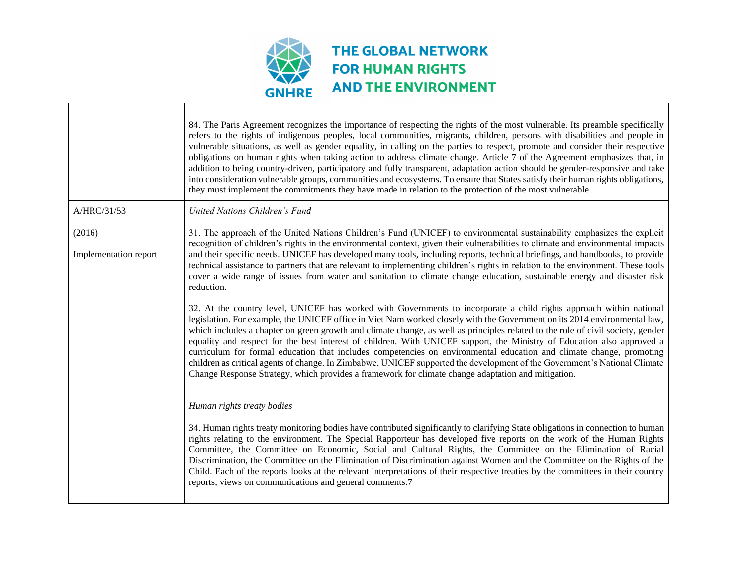

 $\blacksquare$ 

|                                 | 84. The Paris Agreement recognizes the importance of respecting the rights of the most vulnerable. Its preamble specifically<br>refers to the rights of indigenous peoples, local communities, migrants, children, persons with disabilities and people in<br>vulnerable situations, as well as gender equality, in calling on the parties to respect, promote and consider their respective<br>obligations on human rights when taking action to address climate change. Article 7 of the Agreement emphasizes that, in<br>addition to being country-driven, participatory and fully transparent, adaptation action should be gender-responsive and take<br>into consideration vulnerable groups, communities and ecosystems. To ensure that States satisfy their human rights obligations,<br>they must implement the commitments they have made in relation to the protection of the most vulnerable.                                                                                                                                                                                                                                                                                                                                                                                                                                                                                                                                                                                                                                            |
|---------------------------------|-----------------------------------------------------------------------------------------------------------------------------------------------------------------------------------------------------------------------------------------------------------------------------------------------------------------------------------------------------------------------------------------------------------------------------------------------------------------------------------------------------------------------------------------------------------------------------------------------------------------------------------------------------------------------------------------------------------------------------------------------------------------------------------------------------------------------------------------------------------------------------------------------------------------------------------------------------------------------------------------------------------------------------------------------------------------------------------------------------------------------------------------------------------------------------------------------------------------------------------------------------------------------------------------------------------------------------------------------------------------------------------------------------------------------------------------------------------------------------------------------------------------------------------------------------|
| A/HRC/31/53                     | United Nations Children's Fund                                                                                                                                                                                                                                                                                                                                                                                                                                                                                                                                                                                                                                                                                                                                                                                                                                                                                                                                                                                                                                                                                                                                                                                                                                                                                                                                                                                                                                                                                                                      |
| (2016)<br>Implementation report | 31. The approach of the United Nations Children's Fund (UNICEF) to environmental sustainability emphasizes the explicit<br>recognition of children's rights in the environmental context, given their vulnerabilities to climate and environmental impacts<br>and their specific needs. UNICEF has developed many tools, including reports, technical briefings, and handbooks, to provide<br>technical assistance to partners that are relevant to implementing children's rights in relation to the environment. These tools<br>cover a wide range of issues from water and sanitation to climate change education, sustainable energy and disaster risk<br>reduction.<br>32. At the country level, UNICEF has worked with Governments to incorporate a child rights approach within national<br>legislation. For example, the UNICEF office in Viet Nam worked closely with the Government on its 2014 environmental law,<br>which includes a chapter on green growth and climate change, as well as principles related to the role of civil society, gender<br>equality and respect for the best interest of children. With UNICEF support, the Ministry of Education also approved a<br>curriculum for formal education that includes competencies on environmental education and climate change, promoting<br>children as critical agents of change. In Zimbabwe, UNICEF supported the development of the Government's National Climate<br>Change Response Strategy, which provides a framework for climate change adaptation and mitigation. |
|                                 | Human rights treaty bodies<br>34. Human rights treaty monitoring bodies have contributed significantly to clarifying State obligations in connection to human<br>rights relating to the environment. The Special Rapporteur has developed five reports on the work of the Human Rights<br>Committee, the Committee on Economic, Social and Cultural Rights, the Committee on the Elimination of Racial<br>Discrimination, the Committee on the Elimination of Discrimination against Women and the Committee on the Rights of the<br>Child. Each of the reports looks at the relevant interpretations of their respective treaties by the committees in their country<br>reports, views on communications and general comments.7                                                                                                                                                                                                                                                                                                                                                                                                                                                                                                                                                                                                                                                                                                                                                                                                                    |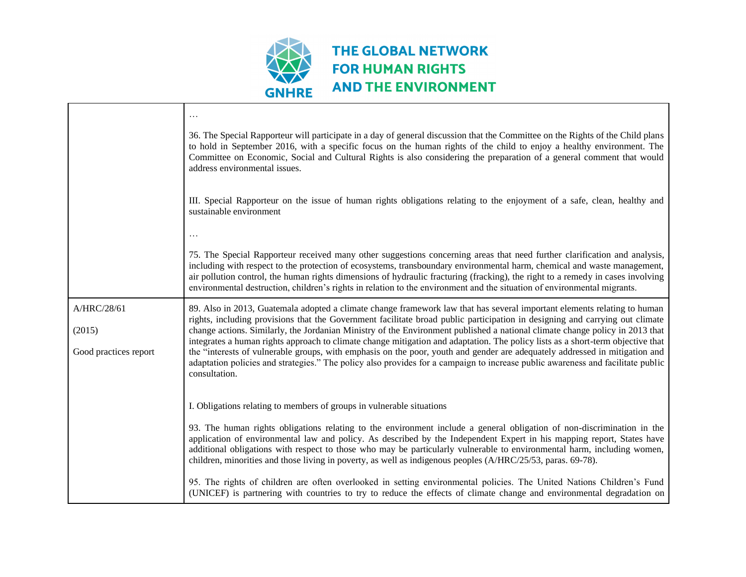

|                       | 36. The Special Rapporteur will participate in a day of general discussion that the Committee on the Rights of the Child plans<br>to hold in September 2016, with a specific focus on the human rights of the child to enjoy a healthy environment. The<br>Committee on Economic, Social and Cultural Rights is also considering the preparation of a general comment that would<br>address environmental issues.                                                                                                    |
|-----------------------|----------------------------------------------------------------------------------------------------------------------------------------------------------------------------------------------------------------------------------------------------------------------------------------------------------------------------------------------------------------------------------------------------------------------------------------------------------------------------------------------------------------------|
|                       | III. Special Rapporteur on the issue of human rights obligations relating to the enjoyment of a safe, clean, healthy and<br>sustainable environment                                                                                                                                                                                                                                                                                                                                                                  |
|                       | .                                                                                                                                                                                                                                                                                                                                                                                                                                                                                                                    |
|                       | 75. The Special Rapporteur received many other suggestions concerning areas that need further clarification and analysis,<br>including with respect to the protection of ecosystems, transboundary environmental harm, chemical and waste management,<br>air pollution control, the human rights dimensions of hydraulic fracturing (fracking), the right to a remedy in cases involving<br>environmental destruction, children's rights in relation to the environment and the situation of environmental migrants. |
| A/HRC/28/61<br>(2015) | 89. Also in 2013, Guatemala adopted a climate change framework law that has several important elements relating to human<br>rights, including provisions that the Government facilitate broad public participation in designing and carrying out climate<br>change actions. Similarly, the Jordanian Ministry of the Environment published a national climate change policy in 2013 that                                                                                                                             |
| Good practices report | integrates a human rights approach to climate change mitigation and adaptation. The policy lists as a short-term objective that<br>the "interests of vulnerable groups, with emphasis on the poor, youth and gender are adequately addressed in mitigation and<br>adaptation policies and strategies." The policy also provides for a campaign to increase public awareness and facilitate public<br>consultation.                                                                                                   |
|                       | I. Obligations relating to members of groups in vulnerable situations                                                                                                                                                                                                                                                                                                                                                                                                                                                |
|                       | 93. The human rights obligations relating to the environment include a general obligation of non-discrimination in the<br>application of environmental law and policy. As described by the Independent Expert in his mapping report, States have<br>additional obligations with respect to those who may be particularly vulnerable to environmental harm, including women,<br>children, minorities and those living in poverty, as well as indigenous peoples (A/HRC/25/53, paras. 69-78).                          |
|                       | 95. The rights of children are often overlooked in setting environmental policies. The United Nations Children's Fund<br>(UNICEF) is partnering with countries to try to reduce the effects of climate change and environmental degradation on                                                                                                                                                                                                                                                                       |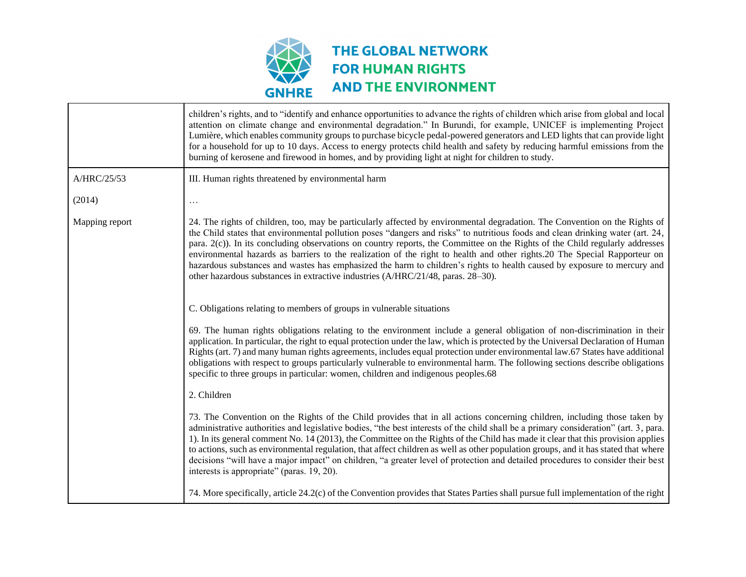

Г

|                | children's rights, and to "identify and enhance opportunities to advance the rights of children which arise from global and local<br>attention on climate change and environmental degradation." In Burundi, for example, UNICEF is implementing Project<br>Lumière, which enables community groups to purchase bicycle pedal-powered generators and LED lights that can provide light<br>for a household for up to 10 days. Access to energy protects child health and safety by reducing harmful emissions from the<br>burning of kerosene and firewood in homes, and by providing light at night for children to study.                                                                                                                 |
|----------------|--------------------------------------------------------------------------------------------------------------------------------------------------------------------------------------------------------------------------------------------------------------------------------------------------------------------------------------------------------------------------------------------------------------------------------------------------------------------------------------------------------------------------------------------------------------------------------------------------------------------------------------------------------------------------------------------------------------------------------------------|
| A/HRC/25/53    | III. Human rights threatened by environmental harm                                                                                                                                                                                                                                                                                                                                                                                                                                                                                                                                                                                                                                                                                         |
| (2014)         | $\cdots$                                                                                                                                                                                                                                                                                                                                                                                                                                                                                                                                                                                                                                                                                                                                   |
| Mapping report | 24. The rights of children, too, may be particularly affected by environmental degradation. The Convention on the Rights of<br>the Child states that environmental pollution poses "dangers and risks" to nutritious foods and clean drinking water (art. 24,<br>para. 2(c)). In its concluding observations on country reports, the Committee on the Rights of the Child regularly addresses<br>environmental hazards as barriers to the realization of the right to health and other rights.20 The Special Rapporteur on<br>hazardous substances and wastes has emphasized the harm to children's rights to health caused by exposure to mercury and<br>other hazardous substances in extractive industries (A/HRC/21/48, paras. 28–30). |
|                | C. Obligations relating to members of groups in vulnerable situations                                                                                                                                                                                                                                                                                                                                                                                                                                                                                                                                                                                                                                                                      |
|                | 69. The human rights obligations relating to the environment include a general obligation of non-discrimination in their<br>application. In particular, the right to equal protection under the law, which is protected by the Universal Declaration of Human<br>Rights (art. 7) and many human rights agreements, includes equal protection under environmental law.67 States have additional<br>obligations with respect to groups particularly vulnerable to environmental harm. The following sections describe obligations<br>specific to three groups in particular: women, children and indigenous peoples.68                                                                                                                       |
|                | 2. Children                                                                                                                                                                                                                                                                                                                                                                                                                                                                                                                                                                                                                                                                                                                                |
|                | 73. The Convention on the Rights of the Child provides that in all actions concerning children, including those taken by<br>administrative authorities and legislative bodies, "the best interests of the child shall be a primary consideration" (art. 3, para.<br>1). In its general comment No. 14 (2013), the Committee on the Rights of the Child has made it clear that this provision applies<br>to actions, such as environmental regulation, that affect children as well as other population groups, and it has stated that where<br>decisions "will have a major impact" on children, "a greater level of protection and detailed procedures to consider their best<br>interests is appropriate" (paras. 19, 20).               |
|                | 74. More specifically, article 24.2(c) of the Convention provides that States Parties shall pursue full implementation of the right                                                                                                                                                                                                                                                                                                                                                                                                                                                                                                                                                                                                        |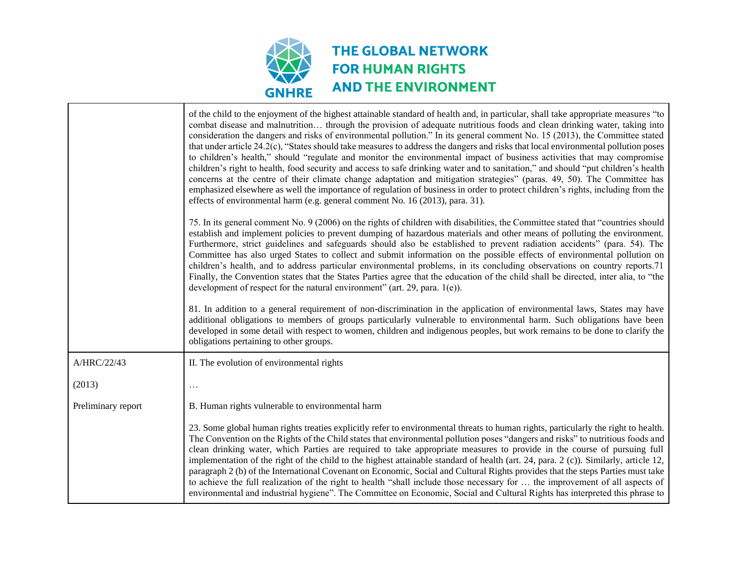

|                    | of the child to the enjoyment of the highest attainable standard of health and, in particular, shall take appropriate measures "to<br>combat disease and malnutrition through the provision of adequate nutritious foods and clean drinking water, taking into<br>consideration the dangers and risks of environmental pollution." In its general comment No. 15 (2013), the Committee stated<br>that under article $24.2(c)$ , "States should take measures to address the dangers and risks that local environmental pollution poses<br>to children's health," should "regulate and monitor the environmental impact of business activities that may compromise<br>children's right to health, food security and access to safe drinking water and to sanitation," and should "put children's health<br>concerns at the centre of their climate change adaptation and mitigation strategies" (paras. 49, 50). The Committee has<br>emphasized elsewhere as well the importance of regulation of business in order to protect children's rights, including from the<br>effects of environmental harm (e.g. general comment No. 16 (2013), para. 31). |
|--------------------|-------------------------------------------------------------------------------------------------------------------------------------------------------------------------------------------------------------------------------------------------------------------------------------------------------------------------------------------------------------------------------------------------------------------------------------------------------------------------------------------------------------------------------------------------------------------------------------------------------------------------------------------------------------------------------------------------------------------------------------------------------------------------------------------------------------------------------------------------------------------------------------------------------------------------------------------------------------------------------------------------------------------------------------------------------------------------------------------------------------------------------------------------------|
|                    | 75. In its general comment No. 9 (2006) on the rights of children with disabilities, the Committee stated that "countries should<br>establish and implement policies to prevent dumping of hazardous materials and other means of polluting the environment.<br>Furthermore, strict guidelines and safeguards should also be established to prevent radiation accidents" (para. 54). The<br>Committee has also urged States to collect and submit information on the possible effects of environmental pollution on<br>children's health, and to address particular environmental problems, in its concluding observations on country reports.71<br>Finally, the Convention states that the States Parties agree that the education of the child shall be directed, inter alia, to "the<br>development of respect for the natural environment" (art. 29, para. $1(e)$ ).                                                                                                                                                                                                                                                                              |
|                    | 81. In addition to a general requirement of non-discrimination in the application of environmental laws, States may have<br>additional obligations to members of groups particularly vulnerable to environmental harm. Such obligations have been<br>developed in some detail with respect to women, children and indigenous peoples, but work remains to be done to clarify the<br>obligations pertaining to other groups.                                                                                                                                                                                                                                                                                                                                                                                                                                                                                                                                                                                                                                                                                                                           |
| A/HRC/22/43        | II. The evolution of environmental rights                                                                                                                                                                                                                                                                                                                                                                                                                                                                                                                                                                                                                                                                                                                                                                                                                                                                                                                                                                                                                                                                                                             |
| (2013)             |                                                                                                                                                                                                                                                                                                                                                                                                                                                                                                                                                                                                                                                                                                                                                                                                                                                                                                                                                                                                                                                                                                                                                       |
| Preliminary report | B. Human rights vulnerable to environmental harm                                                                                                                                                                                                                                                                                                                                                                                                                                                                                                                                                                                                                                                                                                                                                                                                                                                                                                                                                                                                                                                                                                      |
|                    | 23. Some global human rights treaties explicitly refer to environmental threats to human rights, particularly the right to health.<br>The Convention on the Rights of the Child states that environmental pollution poses "dangers and risks" to nutritious foods and<br>clean drinking water, which Parties are required to take appropriate measures to provide in the course of pursuing full<br>implementation of the right of the child to the highest attainable standard of health (art. 24, para. 2 (c)). Similarly, article 12,<br>paragraph 2 (b) of the International Covenant on Economic, Social and Cultural Rights provides that the steps Parties must take<br>to achieve the full realization of the right to health "shall include those necessary for  the improvement of all aspects of<br>environmental and industrial hygiene". The Committee on Economic, Social and Cultural Rights has interpreted this phrase to                                                                                                                                                                                                            |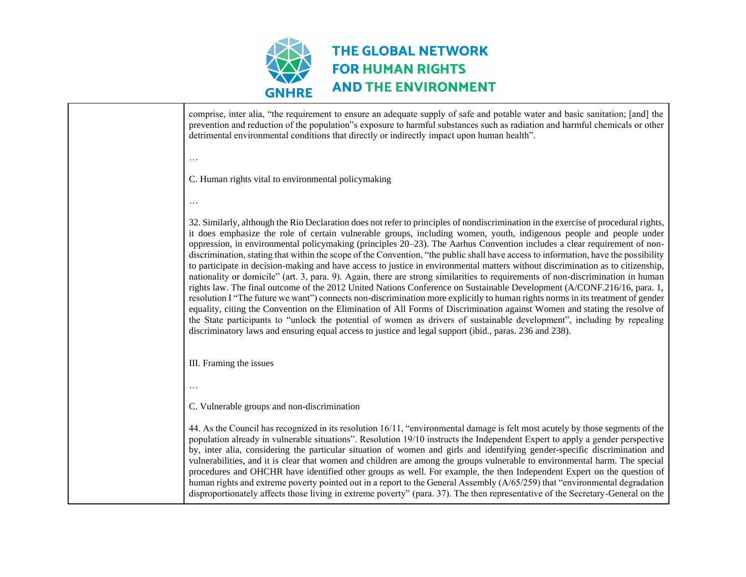

comprise, inter alia, "the requirement to ensure an adequate supply of safe and potable water and basic sanitation; [and] the prevention and reduction of the population"s exposure to harmful substances such as radiation and harmful chemicals or other detrimental environmental conditions that directly or indirectly impact upon human health". … C. Human rights vital to environmental policymaking … 32. Similarly, although the Rio Declaration does not refer to principles of nondiscrimination in the exercise of procedural rights, it does emphasize the role of certain vulnerable groups, including women, youth, indigenous people and people under oppression, in environmental policymaking (principles 20–23). The Aarhus Convention includes a clear requirement of nondiscrimination, stating that within the scope of the Convention, "the public shall have access to information, have the possibility to participate in decision-making and have access to justice in environmental matters without discrimination as to citizenship, nationality or domicile" (art. 3, para. 9). Again, there are strong similarities to requirements of non-discrimination in human rights law. The final outcome of the 2012 United Nations Conference on Sustainable Development (A/CONF.216/16, para. 1, resolution I "The future we want") connects non-discrimination more explicitly to human rights norms in its treatment of gender equality, citing the Convention on the Elimination of All Forms of Discrimination against Women and stating the resolve of the State participants to "unlock the potential of women as drivers of sustainable development", including by repealing discriminatory laws and ensuring equal access to justice and legal support (ibid., paras. 236 and 238). III. Framing the issues … C. Vulnerable groups and non-discrimination 44. As the Council has recognized in its resolution 16/11, "environmental damage is felt most acutely by those segments of the population already in vulnerable situations". Resolution 19/10 instructs the Independent Expert to apply a gender perspective by, inter alia, considering the particular situation of women and girls and identifying gender-specific discrimination and vulnerabilities, and it is clear that women and children are among the groups vulnerable to environmental harm. The special procedures and OHCHR have identified other groups as well. For example, the then Independent Expert on the question of human rights and extreme poverty pointed out in a report to the General Assembly (A/65/259) that "environmental degradation disproportionately affects those living in extreme poverty" (para. 37). The then representative of the Secretary-General on the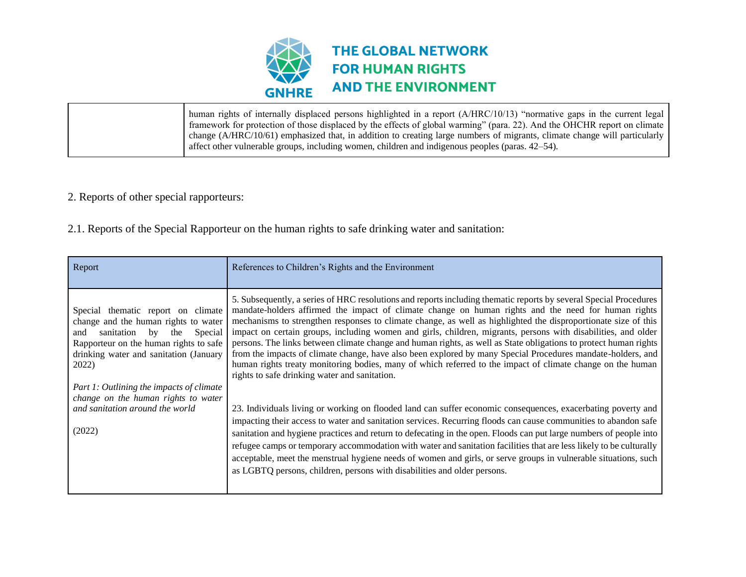

human rights of internally displaced persons highlighted in a report (A/HRC/10/13) "normative gaps in the current legal framework for protection of those displaced by the effects of global warming" (para. 22). And the OHCHR report on climate change (A/HRC/10/61) emphasized that, in addition to creating large numbers of migrants, climate change will particularly affect other vulnerable groups, including women, children and indigenous peoples (paras. 42–54).

- 2. Reports of other special rapporteurs:
- 2.1. Reports of the Special Rapporteur on the human rights to safe drinking water and sanitation:

| Report                                                                                                                                                                                                            | References to Children's Rights and the Environment                                                                                                                                                                                                                                                                                                                                                                                                                                                                                                                                                                                                                                                                                                                                                                                                           |
|-------------------------------------------------------------------------------------------------------------------------------------------------------------------------------------------------------------------|---------------------------------------------------------------------------------------------------------------------------------------------------------------------------------------------------------------------------------------------------------------------------------------------------------------------------------------------------------------------------------------------------------------------------------------------------------------------------------------------------------------------------------------------------------------------------------------------------------------------------------------------------------------------------------------------------------------------------------------------------------------------------------------------------------------------------------------------------------------|
| Special thematic report on climate<br>change and the human rights to water<br>Special<br>sanitation by<br>the<br>and<br>Rapporteur on the human rights to safe<br>drinking water and sanitation (January<br>2022) | 5. Subsequently, a series of HRC resolutions and reports including thematic reports by several Special Procedures<br>mandate-holders affirmed the impact of climate change on human rights and the need for human rights<br>mechanisms to strengthen responses to climate change, as well as highlighted the disproportionate size of this<br>impact on certain groups, including women and girls, children, migrants, persons with disabilities, and older<br>persons. The links between climate change and human rights, as well as State obligations to protect human rights<br>from the impacts of climate change, have also been explored by many Special Procedures mandate-holders, and<br>human rights treaty monitoring bodies, many of which referred to the impact of climate change on the human<br>rights to safe drinking water and sanitation. |
| Part 1: Outlining the impacts of climate<br>change on the human rights to water<br>and sanitation around the world<br>(2022)                                                                                      | 23. Individuals living or working on flooded land can suffer economic consequences, exacerbating poverty and<br>impacting their access to water and sanitation services. Recurring floods can cause communities to abandon safe<br>sanitation and hygiene practices and return to defecating in the open. Floods can put large numbers of people into<br>refugee camps or temporary accommodation with water and sanitation facilities that are less likely to be culturally<br>acceptable, meet the menstrual hygiene needs of women and girls, or serve groups in vulnerable situations, such<br>as LGBTQ persons, children, persons with disabilities and older persons.                                                                                                                                                                                   |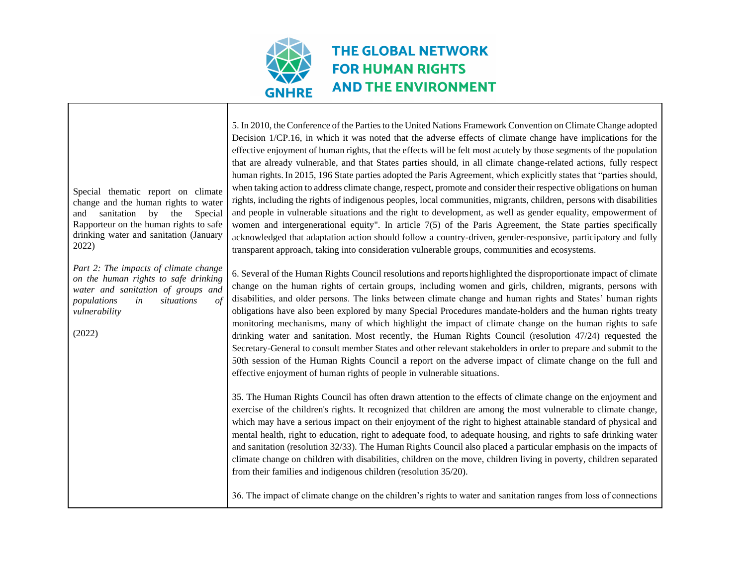

Τ

| Special thematic report on climate<br>change and the human rights to water<br>sanitation<br>by the<br>Special<br>and<br>Rapporteur on the human rights to safe<br>drinking water and sanitation (January<br>2022)    | 5. In 2010, the Conference of the Parties to the United Nations Framework Convention on Climate Change adopted<br>Decision 1/CP.16, in which it was noted that the adverse effects of climate change have implications for the<br>effective enjoyment of human rights, that the effects will be felt most acutely by those segments of the population<br>that are already vulnerable, and that States parties should, in all climate change-related actions, fully respect<br>human rights. In 2015, 196 State parties adopted the Paris Agreement, which explicitly states that "parties should,<br>when taking action to address climate change, respect, promote and consider their respective obligations on human<br>rights, including the rights of indigenous peoples, local communities, migrants, children, persons with disabilities<br>and people in vulnerable situations and the right to development, as well as gender equality, empowerment of<br>women and intergenerational equity". In article 7(5) of the Paris Agreement, the State parties specifically<br>acknowledged that adaptation action should follow a country-driven, gender-responsive, participatory and fully<br>transparent approach, taking into consideration vulnerable groups, communities and ecosystems. |
|----------------------------------------------------------------------------------------------------------------------------------------------------------------------------------------------------------------------|---------------------------------------------------------------------------------------------------------------------------------------------------------------------------------------------------------------------------------------------------------------------------------------------------------------------------------------------------------------------------------------------------------------------------------------------------------------------------------------------------------------------------------------------------------------------------------------------------------------------------------------------------------------------------------------------------------------------------------------------------------------------------------------------------------------------------------------------------------------------------------------------------------------------------------------------------------------------------------------------------------------------------------------------------------------------------------------------------------------------------------------------------------------------------------------------------------------------------------------------------------------------------------------------------|
| Part 2: The impacts of climate change<br>on the human rights to safe drinking<br>water and sanitation of groups and<br>$\frac{\partial f}{\partial x}$<br>populations<br>situations<br>in<br>vulnerability<br>(2022) | 6. Several of the Human Rights Council resolutions and reports highlighted the disproportionate impact of climate<br>change on the human rights of certain groups, including women and girls, children, migrants, persons with<br>disabilities, and older persons. The links between climate change and human rights and States' human rights<br>obligations have also been explored by many Special Procedures mandate-holders and the human rights treaty<br>monitoring mechanisms, many of which highlight the impact of climate change on the human rights to safe<br>drinking water and sanitation. Most recently, the Human Rights Council (resolution 47/24) requested the<br>Secretary-General to consult member States and other relevant stakeholders in order to prepare and submit to the<br>50th session of the Human Rights Council a report on the adverse impact of climate change on the full and<br>effective enjoyment of human rights of people in vulnerable situations.                                                                                                                                                                                                                                                                                                     |
|                                                                                                                                                                                                                      | 35. The Human Rights Council has often drawn attention to the effects of climate change on the enjoyment and<br>exercise of the children's rights. It recognized that children are among the most vulnerable to climate change,<br>which may have a serious impact on their enjoyment of the right to highest attainable standard of physical and<br>mental health, right to education, right to adequate food, to adequate housing, and rights to safe drinking water<br>and sanitation (resolution 32/33). The Human Rights Council also placed a particular emphasis on the impacts of<br>climate change on children with disabilities, children on the move, children living in poverty, children separated<br>from their families and indigenous children (resolution 35/20).                                                                                                                                                                                                                                                                                                                                                                                                                                                                                                                |
|                                                                                                                                                                                                                      | 36. The impact of climate change on the children's rights to water and sanitation ranges from loss of connections                                                                                                                                                                                                                                                                                                                                                                                                                                                                                                                                                                                                                                                                                                                                                                                                                                                                                                                                                                                                                                                                                                                                                                                 |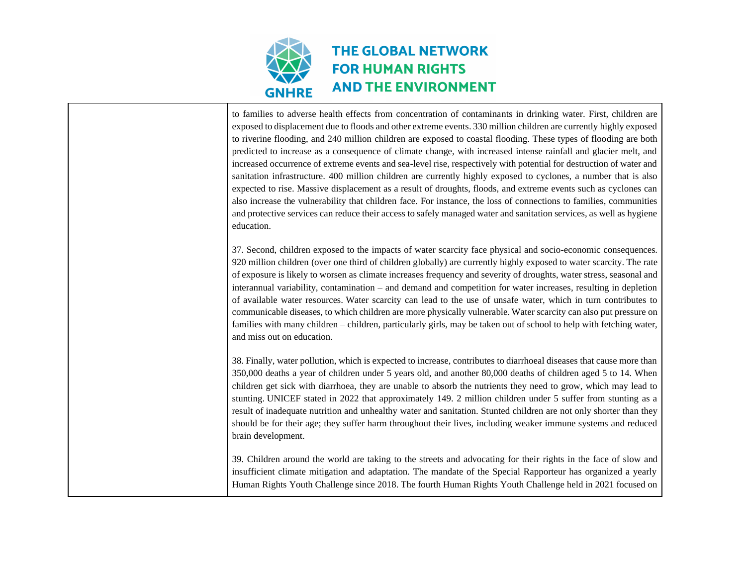

| to families to adverse health effects from concentration of contaminants in drinking water. First, children are<br>exposed to displacement due to floods and other extreme events. 330 million children are currently highly exposed<br>to riverine flooding, and 240 million children are exposed to coastal flooding. These types of flooding are both<br>predicted to increase as a consequence of climate change, with increased intense rainfall and glacier melt, and<br>increased occurrence of extreme events and sea-level rise, respectively with potential for destruction of water and<br>sanitation infrastructure. 400 million children are currently highly exposed to cyclones, a number that is also<br>expected to rise. Massive displacement as a result of droughts, floods, and extreme events such as cyclones can<br>also increase the vulnerability that children face. For instance, the loss of connections to families, communities<br>and protective services can reduce their access to safely managed water and sanitation services, as well as hygiene<br>education. |
|-----------------------------------------------------------------------------------------------------------------------------------------------------------------------------------------------------------------------------------------------------------------------------------------------------------------------------------------------------------------------------------------------------------------------------------------------------------------------------------------------------------------------------------------------------------------------------------------------------------------------------------------------------------------------------------------------------------------------------------------------------------------------------------------------------------------------------------------------------------------------------------------------------------------------------------------------------------------------------------------------------------------------------------------------------------------------------------------------------|
| 37. Second, children exposed to the impacts of water scarcity face physical and socio-economic consequences.<br>920 million children (over one third of children globally) are currently highly exposed to water scarcity. The rate<br>of exposure is likely to worsen as climate increases frequency and severity of droughts, water stress, seasonal and<br>interannual variability, contamination – and demand and competition for water increases, resulting in depletion<br>of available water resources. Water scarcity can lead to the use of unsafe water, which in turn contributes to<br>communicable diseases, to which children are more physically vulnerable. Water scarcity can also put pressure on<br>families with many children – children, particularly girls, may be taken out of school to help with fetching water,<br>and miss out on education.                                                                                                                                                                                                                            |
| 38. Finally, water pollution, which is expected to increase, contributes to diarrhoeal diseases that cause more than<br>350,000 deaths a year of children under 5 years old, and another 80,000 deaths of children aged 5 to 14. When<br>children get sick with diarrhoea, they are unable to absorb the nutrients they need to grow, which may lead to<br>stunting. UNICEF stated in 2022 that approximately 149. 2 million children under 5 suffer from stunting as a<br>result of inadequate nutrition and unhealthy water and sanitation. Stunted children are not only shorter than they<br>should be for their age; they suffer harm throughout their lives, including weaker immune systems and reduced<br>brain development.                                                                                                                                                                                                                                                                                                                                                                |
| 39. Children around the world are taking to the streets and advocating for their rights in the face of slow and<br>insufficient climate mitigation and adaptation. The mandate of the Special Rapporteur has organized a yearly<br>Human Rights Youth Challenge since 2018. The fourth Human Rights Youth Challenge held in 2021 focused on                                                                                                                                                                                                                                                                                                                                                                                                                                                                                                                                                                                                                                                                                                                                                         |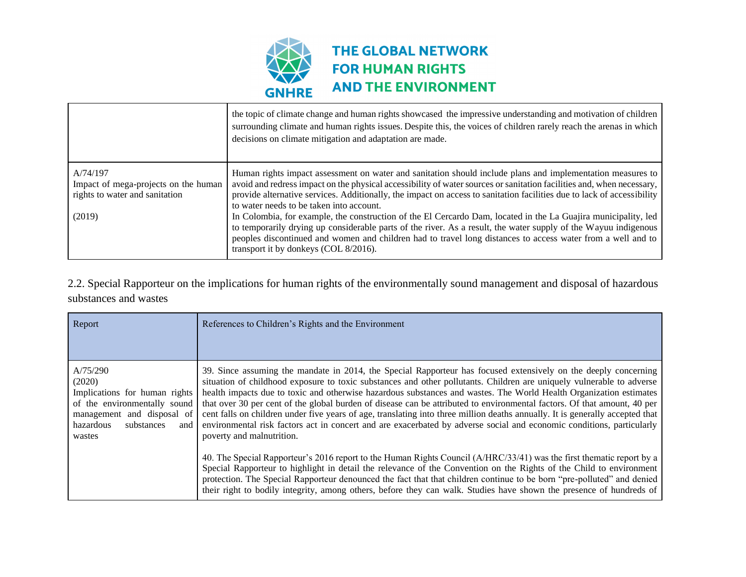

|                                                                                              | the topic of climate change and human rights showcased the impressive understanding and motivation of children<br>surrounding climate and human rights issues. Despite this, the voices of children rarely reach the arenas in which<br>decisions on climate mitigation and adaptation are made.                                                                                                                                                                                                                                                                                                                                                                                                                                                                                                       |
|----------------------------------------------------------------------------------------------|--------------------------------------------------------------------------------------------------------------------------------------------------------------------------------------------------------------------------------------------------------------------------------------------------------------------------------------------------------------------------------------------------------------------------------------------------------------------------------------------------------------------------------------------------------------------------------------------------------------------------------------------------------------------------------------------------------------------------------------------------------------------------------------------------------|
| A/74/197<br>Impact of mega-projects on the human<br>rights to water and sanitation<br>(2019) | Human rights impact assessment on water and sanitation should include plans and implementation measures to<br>avoid and redress impact on the physical accessibility of water sources or sanitation facilities and, when necessary,<br>provide alternative services. Additionally, the impact on access to sanitation facilities due to lack of accessibility<br>to water needs to be taken into account.<br>In Colombia, for example, the construction of the El Cercardo Dam, located in the La Guajira municipality, led<br>to temporarily drying up considerable parts of the river. As a result, the water supply of the Wayuu indigenous<br>peoples discontinued and women and children had to travel long distances to access water from a well and to<br>transport it by donkeys (COL 8/2016). |

2.2. Special Rapporteur on the implications for human rights of the environmentally sound management and disposal of hazardous substances and wastes

| Report                                                                                                                                                        | References to Children's Rights and the Environment                                                                                                                                                                                                                                                                                                                                                                                                                                                                                                                                                                                                                                                                                                                               |
|---------------------------------------------------------------------------------------------------------------------------------------------------------------|-----------------------------------------------------------------------------------------------------------------------------------------------------------------------------------------------------------------------------------------------------------------------------------------------------------------------------------------------------------------------------------------------------------------------------------------------------------------------------------------------------------------------------------------------------------------------------------------------------------------------------------------------------------------------------------------------------------------------------------------------------------------------------------|
|                                                                                                                                                               |                                                                                                                                                                                                                                                                                                                                                                                                                                                                                                                                                                                                                                                                                                                                                                                   |
| A/75/290<br>(2020)<br>Implications for human rights<br>of the environmentally sound<br>management and disposal of<br>hazardous<br>substances<br>and<br>wastes | 39. Since assuming the mandate in 2014, the Special Rapporteur has focused extensively on the deeply concerning<br>situation of childhood exposure to toxic substances and other pollutants. Children are uniquely vulnerable to adverse<br>health impacts due to toxic and otherwise hazardous substances and wastes. The World Health Organization estimates<br>that over 30 per cent of the global burden of disease can be attributed to environmental factors. Of that amount, 40 per<br>cent falls on children under five years of age, translating into three million deaths annually. It is generally accepted that<br>environmental risk factors act in concert and are exacerbated by adverse social and economic conditions, particularly<br>poverty and malnutrition. |
|                                                                                                                                                               | 40. The Special Rapporteur's 2016 report to the Human Rights Council (A/HRC/33/41) was the first thematic report by a<br>Special Rapporteur to highlight in detail the relevance of the Convention on the Rights of the Child to environment<br>protection. The Special Rapporteur denounced the fact that that children continue to be born "pre-polluted" and denied<br>their right to bodily integrity, among others, before they can walk. Studies have shown the presence of hundreds of                                                                                                                                                                                                                                                                                     |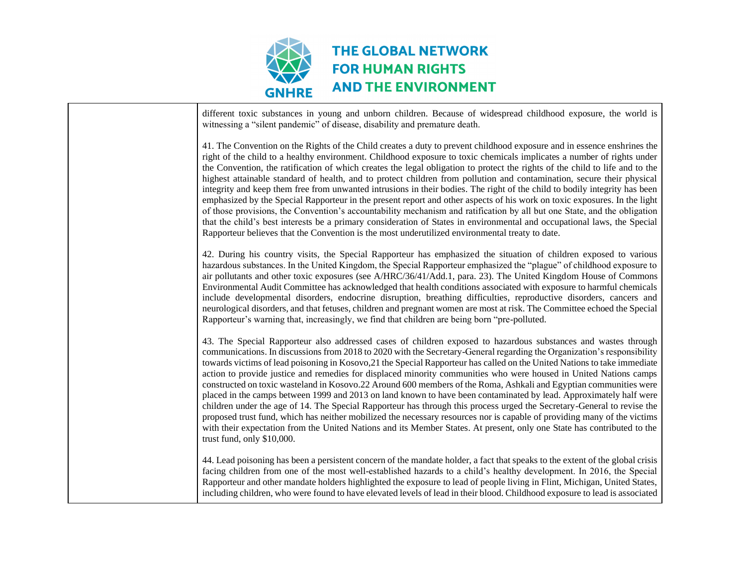

| different toxic substances in young and unborn children. Because of widespread childhood exposure, the world is<br>witnessing a "silent pandemic" of disease, disability and premature death.                                                                                                                                                                                                                                                                                                                                                                                                                                                                                                                                                                                                                                                                                                                                                                                                                                                                                                                                                          |
|--------------------------------------------------------------------------------------------------------------------------------------------------------------------------------------------------------------------------------------------------------------------------------------------------------------------------------------------------------------------------------------------------------------------------------------------------------------------------------------------------------------------------------------------------------------------------------------------------------------------------------------------------------------------------------------------------------------------------------------------------------------------------------------------------------------------------------------------------------------------------------------------------------------------------------------------------------------------------------------------------------------------------------------------------------------------------------------------------------------------------------------------------------|
| 41. The Convention on the Rights of the Child creates a duty to prevent childhood exposure and in essence enshrines the<br>right of the child to a healthy environment. Childhood exposure to toxic chemicals implicates a number of rights under<br>the Convention, the ratification of which creates the legal obligation to protect the rights of the child to life and to the<br>highest attainable standard of health, and to protect children from pollution and contamination, secure their physical<br>integrity and keep them free from unwanted intrusions in their bodies. The right of the child to bodily integrity has been<br>emphasized by the Special Rapporteur in the present report and other aspects of his work on toxic exposures. In the light<br>of those provisions, the Convention's accountability mechanism and ratification by all but one State, and the obligation<br>that the child's best interests be a primary consideration of States in environmental and occupational laws, the Special<br>Rapporteur believes that the Convention is the most underutilized environmental treaty to date.                      |
| 42. During his country visits, the Special Rapporteur has emphasized the situation of children exposed to various<br>hazardous substances. In the United Kingdom, the Special Rapporteur emphasized the "plague" of childhood exposure to<br>air pollutants and other toxic exposures (see A/HRC/36/41/Add.1, para. 23). The United Kingdom House of Commons<br>Environmental Audit Committee has acknowledged that health conditions associated with exposure to harmful chemicals<br>include developmental disorders, endocrine disruption, breathing difficulties, reproductive disorders, cancers and<br>neurological disorders, and that fetuses, children and pregnant women are most at risk. The Committee echoed the Special<br>Rapporteur's warning that, increasingly, we find that children are being born "pre-polluted.                                                                                                                                                                                                                                                                                                                  |
| 43. The Special Rapporteur also addressed cases of children exposed to hazardous substances and wastes through<br>communications. In discussions from 2018 to 2020 with the Secretary-General regarding the Organization's responsibility<br>towards victims of lead poisoning in Kosovo, 21 the Special Rapporteur has called on the United Nations to take immediate<br>action to provide justice and remedies for displaced minority communities who were housed in United Nations camps<br>constructed on toxic wasteland in Kosovo.22 Around 600 members of the Roma, Ashkali and Egyptian communities were<br>placed in the camps between 1999 and 2013 on land known to have been contaminated by lead. Approximately half were<br>children under the age of 14. The Special Rapporteur has through this process urged the Secretary-General to revise the<br>proposed trust fund, which has neither mobilized the necessary resources nor is capable of providing many of the victims<br>with their expectation from the United Nations and its Member States. At present, only one State has contributed to the<br>trust fund, only \$10,000. |
| 44. Lead poisoning has been a persistent concern of the mandate holder, a fact that speaks to the extent of the global crisis<br>facing children from one of the most well-established hazards to a child's healthy development. In 2016, the Special<br>Rapporteur and other mandate holders highlighted the exposure to lead of people living in Flint, Michigan, United States,<br>including children, who were found to have elevated levels of lead in their blood. Childhood exposure to lead is associated                                                                                                                                                                                                                                                                                                                                                                                                                                                                                                                                                                                                                                      |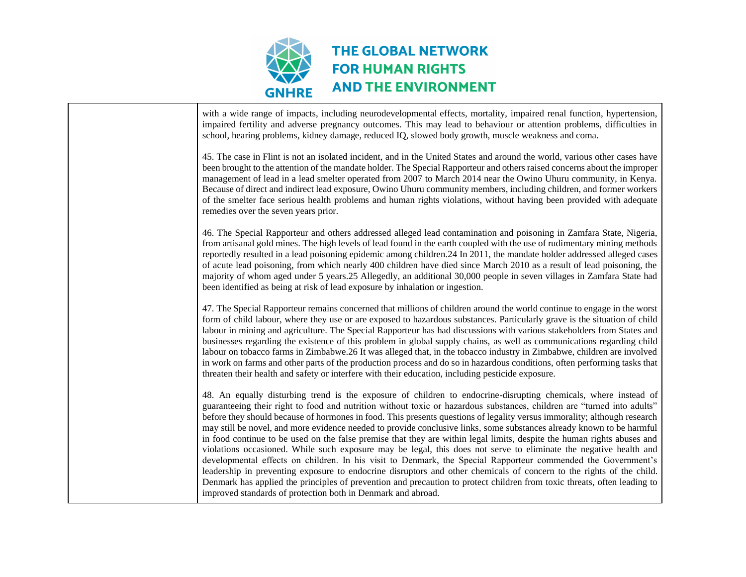

| with a wide range of impacts, including neurodevelopmental effects, mortality, impaired renal function, hypertension,<br>impaired fertility and adverse pregnancy outcomes. This may lead to behaviour or attention problems, difficulties in<br>school, hearing problems, kidney damage, reduced IQ, slowed body growth, muscle weakness and coma.                                                                                                                                                                                                                                                                                                                                                                                                                                                                                                                                                                                                                                                                                                                                                                                                                                  |
|--------------------------------------------------------------------------------------------------------------------------------------------------------------------------------------------------------------------------------------------------------------------------------------------------------------------------------------------------------------------------------------------------------------------------------------------------------------------------------------------------------------------------------------------------------------------------------------------------------------------------------------------------------------------------------------------------------------------------------------------------------------------------------------------------------------------------------------------------------------------------------------------------------------------------------------------------------------------------------------------------------------------------------------------------------------------------------------------------------------------------------------------------------------------------------------|
| 45. The case in Flint is not an isolated incident, and in the United States and around the world, various other cases have<br>been brought to the attention of the mandate holder. The Special Rapporteur and others raised concerns about the improper<br>management of lead in a lead smelter operated from 2007 to March 2014 near the Owino Uhuru community, in Kenya.<br>Because of direct and indirect lead exposure, Owino Uhuru community members, including children, and former workers<br>of the smelter face serious health problems and human rights violations, without having been provided with adequate<br>remedies over the seven years prior.                                                                                                                                                                                                                                                                                                                                                                                                                                                                                                                     |
| 46. The Special Rapporteur and others addressed alleged lead contamination and poisoning in Zamfara State, Nigeria,<br>from artisanal gold mines. The high levels of lead found in the earth coupled with the use of rudimentary mining methods<br>reportedly resulted in a lead poisoning epidemic among children.24 In 2011, the mandate holder addressed alleged cases<br>of acute lead poisoning, from which nearly 400 children have died since March 2010 as a result of lead poisoning, the<br>majority of whom aged under 5 years.25 Allegedly, an additional 30,000 people in seven villages in Zamfara State had<br>been identified as being at risk of lead exposure by inhalation or ingestion.                                                                                                                                                                                                                                                                                                                                                                                                                                                                          |
| 47. The Special Rapporteur remains concerned that millions of children around the world continue to engage in the worst<br>form of child labour, where they use or are exposed to hazardous substances. Particularly grave is the situation of child<br>labour in mining and agriculture. The Special Rapporteur has had discussions with various stakeholders from States and<br>businesses regarding the existence of this problem in global supply chains, as well as communications regarding child<br>labour on tobacco farms in Zimbabwe.26 It was alleged that, in the tobacco industry in Zimbabwe, children are involved<br>in work on farms and other parts of the production process and do so in hazardous conditions, often performing tasks that<br>threaten their health and safety or interfere with their education, including pesticide exposure.                                                                                                                                                                                                                                                                                                                  |
| 48. An equally disturbing trend is the exposure of children to endocrine-disrupting chemicals, where instead of<br>guaranteeing their right to food and nutrition without toxic or hazardous substances, children are "turned into adults"<br>before they should because of hormones in food. This presents questions of legality versus immorality; although research<br>may still be novel, and more evidence needed to provide conclusive links, some substances already known to be harmful<br>in food continue to be used on the false premise that they are within legal limits, despite the human rights abuses and<br>violations occasioned. While such exposure may be legal, this does not serve to eliminate the negative health and<br>developmental effects on children. In his visit to Denmark, the Special Rapporteur commended the Government's<br>leadership in preventing exposure to endocrine disruptors and other chemicals of concern to the rights of the child.<br>Denmark has applied the principles of prevention and precaution to protect children from toxic threats, often leading to<br>improved standards of protection both in Denmark and abroad. |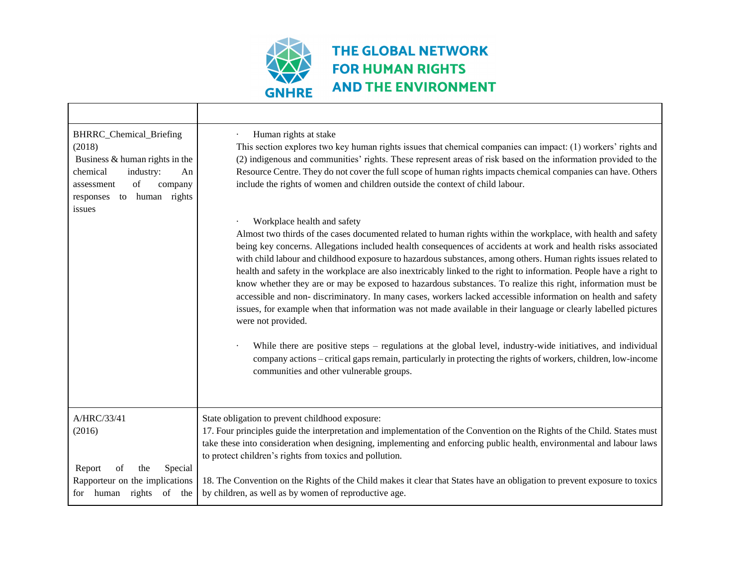

| BHRRC_Chemical_Briefing<br>(2018)<br>Business & human rights in the<br>chemical<br>industry:<br>An<br>of<br>company<br>assessment<br>to human rights<br>responses<br>issues | Human rights at stake<br>This section explores two key human rights issues that chemical companies can impact: (1) workers' rights and<br>(2) indigenous and communities' rights. These represent areas of risk based on the information provided to the<br>Resource Centre. They do not cover the full scope of human rights impacts chemical companies can have. Others<br>include the rights of women and children outside the context of child labour.                                                                                                                                                                                                                                                                                                                                                                                                                                                                                                                                                                                                                                                                                                   |
|-----------------------------------------------------------------------------------------------------------------------------------------------------------------------------|--------------------------------------------------------------------------------------------------------------------------------------------------------------------------------------------------------------------------------------------------------------------------------------------------------------------------------------------------------------------------------------------------------------------------------------------------------------------------------------------------------------------------------------------------------------------------------------------------------------------------------------------------------------------------------------------------------------------------------------------------------------------------------------------------------------------------------------------------------------------------------------------------------------------------------------------------------------------------------------------------------------------------------------------------------------------------------------------------------------------------------------------------------------|
|                                                                                                                                                                             | Workplace health and safety<br>Almost two thirds of the cases documented related to human rights within the workplace, with health and safety<br>being key concerns. Allegations included health consequences of accidents at work and health risks associated<br>with child labour and childhood exposure to hazardous substances, among others. Human rights issues related to<br>health and safety in the workplace are also inextricably linked to the right to information. People have a right to<br>know whether they are or may be exposed to hazardous substances. To realize this right, information must be<br>accessible and non-discriminatory. In many cases, workers lacked accessible information on health and safety<br>issues, for example when that information was not made available in their language or clearly labelled pictures<br>were not provided.<br>While there are positive steps – regulations at the global level, industry-wide initiatives, and individual<br>company actions – critical gaps remain, particularly in protecting the rights of workers, children, low-income<br>communities and other vulnerable groups. |
| A/HRC/33/41<br>(2016)<br>Report<br>Special<br>of<br>the<br>Rapporteur on the implications<br>of the<br>human<br>rights<br>for                                               | State obligation to prevent childhood exposure:<br>17. Four principles guide the interpretation and implementation of the Convention on the Rights of the Child. States must<br>take these into consideration when designing, implementing and enforcing public health, environmental and labour laws<br>to protect children's rights from toxics and pollution.<br>18. The Convention on the Rights of the Child makes it clear that States have an obligation to prevent exposure to toxics<br>by children, as well as by women of reproductive age.                                                                                                                                                                                                                                                                                                                                                                                                                                                                                                                                                                                                       |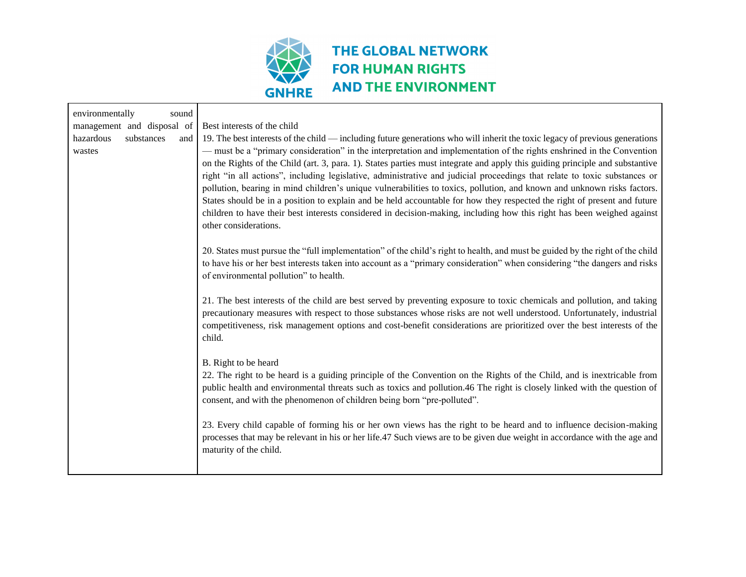

| environmentally<br>sound                 |                                                                                                                                                                                                                                                                                                                                                                                                                                                                                                                                                                                                                                                                                                                                                                                                                                                                                                                               |
|------------------------------------------|-------------------------------------------------------------------------------------------------------------------------------------------------------------------------------------------------------------------------------------------------------------------------------------------------------------------------------------------------------------------------------------------------------------------------------------------------------------------------------------------------------------------------------------------------------------------------------------------------------------------------------------------------------------------------------------------------------------------------------------------------------------------------------------------------------------------------------------------------------------------------------------------------------------------------------|
| management and disposal of               | Best interests of the child                                                                                                                                                                                                                                                                                                                                                                                                                                                                                                                                                                                                                                                                                                                                                                                                                                                                                                   |
| hazardous<br>substances<br>and<br>wastes | 19. The best interests of the child — including future generations who will inherit the toxic legacy of previous generations<br>— must be a "primary consideration" in the interpretation and implementation of the rights enshrined in the Convention<br>on the Rights of the Child (art. 3, para. 1). States parties must integrate and apply this guiding principle and substantive<br>right "in all actions", including legislative, administrative and judicial proceedings that relate to toxic substances or<br>pollution, bearing in mind children's unique vulnerabilities to toxics, pollution, and known and unknown risks factors.<br>States should be in a position to explain and be held accountable for how they respected the right of present and future<br>children to have their best interests considered in decision-making, including how this right has been weighed against<br>other considerations. |
|                                          | 20. States must pursue the "full implementation" of the child's right to health, and must be guided by the right of the child<br>to have his or her best interests taken into account as a "primary consideration" when considering "the dangers and risks<br>of environmental pollution" to health.                                                                                                                                                                                                                                                                                                                                                                                                                                                                                                                                                                                                                          |
|                                          | 21. The best interests of the child are best served by preventing exposure to toxic chemicals and pollution, and taking<br>precautionary measures with respect to those substances whose risks are not well understood. Unfortunately, industrial<br>competitiveness, risk management options and cost-benefit considerations are prioritized over the best interests of the<br>child.                                                                                                                                                                                                                                                                                                                                                                                                                                                                                                                                        |
|                                          | B. Right to be heard<br>22. The right to be heard is a guiding principle of the Convention on the Rights of the Child, and is inextricable from<br>public health and environmental threats such as toxics and pollution.46 The right is closely linked with the question of<br>consent, and with the phenomenon of children being born "pre-polluted".                                                                                                                                                                                                                                                                                                                                                                                                                                                                                                                                                                        |
|                                          | 23. Every child capable of forming his or her own views has the right to be heard and to influence decision-making<br>processes that may be relevant in his or her life.47 Such views are to be given due weight in accordance with the age and<br>maturity of the child.                                                                                                                                                                                                                                                                                                                                                                                                                                                                                                                                                                                                                                                     |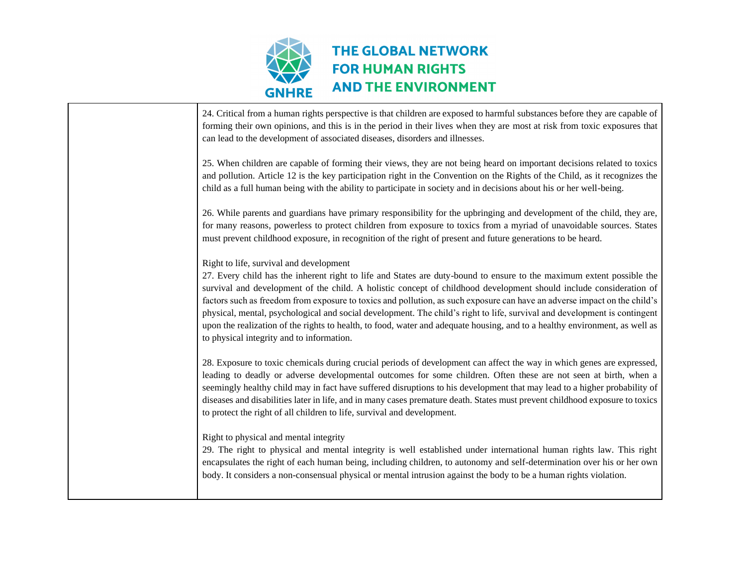

| 24. Critical from a human rights perspective is that children are exposed to harmful substances before they are capable of<br>forming their own opinions, and this is in the period in their lives when they are most at risk from toxic exposures that<br>can lead to the development of associated diseases, disorders and illnesses.                                                                                                                                                                                                                                                                                                                                                                                      |
|------------------------------------------------------------------------------------------------------------------------------------------------------------------------------------------------------------------------------------------------------------------------------------------------------------------------------------------------------------------------------------------------------------------------------------------------------------------------------------------------------------------------------------------------------------------------------------------------------------------------------------------------------------------------------------------------------------------------------|
| 25. When children are capable of forming their views, they are not being heard on important decisions related to toxics<br>and pollution. Article 12 is the key participation right in the Convention on the Rights of the Child, as it recognizes the<br>child as a full human being with the ability to participate in society and in decisions about his or her well-being.                                                                                                                                                                                                                                                                                                                                               |
| 26. While parents and guardians have primary responsibility for the upbringing and development of the child, they are,<br>for many reasons, powerless to protect children from exposure to toxics from a myriad of unavoidable sources. States<br>must prevent childhood exposure, in recognition of the right of present and future generations to be heard.                                                                                                                                                                                                                                                                                                                                                                |
| Right to life, survival and development<br>27. Every child has the inherent right to life and States are duty-bound to ensure to the maximum extent possible the<br>survival and development of the child. A holistic concept of childhood development should include consideration of<br>factors such as freedom from exposure to toxics and pollution, as such exposure can have an adverse impact on the child's<br>physical, mental, psychological and social development. The child's right to life, survival and development is contingent<br>upon the realization of the rights to health, to food, water and adequate housing, and to a healthy environment, as well as<br>to physical integrity and to information. |
| 28. Exposure to toxic chemicals during crucial periods of development can affect the way in which genes are expressed,<br>leading to deadly or adverse developmental outcomes for some children. Often these are not seen at birth, when a<br>seemingly healthy child may in fact have suffered disruptions to his development that may lead to a higher probability of<br>diseases and disabilities later in life, and in many cases premature death. States must prevent childhood exposure to toxics<br>to protect the right of all children to life, survival and development.                                                                                                                                           |
| Right to physical and mental integrity<br>29. The right to physical and mental integrity is well established under international human rights law. This right<br>encapsulates the right of each human being, including children, to autonomy and self-determination over his or her own<br>body. It considers a non-consensual physical or mental intrusion against the body to be a human rights violation.                                                                                                                                                                                                                                                                                                                 |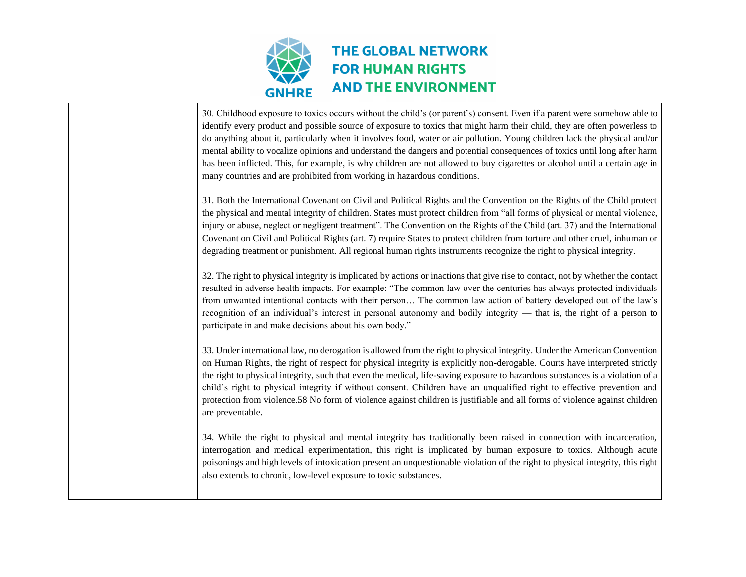

| 30. Childhood exposure to toxics occurs without the child's (or parent's) consent. Even if a parent were somehow able to<br>identify every product and possible source of exposure to toxics that might harm their child, they are often powerless to<br>do anything about it, particularly when it involves food, water or air pollution. Young children lack the physical and/or<br>mental ability to vocalize opinions and understand the dangers and potential consequences of toxics until long after harm<br>has been inflicted. This, for example, is why children are not allowed to buy cigarettes or alcohol until a certain age in<br>many countries and are prohibited from working in hazardous conditions. |
|--------------------------------------------------------------------------------------------------------------------------------------------------------------------------------------------------------------------------------------------------------------------------------------------------------------------------------------------------------------------------------------------------------------------------------------------------------------------------------------------------------------------------------------------------------------------------------------------------------------------------------------------------------------------------------------------------------------------------|
| 31. Both the International Covenant on Civil and Political Rights and the Convention on the Rights of the Child protect<br>the physical and mental integrity of children. States must protect children from "all forms of physical or mental violence,<br>injury or abuse, neglect or negligent treatment". The Convention on the Rights of the Child (art. 37) and the International<br>Covenant on Civil and Political Rights (art. 7) require States to protect children from torture and other cruel, inhuman or<br>degrading treatment or punishment. All regional human rights instruments recognize the right to physical integrity.                                                                              |
| 32. The right to physical integrity is implicated by actions or inactions that give rise to contact, not by whether the contact<br>resulted in adverse health impacts. For example: "The common law over the centuries has always protected individuals<br>from unwanted intentional contacts with their person The common law action of battery developed out of the law's<br>recognition of an individual's interest in personal autonomy and bodily integrity — that is, the right of a person to<br>participate in and make decisions about his own body."                                                                                                                                                           |
| 33. Under international law, no derogation is allowed from the right to physical integrity. Under the American Convention<br>on Human Rights, the right of respect for physical integrity is explicitly non-derogable. Courts have interpreted strictly<br>the right to physical integrity, such that even the medical, life-saving exposure to hazardous substances is a violation of a<br>child's right to physical integrity if without consent. Children have an unqualified right to effective prevention and<br>protection from violence.58 No form of violence against children is justifiable and all forms of violence against children<br>are preventable.                                                     |
| 34. While the right to physical and mental integrity has traditionally been raised in connection with incarceration,<br>interrogation and medical experimentation, this right is implicated by human exposure to toxics. Although acute<br>poisonings and high levels of intoxication present an unquestionable violation of the right to physical integrity, this right<br>also extends to chronic, low-level exposure to toxic substances.                                                                                                                                                                                                                                                                             |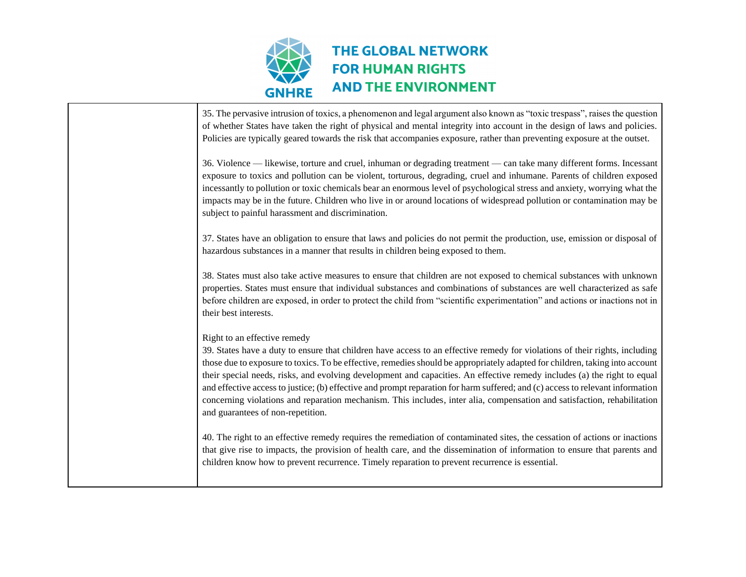

| 35. The pervasive intrusion of toxics, a phenomenon and legal argument also known as "toxic trespass", raises the question<br>of whether States have taken the right of physical and mental integrity into account in the design of laws and policies.<br>Policies are typically geared towards the risk that accompanies exposure, rather than preventing exposure at the outset.                                                                                                                                                                                                                                                                                                                                         |
|----------------------------------------------------------------------------------------------------------------------------------------------------------------------------------------------------------------------------------------------------------------------------------------------------------------------------------------------------------------------------------------------------------------------------------------------------------------------------------------------------------------------------------------------------------------------------------------------------------------------------------------------------------------------------------------------------------------------------|
| 36. Violence — likewise, torture and cruel, inhuman or degrading treatment — can take many different forms. Incessant<br>exposure to toxics and pollution can be violent, torturous, degrading, cruel and inhumane. Parents of children exposed<br>incessantly to pollution or toxic chemicals bear an enormous level of psychological stress and anxiety, worrying what the<br>impacts may be in the future. Children who live in or around locations of widespread pollution or contamination may be<br>subject to painful harassment and discrimination.                                                                                                                                                                |
| 37. States have an obligation to ensure that laws and policies do not permit the production, use, emission or disposal of<br>hazardous substances in a manner that results in children being exposed to them.                                                                                                                                                                                                                                                                                                                                                                                                                                                                                                              |
| 38. States must also take active measures to ensure that children are not exposed to chemical substances with unknown<br>properties. States must ensure that individual substances and combinations of substances are well characterized as safe<br>before children are exposed, in order to protect the child from "scientific experimentation" and actions or inactions not in<br>their best interests.                                                                                                                                                                                                                                                                                                                  |
| Right to an effective remedy<br>39. States have a duty to ensure that children have access to an effective remedy for violations of their rights, including<br>those due to exposure to toxics. To be effective, remedies should be appropriately adapted for children, taking into account<br>their special needs, risks, and evolving development and capacities. An effective remedy includes (a) the right to equal<br>and effective access to justice; (b) effective and prompt reparation for harm suffered; and (c) access to relevant information<br>concerning violations and reparation mechanism. This includes, inter alia, compensation and satisfaction, rehabilitation<br>and guarantees of non-repetition. |
| 40. The right to an effective remedy requires the remediation of contaminated sites, the cessation of actions or inactions<br>that give rise to impacts, the provision of health care, and the dissemination of information to ensure that parents and<br>children know how to prevent recurrence. Timely reparation to prevent recurrence is essential.                                                                                                                                                                                                                                                                                                                                                                   |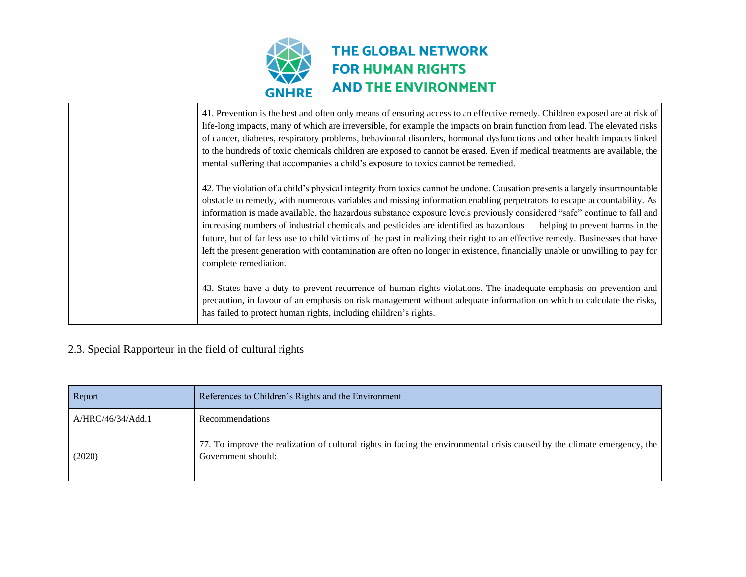

| 41. Prevention is the best and often only means of ensuring access to an effective remedy. Children exposed are at risk of<br>life-long impacts, many of which are irreversible, for example the impacts on brain function from lead. The elevated risks<br>of cancer, diabetes, respiratory problems, behavioural disorders, hormonal dysfunctions and other health impacts linked<br>to the hundreds of toxic chemicals children are exposed to cannot be erased. Even if medical treatments are available, the<br>mental suffering that accompanies a child's exposure to toxics cannot be remedied.                                                                                                                                                                                                |
|--------------------------------------------------------------------------------------------------------------------------------------------------------------------------------------------------------------------------------------------------------------------------------------------------------------------------------------------------------------------------------------------------------------------------------------------------------------------------------------------------------------------------------------------------------------------------------------------------------------------------------------------------------------------------------------------------------------------------------------------------------------------------------------------------------|
| 42. The violation of a child's physical integrity from toxics cannot be undone. Causation presents a largely insurmountable<br>obstacle to remedy, with numerous variables and missing information enabling perpetrators to escape accountability. As<br>information is made available, the hazardous substance exposure levels previously considered "safe" continue to fall and<br>increasing numbers of industrial chemicals and pesticides are identified as hazardous — helping to prevent harms in the<br>future, but of far less use to child victims of the past in realizing their right to an effective remedy. Businesses that have<br>left the present generation with contamination are often no longer in existence, financially unable or unwilling to pay for<br>complete remediation. |
| 43. States have a duty to prevent recurrence of human rights violations. The inadequate emphasis on prevention and<br>precaution, in favour of an emphasis on risk management without adequate information on which to calculate the risks,<br>has failed to protect human rights, including children's rights.                                                                                                                                                                                                                                                                                                                                                                                                                                                                                        |

## 2.3. Special Rapporteur in the field of cultural rights

| Report            | References to Children's Rights and the Environment                                                                                             |
|-------------------|-------------------------------------------------------------------------------------------------------------------------------------------------|
| A/HRC/46/34/Add.1 | <b>Recommendations</b>                                                                                                                          |
| (2020)            | 77. To improve the realization of cultural rights in facing the environmental crisis caused by the climate emergency, the<br>Government should: |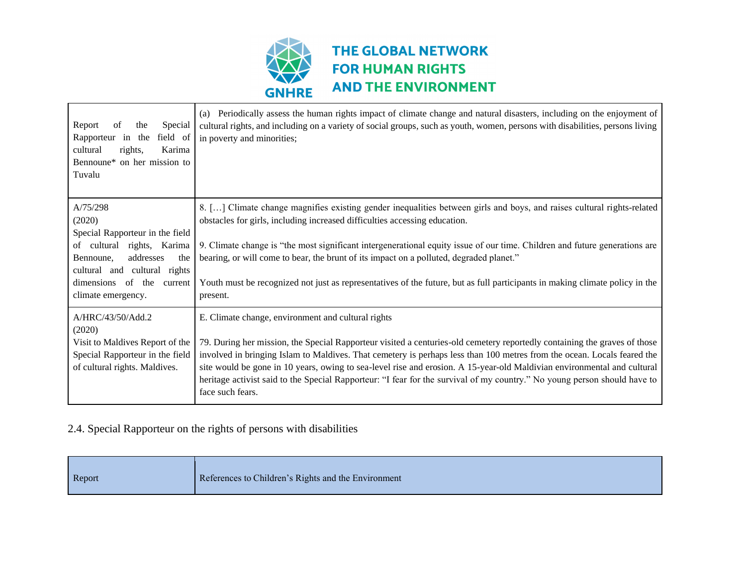

| Report<br>of<br>the<br>Special<br>Rapporteur in the field of<br>Karima<br>cultural<br>rights,<br>Bennoune* on her mission to<br>Tuvalu | (a) Periodically assess the human rights impact of climate change and natural disasters, including on the enjoyment of<br>cultural rights, and including on a variety of social groups, such as youth, women, persons with disabilities, persons living<br>in poverty and minorities;                                                                                                                                                                                                                                            |
|----------------------------------------------------------------------------------------------------------------------------------------|----------------------------------------------------------------------------------------------------------------------------------------------------------------------------------------------------------------------------------------------------------------------------------------------------------------------------------------------------------------------------------------------------------------------------------------------------------------------------------------------------------------------------------|
| A/75/298<br>(2020)                                                                                                                     | 8. [] Climate change magnifies existing gender inequalities between girls and boys, and raises cultural rights-related<br>obstacles for girls, including increased difficulties accessing education.                                                                                                                                                                                                                                                                                                                             |
| Special Rapporteur in the field<br>of cultural rights, Karima<br>addresses<br>the<br>Bennoune,<br>cultural and cultural rights         | 9. Climate change is "the most significant intergenerational equity issue of our time. Children and future generations are<br>bearing, or will come to bear, the brunt of its impact on a polluted, degraded planet."                                                                                                                                                                                                                                                                                                            |
| dimensions of the current<br>climate emergency.                                                                                        | Youth must be recognized not just as representatives of the future, but as full participants in making climate policy in the<br>present.                                                                                                                                                                                                                                                                                                                                                                                         |
| A/HRC/43/50/Add.2<br>(2020)                                                                                                            | E. Climate change, environment and cultural rights                                                                                                                                                                                                                                                                                                                                                                                                                                                                               |
| Visit to Maldives Report of the<br>Special Rapporteur in the field<br>of cultural rights. Maldives.                                    | 79. During her mission, the Special Rapporteur visited a centuries-old cemetery reportedly containing the graves of those<br>involved in bringing Islam to Maldives. That cemetery is perhaps less than 100 metres from the ocean. Locals feared the<br>site would be gone in 10 years, owing to sea-level rise and erosion. A 15-year-old Maldivian environmental and cultural<br>heritage activist said to the Special Rapporteur: "I fear for the survival of my country." No young person should have to<br>face such fears. |

### 2.4. Special Rapporteur on the rights of persons with disabilities

|  | Report | References to Children's Rights and the Environment |
|--|--------|-----------------------------------------------------|
|--|--------|-----------------------------------------------------|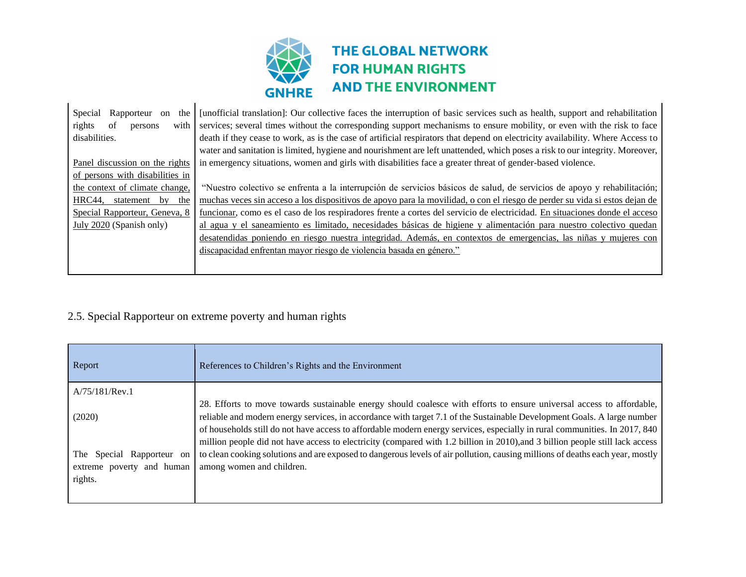

| Special<br>Rapporteur<br>the<br>on<br>rights<br>of<br>with<br>persons<br>disabilities. | [unofficial translation]: Our collective faces the interruption of basic services such as health, support and rehabilitation<br>services; several times without the corresponding support mechanisms to ensure mobility, or even with the risk to face<br>death if they cease to work, as is the case of artificial respirators that depend on electricity availability. Where Access to<br>water and sanitation is limited, hygiene and nourishment are left unattended, which poses a risk to our integrity. Moreover, |
|----------------------------------------------------------------------------------------|--------------------------------------------------------------------------------------------------------------------------------------------------------------------------------------------------------------------------------------------------------------------------------------------------------------------------------------------------------------------------------------------------------------------------------------------------------------------------------------------------------------------------|
| Panel discussion on the rights                                                         | in emergency situations, women and girls with disabilities face a greater threat of gender-based violence.                                                                                                                                                                                                                                                                                                                                                                                                               |
| of persons with disabilities in                                                        |                                                                                                                                                                                                                                                                                                                                                                                                                                                                                                                          |
| the context of climate change,                                                         | "Nuestro colectivo se enfrenta a la interrupción de servicios básicos de salud, de servicios de apoyo y rehabilitación;                                                                                                                                                                                                                                                                                                                                                                                                  |
| HRC44, statement by the                                                                | muchas veces sin acceso a los dispositivos de apoyo para la movilidad, o con el riesgo de perder su vida si estos dejan de                                                                                                                                                                                                                                                                                                                                                                                               |
| Special Rapporteur, Geneva, 8                                                          | funcionar, como es el caso de los respiradores frente a cortes del servicio de electricidad. En situaciones donde el acceso                                                                                                                                                                                                                                                                                                                                                                                              |
| July 2020 (Spanish only)                                                               | al agua y el saneamiento es limitado, necesidades básicas de higiene y alimentación para nuestro colectivo quedan                                                                                                                                                                                                                                                                                                                                                                                                        |
|                                                                                        | desatendidas poniendo en riesgo nuestra integridad. Además, en contextos de emergencias, las niñas y mujeres con                                                                                                                                                                                                                                                                                                                                                                                                         |
|                                                                                        | discapacidad enfrentan mayor riesgo de violencia basada en género."                                                                                                                                                                                                                                                                                                                                                                                                                                                      |
|                                                                                        |                                                                                                                                                                                                                                                                                                                                                                                                                                                                                                                          |

## 2.5. Special Rapporteur on extreme poverty and human rights

| Report                                                                  | References to Children's Rights and the Environment                                                                                                                                                                                                                                                                                                                                                                                                                                                             |
|-------------------------------------------------------------------------|-----------------------------------------------------------------------------------------------------------------------------------------------------------------------------------------------------------------------------------------------------------------------------------------------------------------------------------------------------------------------------------------------------------------------------------------------------------------------------------------------------------------|
| A/75/181/Rev.1                                                          |                                                                                                                                                                                                                                                                                                                                                                                                                                                                                                                 |
| (2020)                                                                  | 28. Efforts to move towards sustainable energy should coalesce with efforts to ensure universal access to affordable,<br>reliable and modern energy services, in accordance with target 7.1 of the Sustainable Development Goals. A large number<br>of households still do not have access to affordable modern energy services, especially in rural communities. In 2017, 840<br>million people did not have access to electricity (compared with 1.2 billion in 2010), and 3 billion people still lack access |
| The<br>Special<br>Rapporteur on<br>extreme poverty and human<br>rights. | to clean cooking solutions and are exposed to dangerous levels of air pollution, causing millions of deaths each year, mostly<br>among women and children.                                                                                                                                                                                                                                                                                                                                                      |
|                                                                         |                                                                                                                                                                                                                                                                                                                                                                                                                                                                                                                 |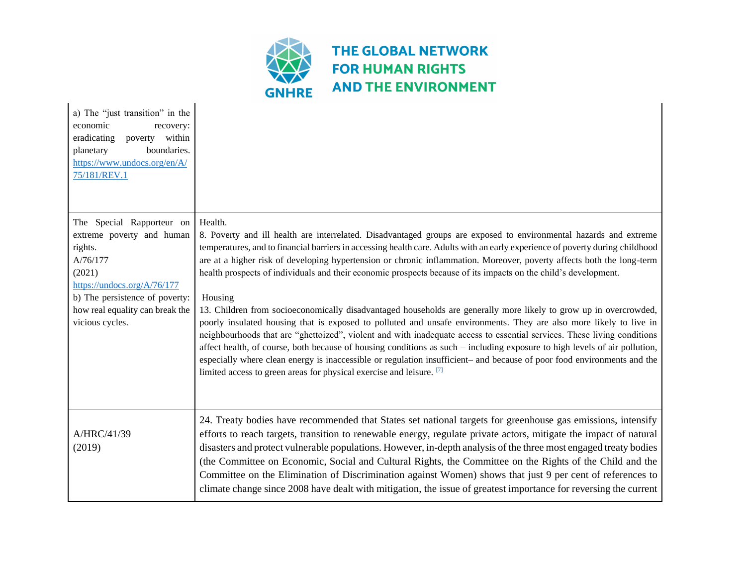

| a) The "just transition" in the<br>economic<br>recovery:<br>poverty within<br>eradicating<br>boundaries.<br>planetary<br>https://www.undocs.org/en/A/<br>75/181/REV.1                                          |                                                                                                                                                                                                                                                                                                                                                                                                                                                                                                                                                                                                                                                                                                                                                                                                                                                                                                                                                                                                                                                                                                                                                                                                                             |
|----------------------------------------------------------------------------------------------------------------------------------------------------------------------------------------------------------------|-----------------------------------------------------------------------------------------------------------------------------------------------------------------------------------------------------------------------------------------------------------------------------------------------------------------------------------------------------------------------------------------------------------------------------------------------------------------------------------------------------------------------------------------------------------------------------------------------------------------------------------------------------------------------------------------------------------------------------------------------------------------------------------------------------------------------------------------------------------------------------------------------------------------------------------------------------------------------------------------------------------------------------------------------------------------------------------------------------------------------------------------------------------------------------------------------------------------------------|
| The Special Rapporteur on<br>extreme poverty and human<br>rights.<br>A/76/177<br>(2021)<br>https://undocs.org/A/76/177<br>b) The persistence of poverty:<br>how real equality can break the<br>vicious cycles. | Health.<br>8. Poverty and ill health are interrelated. Disadvantaged groups are exposed to environmental hazards and extreme<br>temperatures, and to financial barriers in accessing health care. Adults with an early experience of poverty during childhood<br>are at a higher risk of developing hypertension or chronic inflammation. Moreover, poverty affects both the long-term<br>health prospects of individuals and their economic prospects because of its impacts on the child's development.<br>Housing<br>13. Children from socioeconomically disadvantaged households are generally more likely to grow up in overcrowded,<br>poorly insulated housing that is exposed to polluted and unsafe environments. They are also more likely to live in<br>neighbourhoods that are "ghettoized", violent and with inadequate access to essential services. These living conditions<br>affect health, of course, both because of housing conditions as such – including exposure to high levels of air pollution,<br>especially where clean energy is inaccessible or regulation insufficient- and because of poor food environments and the<br>limited access to green areas for physical exercise and leisure. [7] |
| A/HRC/41/39<br>(2019)                                                                                                                                                                                          | 24. Treaty bodies have recommended that States set national targets for greenhouse gas emissions, intensify<br>efforts to reach targets, transition to renewable energy, regulate private actors, mitigate the impact of natural<br>disasters and protect vulnerable populations. However, in-depth analysis of the three most engaged treaty bodies<br>(the Committee on Economic, Social and Cultural Rights, the Committee on the Rights of the Child and the<br>Committee on the Elimination of Discrimination against Women) shows that just 9 per cent of references to<br>climate change since 2008 have dealt with mitigation, the issue of greatest importance for reversing the current                                                                                                                                                                                                                                                                                                                                                                                                                                                                                                                           |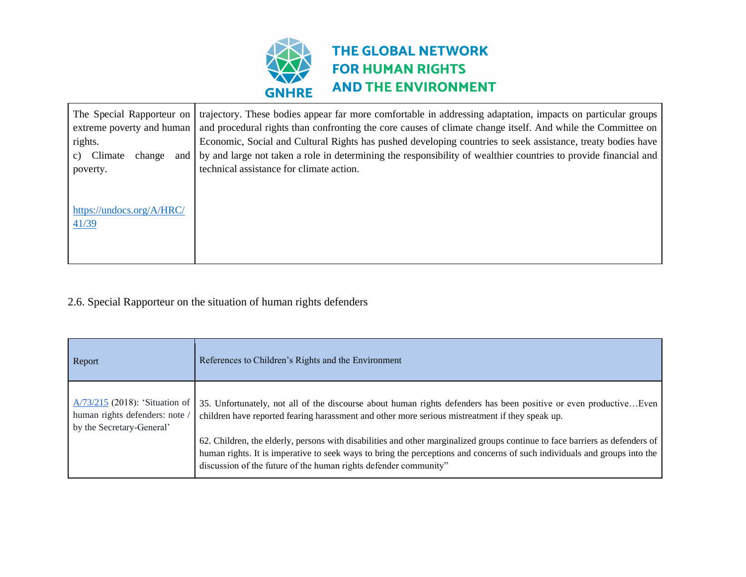

| The Special Rapporteur on<br>extreme poverty and human | trajectory. These bodies appear far more comfortable in addressing adaptation, impacts on particular groups<br>and procedural rights than confronting the core causes of climate change itself. And while the Committee on |
|--------------------------------------------------------|----------------------------------------------------------------------------------------------------------------------------------------------------------------------------------------------------------------------------|
| rights.                                                | Economic, Social and Cultural Rights has pushed developing countries to seek assistance, treaty bodies have                                                                                                                |
| Climate<br>change<br>and I<br>C)                       | by and large not taken a role in determining the responsibility of wealthier countries to provide financial and                                                                                                            |
| poverty.                                               | technical assistance for climate action.                                                                                                                                                                                   |
|                                                        |                                                                                                                                                                                                                            |
|                                                        |                                                                                                                                                                                                                            |
| https://undocs.org/A/HRC/                              |                                                                                                                                                                                                                            |
| 41/39                                                  |                                                                                                                                                                                                                            |
|                                                        |                                                                                                                                                                                                                            |
|                                                        |                                                                                                                                                                                                                            |

## 2.6. Special Rapporteur on the situation of human rights defenders

| Report                                                                                          | References to Children's Rights and the Environment                                                                                                                                                                                                                                                                           |
|-------------------------------------------------------------------------------------------------|-------------------------------------------------------------------------------------------------------------------------------------------------------------------------------------------------------------------------------------------------------------------------------------------------------------------------------|
| $A/73/215$ (2018): 'Situation of<br>human rights defenders: note /<br>by the Secretary-General' | 35. Unfortunately, not all of the discourse about human rights defenders has been positive or even productiveEven<br>children have reported fearing harassment and other more serious mistreatment if they speak up.                                                                                                          |
|                                                                                                 | 62. Children, the elderly, persons with disabilities and other marginalized groups continue to face barriers as defenders of<br>human rights. It is imperative to seek ways to bring the perceptions and concerns of such individuals and groups into the<br>discussion of the future of the human rights defender community" |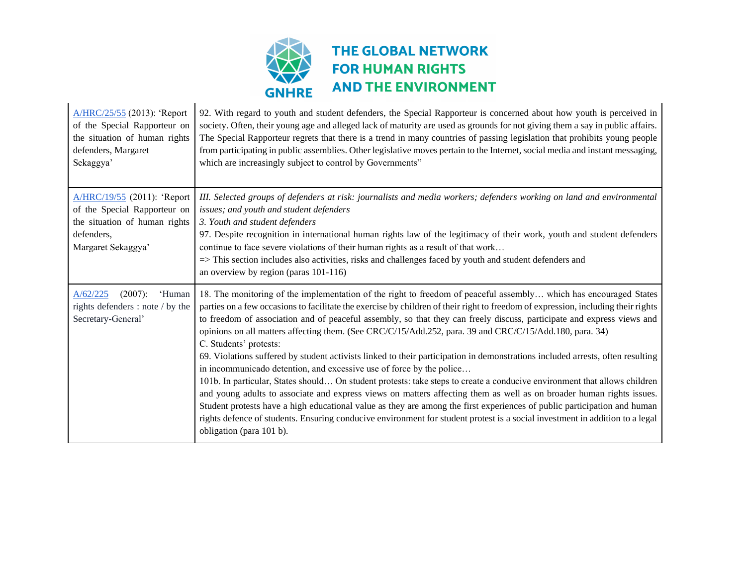

| A/HRC/25/55 (2013): 'Report<br>of the Special Rapporteur on<br>the situation of human rights<br>defenders, Margaret<br>Sekaggya' | 92. With regard to youth and student defenders, the Special Rapporteur is concerned about how youth is perceived in<br>society. Often, their young age and alleged lack of maturity are used as grounds for not giving them a say in public affairs.<br>The Special Rapporteur regrets that there is a trend in many countries of passing legislation that prohibits young people<br>from participating in public assemblies. Other legislative moves pertain to the Internet, social media and instant messaging,<br>which are increasingly subject to control by Governments"                                                                                                                                                                                                                                                                                                                                                                                                                                                                                                                                                                                                                                                                                              |
|----------------------------------------------------------------------------------------------------------------------------------|------------------------------------------------------------------------------------------------------------------------------------------------------------------------------------------------------------------------------------------------------------------------------------------------------------------------------------------------------------------------------------------------------------------------------------------------------------------------------------------------------------------------------------------------------------------------------------------------------------------------------------------------------------------------------------------------------------------------------------------------------------------------------------------------------------------------------------------------------------------------------------------------------------------------------------------------------------------------------------------------------------------------------------------------------------------------------------------------------------------------------------------------------------------------------------------------------------------------------------------------------------------------------|
| A/HRC/19/55 (2011): 'Report<br>of the Special Rapporteur on<br>the situation of human rights<br>defenders,<br>Margaret Sekaggya' | III. Selected groups of defenders at risk: journalists and media workers; defenders working on land and environmental<br>issues; and youth and student defenders<br>3. Youth and student defenders<br>97. Despite recognition in international human rights law of the legitimacy of their work, youth and student defenders<br>continue to face severe violations of their human rights as a result of that work<br>$\Rightarrow$ This section includes also activities, risks and challenges faced by youth and student defenders and<br>an overview by region (paras 101-116)                                                                                                                                                                                                                                                                                                                                                                                                                                                                                                                                                                                                                                                                                             |
| A/62/225<br>$(2007)$ :<br>'Human<br>rights defenders : note / by the<br>Secretary-General'                                       | 18. The monitoring of the implementation of the right to freedom of peaceful assembly which has encouraged States<br>parties on a few occasions to facilitate the exercise by children of their right to freedom of expression, including their rights<br>to freedom of association and of peaceful assembly, so that they can freely discuss, participate and express views and<br>opinions on all matters affecting them. (See CRC/C/15/Add.252, para. 39 and CRC/C/15/Add.180, para. 34)<br>C. Students' protests:<br>69. Violations suffered by student activists linked to their participation in demonstrations included arrests, often resulting<br>in incommunicado detention, and excessive use of force by the police<br>101b. In particular, States should On student protests: take steps to create a conducive environment that allows children<br>and young adults to associate and express views on matters affecting them as well as on broader human rights issues.<br>Student protests have a high educational value as they are among the first experiences of public participation and human<br>rights defence of students. Ensuring conducive environment for student protest is a social investment in addition to a legal<br>obligation (para 101 b). |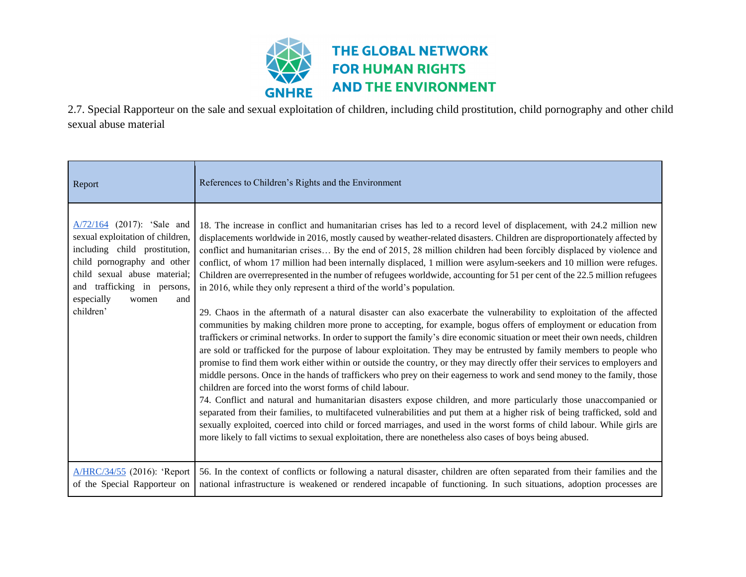

2.7. Special Rapporteur on the sale and sexual exploitation of children, including child prostitution, child pornography and other child sexual abuse material

| Report                                                                                                                                                                                                                                      | References to Children's Rights and the Environment                                                                                                                                                                                                                                                                                                                                                                                                                                                                                                                                                                                                                                                                                                                                                                                                                                                                                                                                                                                                                                                                                                                                                                                                                                                                                                                                                                                                                                                                                                                                                                                                                                                                                                                                                                                                                                                                                                                                                                                  |
|---------------------------------------------------------------------------------------------------------------------------------------------------------------------------------------------------------------------------------------------|--------------------------------------------------------------------------------------------------------------------------------------------------------------------------------------------------------------------------------------------------------------------------------------------------------------------------------------------------------------------------------------------------------------------------------------------------------------------------------------------------------------------------------------------------------------------------------------------------------------------------------------------------------------------------------------------------------------------------------------------------------------------------------------------------------------------------------------------------------------------------------------------------------------------------------------------------------------------------------------------------------------------------------------------------------------------------------------------------------------------------------------------------------------------------------------------------------------------------------------------------------------------------------------------------------------------------------------------------------------------------------------------------------------------------------------------------------------------------------------------------------------------------------------------------------------------------------------------------------------------------------------------------------------------------------------------------------------------------------------------------------------------------------------------------------------------------------------------------------------------------------------------------------------------------------------------------------------------------------------------------------------------------------------|
| A/72/164 (2017): 'Sale and<br>sexual exploitation of children,<br>including child prostitution,<br>child pornography and other<br>child sexual abuse material;<br>trafficking in persons,<br>and<br>especially<br>women<br>and<br>children' | 18. The increase in conflict and humanitarian crises has led to a record level of displacement, with 24.2 million new<br>displacements worldwide in 2016, mostly caused by weather-related disasters. Children are disproportionately affected by<br>conflict and humanitarian crises By the end of 2015, 28 million children had been forcibly displaced by violence and<br>conflict, of whom 17 million had been internally displaced, 1 million were asylum-seekers and 10 million were refuges.<br>Children are overrepresented in the number of refugees worldwide, accounting for 51 per cent of the 22.5 million refugees<br>in 2016, while they only represent a third of the world's population.<br>29. Chaos in the aftermath of a natural disaster can also exacerbate the vulnerability to exploitation of the affected<br>communities by making children more prone to accepting, for example, bogus offers of employment or education from<br>traffickers or criminal networks. In order to support the family's dire economic situation or meet their own needs, children<br>are sold or trafficked for the purpose of labour exploitation. They may be entrusted by family members to people who<br>promise to find them work either within or outside the country, or they may directly offer their services to employers and<br>middle persons. Once in the hands of traffickers who prey on their eagerness to work and send money to the family, those<br>children are forced into the worst forms of child labour.<br>74. Conflict and natural and humanitarian disasters expose children, and more particularly those unaccompanied or<br>separated from their families, to multifaceted vulnerabilities and put them at a higher risk of being trafficked, sold and<br>sexually exploited, coerced into child or forced marriages, and used in the worst forms of child labour. While girls are<br>more likely to fall victims to sexual exploitation, there are nonetheless also cases of boys being abused. |
| A/HRC/34/55 (2016): 'Report<br>of the Special Rapporteur on                                                                                                                                                                                 | 56. In the context of conflicts or following a natural disaster, children are often separated from their families and the<br>national infrastructure is weakened or rendered incapable of functioning. In such situations, adoption processes are                                                                                                                                                                                                                                                                                                                                                                                                                                                                                                                                                                                                                                                                                                                                                                                                                                                                                                                                                                                                                                                                                                                                                                                                                                                                                                                                                                                                                                                                                                                                                                                                                                                                                                                                                                                    |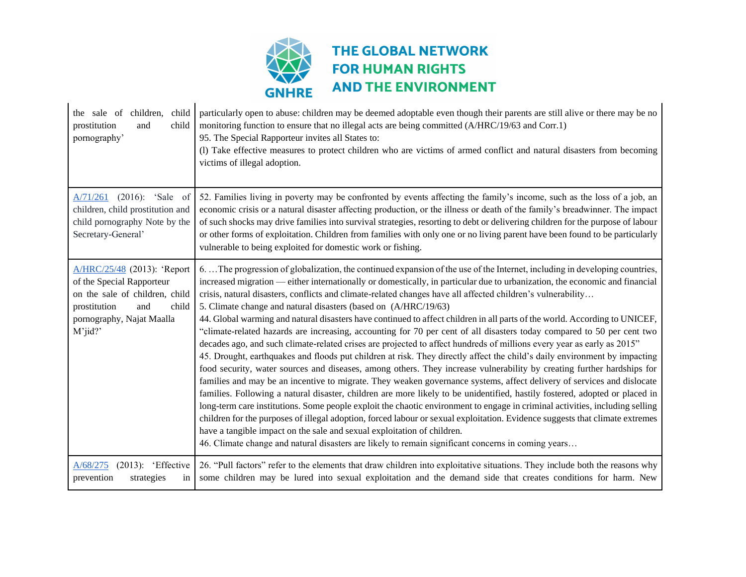

| the sale of children,<br>child<br>child<br>prostitution<br>and<br>pornography'                                                                                        | particularly open to abuse: children may be deemed adoptable even though their parents are still alive or there may be no<br>monitoring function to ensure that no illegal acts are being committed (A/HRC/19/63 and Corr.1)<br>95. The Special Rapporteur invites all States to:<br>(l) Take effective measures to protect children who are victims of armed conflict and natural disasters from becoming<br>victims of illegal adoption.                                                                                                                                                                                                                                                                                                                                                                                                                                                                                                                                                                                                                                                                                                                                                                                                                                                                                                                                                                                                                                                                                                                                                                                                                                                                                                                                                      |
|-----------------------------------------------------------------------------------------------------------------------------------------------------------------------|-------------------------------------------------------------------------------------------------------------------------------------------------------------------------------------------------------------------------------------------------------------------------------------------------------------------------------------------------------------------------------------------------------------------------------------------------------------------------------------------------------------------------------------------------------------------------------------------------------------------------------------------------------------------------------------------------------------------------------------------------------------------------------------------------------------------------------------------------------------------------------------------------------------------------------------------------------------------------------------------------------------------------------------------------------------------------------------------------------------------------------------------------------------------------------------------------------------------------------------------------------------------------------------------------------------------------------------------------------------------------------------------------------------------------------------------------------------------------------------------------------------------------------------------------------------------------------------------------------------------------------------------------------------------------------------------------------------------------------------------------------------------------------------------------|
| A/71/261 (2016): 'Sale of<br>children, child prostitution and<br>child pornography Note by the<br>Secretary-General'                                                  | 52. Families living in poverty may be confronted by events affecting the family's income, such as the loss of a job, an<br>economic crisis or a natural disaster affecting production, or the illness or death of the family's breadwinner. The impact<br>of such shocks may drive families into survival strategies, resorting to debt or delivering children for the purpose of labour<br>or other forms of exploitation. Children from families with only one or no living parent have been found to be particularly<br>vulnerable to being exploited for domestic work or fishing.                                                                                                                                                                                                                                                                                                                                                                                                                                                                                                                                                                                                                                                                                                                                                                                                                                                                                                                                                                                                                                                                                                                                                                                                          |
| A/HRC/25/48 (2013): 'Report<br>of the Special Rapporteur<br>on the sale of children, child<br>prostitution<br>and<br>child<br>pornography, Najat Maalla<br>$M'$ jid?' | 6. The progression of globalization, the continued expansion of the use of the Internet, including in developing countries,<br>increased migration — either internationally or domestically, in particular due to urbanization, the economic and financial<br>crisis, natural disasters, conflicts and climate-related changes have all affected children's vulnerability<br>5. Climate change and natural disasters (based on (A/HRC/19/63)<br>44. Global warming and natural disasters have continued to affect children in all parts of the world. According to UNICEF,<br>"climate-related hazards are increasing, accounting for 70 per cent of all disasters today compared to 50 per cent two<br>decades ago, and such climate-related crises are projected to affect hundreds of millions every year as early as 2015"<br>45. Drought, earthquakes and floods put children at risk. They directly affect the child's daily environment by impacting<br>food security, water sources and diseases, among others. They increase vulnerability by creating further hardships for<br>families and may be an incentive to migrate. They weaken governance systems, affect delivery of services and dislocate<br>families. Following a natural disaster, children are more likely to be unidentified, hastily fostered, adopted or placed in<br>long-term care institutions. Some people exploit the chaotic environment to engage in criminal activities, including selling<br>children for the purposes of illegal adoption, forced labour or sexual exploitation. Evidence suggests that climate extremes<br>have a tangible impact on the sale and sexual exploitation of children.<br>46. Climate change and natural disasters are likely to remain significant concerns in coming years |
| $(2013)$ : 'Effective<br>A/68/275<br>prevention<br>strategies<br>in                                                                                                   | 26. "Pull factors" refer to the elements that draw children into exploitative situations. They include both the reasons why<br>some children may be lured into sexual exploitation and the demand side that creates conditions for harm. New                                                                                                                                                                                                                                                                                                                                                                                                                                                                                                                                                                                                                                                                                                                                                                                                                                                                                                                                                                                                                                                                                                                                                                                                                                                                                                                                                                                                                                                                                                                                                    |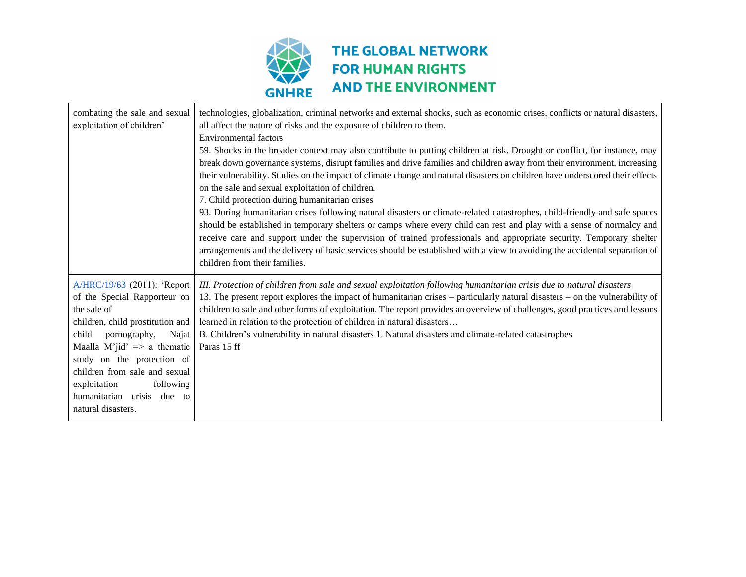

| combating the sale and sexual<br>exploitation of children'                                                                                                                                                                                                                                                                                 | technologies, globalization, criminal networks and external shocks, such as economic crises, conflicts or natural disasters,<br>all affect the nature of risks and the exposure of children to them.<br><b>Environmental factors</b><br>59. Shocks in the broader context may also contribute to putting children at risk. Drought or conflict, for instance, may<br>break down governance systems, disrupt families and drive families and children away from their environment, increasing<br>their vulnerability. Studies on the impact of climate change and natural disasters on children have underscored their effects<br>on the sale and sexual exploitation of children.<br>7. Child protection during humanitarian crises<br>93. During humanitarian crises following natural disasters or climate-related catastrophes, child-friendly and safe spaces<br>should be established in temporary shelters or camps where every child can rest and play with a sense of normalcy and<br>receive care and support under the supervision of trained professionals and appropriate security. Temporary shelter<br>arrangements and the delivery of basic services should be established with a view to avoiding the accidental separation of<br>children from their families. |
|--------------------------------------------------------------------------------------------------------------------------------------------------------------------------------------------------------------------------------------------------------------------------------------------------------------------------------------------|----------------------------------------------------------------------------------------------------------------------------------------------------------------------------------------------------------------------------------------------------------------------------------------------------------------------------------------------------------------------------------------------------------------------------------------------------------------------------------------------------------------------------------------------------------------------------------------------------------------------------------------------------------------------------------------------------------------------------------------------------------------------------------------------------------------------------------------------------------------------------------------------------------------------------------------------------------------------------------------------------------------------------------------------------------------------------------------------------------------------------------------------------------------------------------------------------------------------------------------------------------------------------------|
| A/HRC/19/63 (2011): 'Report<br>of the Special Rapporteur on<br>the sale of<br>children, child prostitution and<br>child<br>pornography,<br>Najat<br>Maalla M'jid' $\Rightarrow$ a thematic<br>study on the protection of<br>children from sale and sexual<br>exploitation<br>following<br>humanitarian crisis due to<br>natural disasters. | III. Protection of children from sale and sexual exploitation following humanitarian crisis due to natural disasters<br>13. The present report explores the impact of humanitarian crises – particularly natural disasters – on the vulnerability of<br>children to sale and other forms of exploitation. The report provides an overview of challenges, good practices and lessons<br>learned in relation to the protection of children in natural disasters<br>B. Children's vulnerability in natural disasters 1. Natural disasters and climate-related catastrophes<br>Paras 15 ff                                                                                                                                                                                                                                                                                                                                                                                                                                                                                                                                                                                                                                                                                           |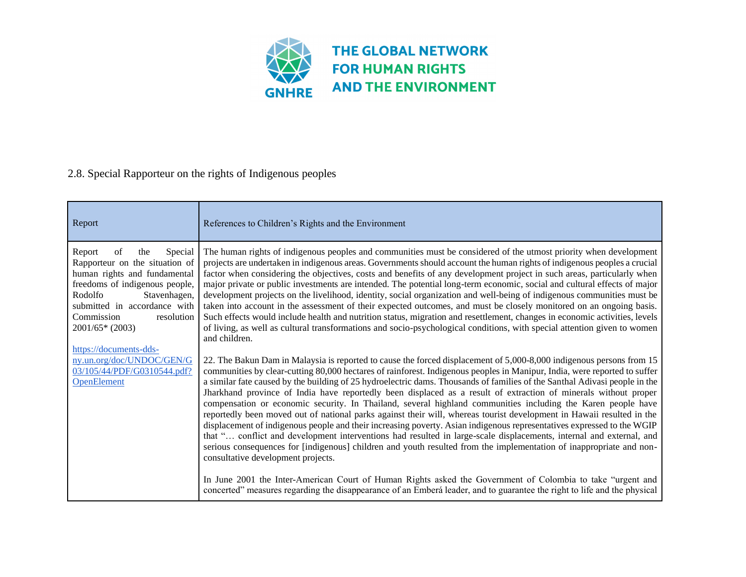

### 2.8. Special Rapporteur on the rights of Indigenous peoples

| Report                                                                                                                                                                                                                                                                  | References to Children's Rights and the Environment                                                                                                                                                                                                                                                                                                                                                                                                                                                                                                                                                                                                                                                                                                                                                                                                                                                                                                                                                                                                                                                                                                                                                                                                                                                                                                                                                 |
|-------------------------------------------------------------------------------------------------------------------------------------------------------------------------------------------------------------------------------------------------------------------------|-----------------------------------------------------------------------------------------------------------------------------------------------------------------------------------------------------------------------------------------------------------------------------------------------------------------------------------------------------------------------------------------------------------------------------------------------------------------------------------------------------------------------------------------------------------------------------------------------------------------------------------------------------------------------------------------------------------------------------------------------------------------------------------------------------------------------------------------------------------------------------------------------------------------------------------------------------------------------------------------------------------------------------------------------------------------------------------------------------------------------------------------------------------------------------------------------------------------------------------------------------------------------------------------------------------------------------------------------------------------------------------------------------|
| Report<br>Special<br>the<br>of<br>Rapporteur on the situation of<br>human rights and fundamental<br>freedoms of indigenous people,<br>Stavenhagen,<br>Rodolfo<br>submitted in accordance with<br>Commission<br>resolution<br>$2001/65*(2003)$<br>https://documents-dds- | The human rights of indigenous peoples and communities must be considered of the utmost priority when development<br>projects are undertaken in indigenous areas. Governments should account the human rights of indigenous peoples a crucial<br>factor when considering the objectives, costs and benefits of any development project in such areas, particularly when<br>major private or public investments are intended. The potential long-term economic, social and cultural effects of major<br>development projects on the livelihood, identity, social organization and well-being of indigenous communities must be<br>taken into account in the assessment of their expected outcomes, and must be closely monitored on an ongoing basis.<br>Such effects would include health and nutrition status, migration and resettlement, changes in economic activities, levels<br>of living, as well as cultural transformations and socio-psychological conditions, with special attention given to women<br>and children.                                                                                                                                                                                                                                                                                                                                                                     |
| ny.un.org/doc/UNDOC/GEN/G<br>03/105/44/PDF/G0310544.pdf?<br><b>OpenElement</b>                                                                                                                                                                                          | 22. The Bakun Dam in Malaysia is reported to cause the forced displacement of 5,000-8,000 indigenous persons from 15<br>communities by clear-cutting 80,000 hectares of rainforest. Indigenous peoples in Manipur, India, were reported to suffer<br>a similar fate caused by the building of 25 hydroelectric dams. Thousands of families of the Santhal Adivasi people in the<br>Jharkhand province of India have reportedly been displaced as a result of extraction of minerals without proper<br>compensation or economic security. In Thailand, several highland communities including the Karen people have<br>reportedly been moved out of national parks against their will, whereas tourist development in Hawaii resulted in the<br>displacement of indigenous people and their increasing poverty. Asian indigenous representatives expressed to the WGIP<br>that " conflict and development interventions had resulted in large-scale displacements, internal and external, and<br>serious consequences for [indigenous] children and youth resulted from the implementation of inappropriate and non-<br>consultative development projects.<br>In June 2001 the Inter-American Court of Human Rights asked the Government of Colombia to take "urgent and<br>concerted" measures regarding the disappearance of an Emberá leader, and to guarantee the right to life and the physical |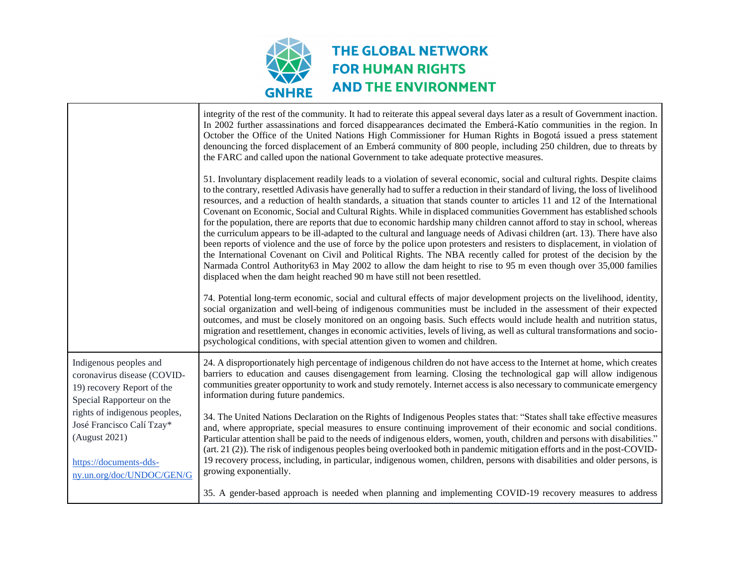

|                                                                                                                                                                                                                                                        | integrity of the rest of the community. It had to reiterate this appeal several days later as a result of Government inaction.<br>In 2002 further assassinations and forced disappearances decimated the Emberá-Katío communities in the region. In<br>October the Office of the United Nations High Commissioner for Human Rights in Bogotá issued a press statement<br>denouncing the forced displacement of an Emberá community of 800 people, including 250 children, due to threats by<br>the FARC and called upon the national Government to take adequate protective measures.                                                                                                                                                                                                                                                                                                                                                                                                                                                                                                                                                                                                                                                                                                                                                                             |
|--------------------------------------------------------------------------------------------------------------------------------------------------------------------------------------------------------------------------------------------------------|-------------------------------------------------------------------------------------------------------------------------------------------------------------------------------------------------------------------------------------------------------------------------------------------------------------------------------------------------------------------------------------------------------------------------------------------------------------------------------------------------------------------------------------------------------------------------------------------------------------------------------------------------------------------------------------------------------------------------------------------------------------------------------------------------------------------------------------------------------------------------------------------------------------------------------------------------------------------------------------------------------------------------------------------------------------------------------------------------------------------------------------------------------------------------------------------------------------------------------------------------------------------------------------------------------------------------------------------------------------------|
|                                                                                                                                                                                                                                                        | 51. Involuntary displacement readily leads to a violation of several economic, social and cultural rights. Despite claims<br>to the contrary, resettled Adivasis have generally had to suffer a reduction in their standard of living, the loss of livelihood<br>resources, and a reduction of health standards, a situation that stands counter to articles 11 and 12 of the International<br>Covenant on Economic, Social and Cultural Rights. While in displaced communities Government has established schools<br>for the population, there are reports that due to economic hardship many children cannot afford to stay in school, whereas<br>the curriculum appears to be ill-adapted to the cultural and language needs of Adivasi children (art. 13). There have also<br>been reports of violence and the use of force by the police upon protesters and resisters to displacement, in violation of<br>the International Covenant on Civil and Political Rights. The NBA recently called for protest of the decision by the<br>Narmada Control Authority63 in May 2002 to allow the dam height to rise to 95 m even though over 35,000 families<br>displaced when the dam height reached 90 m have still not been resettled.<br>74. Potential long-term economic, social and cultural effects of major development projects on the livelihood, identity, |
|                                                                                                                                                                                                                                                        | social organization and well-being of indigenous communities must be included in the assessment of their expected<br>outcomes, and must be closely monitored on an ongoing basis. Such effects would include health and nutrition status,<br>migration and resettlement, changes in economic activities, levels of living, as well as cultural transformations and socio-<br>psychological conditions, with special attention given to women and children.                                                                                                                                                                                                                                                                                                                                                                                                                                                                                                                                                                                                                                                                                                                                                                                                                                                                                                        |
| Indigenous peoples and<br>coronavirus disease (COVID-<br>19) recovery Report of the<br>Special Rapporteur on the<br>rights of indigenous peoples,<br>José Francisco Calí Tzay*<br>(August 2021)<br>https://documents-dds-<br>ny.un.org/doc/UNDOC/GEN/G | 24. A disproportionately high percentage of indigenous children do not have access to the Internet at home, which creates<br>barriers to education and causes disengagement from learning. Closing the technological gap will allow indigenous<br>communities greater opportunity to work and study remotely. Internet access is also necessary to communicate emergency<br>information during future pandemics.                                                                                                                                                                                                                                                                                                                                                                                                                                                                                                                                                                                                                                                                                                                                                                                                                                                                                                                                                  |
|                                                                                                                                                                                                                                                        | 34. The United Nations Declaration on the Rights of Indigenous Peoples states that: "States shall take effective measures<br>and, where appropriate, special measures to ensure continuing improvement of their economic and social conditions.<br>Particular attention shall be paid to the needs of indigenous elders, women, youth, children and persons with disabilities."<br>(art. 21 (2)). The risk of indigenous peoples being overlooked both in pandemic mitigation efforts and in the post-COVID-<br>19 recovery process, including, in particular, indigenous women, children, persons with disabilities and older persons, is<br>growing exponentially.                                                                                                                                                                                                                                                                                                                                                                                                                                                                                                                                                                                                                                                                                              |
|                                                                                                                                                                                                                                                        | 35. A gender-based approach is needed when planning and implementing COVID-19 recovery measures to address                                                                                                                                                                                                                                                                                                                                                                                                                                                                                                                                                                                                                                                                                                                                                                                                                                                                                                                                                                                                                                                                                                                                                                                                                                                        |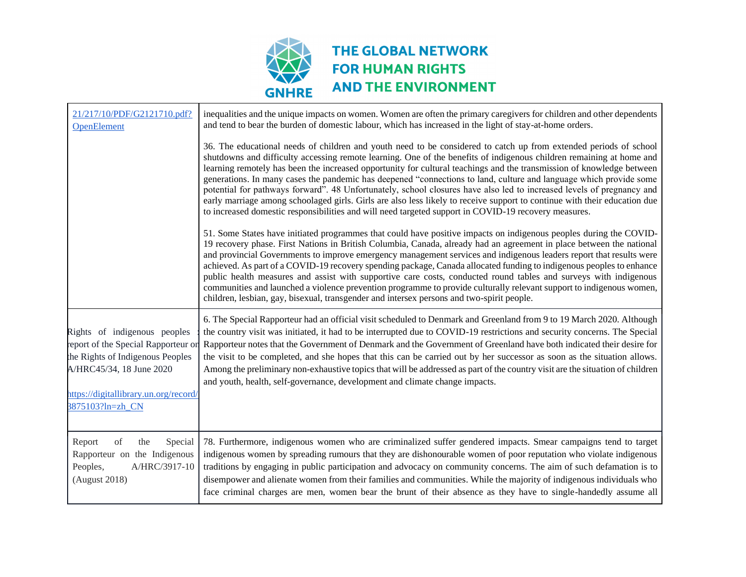

| 21/217/10/PDF/G2121710.pdf?<br><b>OpenElement</b>                                                                                          | inequalities and the unique impacts on women. Women are often the primary caregivers for children and other dependents<br>and tend to bear the burden of domestic labour, which has increased in the light of stay-at-home orders.<br>36. The educational needs of children and youth need to be considered to catch up from extended periods of school                                                                                                                                                                                                                                                                                                                                                                                                                                                                            |
|--------------------------------------------------------------------------------------------------------------------------------------------|------------------------------------------------------------------------------------------------------------------------------------------------------------------------------------------------------------------------------------------------------------------------------------------------------------------------------------------------------------------------------------------------------------------------------------------------------------------------------------------------------------------------------------------------------------------------------------------------------------------------------------------------------------------------------------------------------------------------------------------------------------------------------------------------------------------------------------|
|                                                                                                                                            | shutdowns and difficulty accessing remote learning. One of the benefits of indigenous children remaining at home and<br>learning remotely has been the increased opportunity for cultural teachings and the transmission of knowledge between<br>generations. In many cases the pandemic has deepened "connections to land, culture and language which provide some<br>potential for pathways forward". 48 Unfortunately, school closures have also led to increased levels of pregnancy and<br>early marriage among schoolaged girls. Girls are also less likely to receive support to continue with their education due<br>to increased domestic responsibilities and will need targeted support in COVID-19 recovery measures.                                                                                                  |
|                                                                                                                                            | 51. Some States have initiated programmes that could have positive impacts on indigenous peoples during the COVID-<br>19 recovery phase. First Nations in British Columbia, Canada, already had an agreement in place between the national<br>and provincial Governments to improve emergency management services and indigenous leaders report that results were<br>achieved. As part of a COVID-19 recovery spending package, Canada allocated funding to indigenous peoples to enhance<br>public health measures and assist with supportive care costs, conducted round tables and surveys with indigenous<br>communities and launched a violence prevention programme to provide culturally relevant support to indigenous women,<br>children, lesbian, gay, bisexual, transgender and intersex persons and two-spirit people. |
| Rights of indigenous peoples<br>report of the Special Rapporteur or<br>the Rights of Indigenous Peoples<br>A/HRC45/34, 18 June 2020        | 6. The Special Rapporteur had an official visit scheduled to Denmark and Greenland from 9 to 19 March 2020. Although<br>the country visit was initiated, it had to be interrupted due to COVID-19 restrictions and security concerns. The Special<br>Rapporteur notes that the Government of Denmark and the Government of Greenland have both indicated their desire for<br>the visit to be completed, and she hopes that this can be carried out by her successor as soon as the situation allows.<br>Among the preliminary non-exhaustive topics that will be addressed as part of the country visit are the situation of children<br>and youth, health, self-governance, development and climate change impacts.                                                                                                               |
| nttps://digitallibrary.un.org/record/<br>3875103?ln=zh CN                                                                                  |                                                                                                                                                                                                                                                                                                                                                                                                                                                                                                                                                                                                                                                                                                                                                                                                                                    |
| Special<br>Report<br>$% \left( \mathcal{A}\right)$ of<br>the<br>Rapporteur on the Indigenous<br>Peoples,<br>A/HRC/3917-10<br>(August 2018) | 78. Furthermore, indigenous women who are criminalized suffer gendered impacts. Smear campaigns tend to target<br>indigenous women by spreading rumours that they are dishonourable women of poor reputation who violate indigenous<br>traditions by engaging in public participation and advocacy on community concerns. The aim of such defamation is to<br>disempower and alienate women from their families and communities. While the majority of indigenous individuals who<br>face criminal charges are men, women bear the brunt of their absence as they have to single-handedly assume all                                                                                                                                                                                                                               |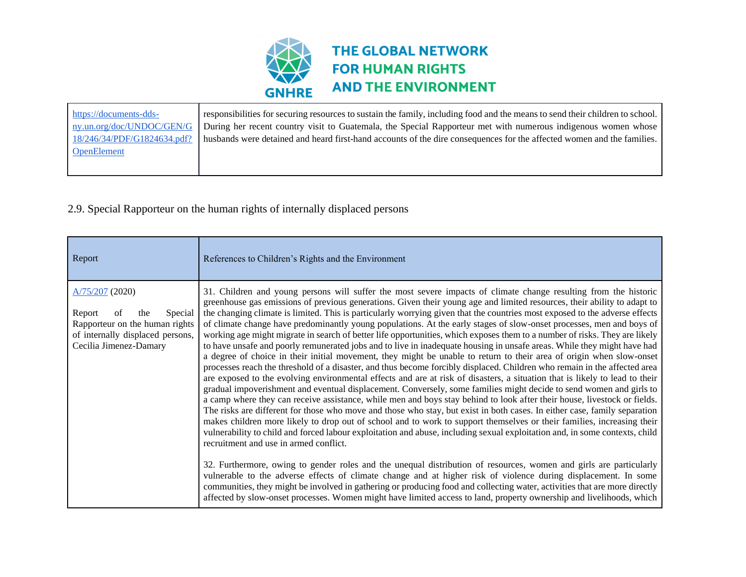

| https://documents-dds-      | responsibilities for securing resources to sustain the family, including food and the means to send their children to school. |
|-----------------------------|-------------------------------------------------------------------------------------------------------------------------------|
| ny.un.org/doc/UNDOC/GEN/G   | During her recent country visit to Guatemala, the Special Rapporteur met with numerous indigenous women whose                 |
| 18/246/34/PDF/G1824634.pdf? | husbands were detained and heard first-hand accounts of the dire consequences for the affected women and the families.        |
| <b>OpenElement</b>          |                                                                                                                               |
|                             |                                                                                                                               |
|                             |                                                                                                                               |

## 2.9. Special Rapporteur on the human rights of internally displaced persons

| Report                                                                                                                                              | References to Children's Rights and the Environment                                                                                                                                                                                                                                                                                                                                                                                                                                                                                                                                                                                                                                                                                                                                                                                                                                                                                                                                                                                                                                                                                                                                                                                                                                                                                                                                                                                                                                                                                                                                                                                                                                                                                                                                                                                 |
|-----------------------------------------------------------------------------------------------------------------------------------------------------|-------------------------------------------------------------------------------------------------------------------------------------------------------------------------------------------------------------------------------------------------------------------------------------------------------------------------------------------------------------------------------------------------------------------------------------------------------------------------------------------------------------------------------------------------------------------------------------------------------------------------------------------------------------------------------------------------------------------------------------------------------------------------------------------------------------------------------------------------------------------------------------------------------------------------------------------------------------------------------------------------------------------------------------------------------------------------------------------------------------------------------------------------------------------------------------------------------------------------------------------------------------------------------------------------------------------------------------------------------------------------------------------------------------------------------------------------------------------------------------------------------------------------------------------------------------------------------------------------------------------------------------------------------------------------------------------------------------------------------------------------------------------------------------------------------------------------------------|
| $A/75/207$ (2020)<br>Report<br>Special<br>of<br>the<br>Rapporteur on the human rights<br>of internally displaced persons,<br>Cecilia Jimenez-Damary | 31. Children and young persons will suffer the most severe impacts of climate change resulting from the historic<br>greenhouse gas emissions of previous generations. Given their young age and limited resources, their ability to adapt to<br>the changing climate is limited. This is particularly worrying given that the countries most exposed to the adverse effects<br>of climate change have predominantly young populations. At the early stages of slow-onset processes, men and boys of<br>working age might migrate in search of better life opportunities, which exposes them to a number of risks. They are likely<br>to have unsafe and poorly remunerated jobs and to live in inadequate housing in unsafe areas. While they might have had<br>a degree of choice in their initial movement, they might be unable to return to their area of origin when slow-onset<br>processes reach the threshold of a disaster, and thus become forcibly displaced. Children who remain in the affected area<br>are exposed to the evolving environmental effects and are at risk of disasters, a situation that is likely to lead to their<br>gradual impoverishment and eventual displacement. Conversely, some families might decide to send women and girls to<br>a camp where they can receive assistance, while men and boys stay behind to look after their house, livestock or fields.<br>The risks are different for those who move and those who stay, but exist in both cases. In either case, family separation<br>makes children more likely to drop out of school and to work to support themselves or their families, increasing their<br>vulnerability to child and forced labour exploitation and abuse, including sexual exploitation and, in some contexts, child<br>recruitment and use in armed conflict. |
|                                                                                                                                                     | 32. Furthermore, owing to gender roles and the unequal distribution of resources, women and girls are particularly<br>vulnerable to the adverse effects of climate change and at higher risk of violence during displacement. In some<br>communities, they might be involved in gathering or producing food and collecting water, activities that are more directly<br>affected by slow-onset processes. Women might have limited access to land, property ownership and livelihoods, which                                                                                                                                                                                                                                                                                                                                                                                                                                                                                                                                                                                                                                                                                                                                                                                                                                                                                                                                                                                                                                                                                                                                                                                                                                                                                                                                         |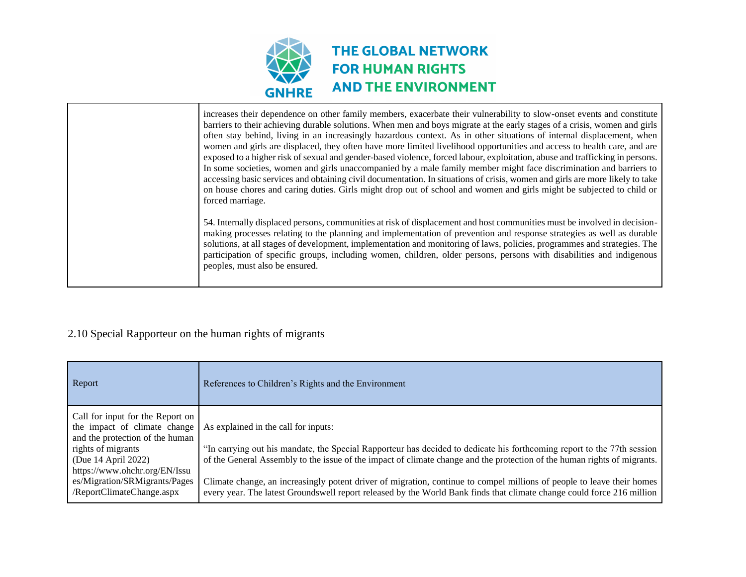

| increases their dependence on other family members, exacerbate their vulnerability to slow-onset events and constitute<br>barriers to their achieving durable solutions. When men and boys migrate at the early stages of a crisis, women and girls<br>often stay behind, living in an increasingly hazardous context. As in other situations of internal displacement, when<br>women and girls are displaced, they often have more limited livelihood opportunities and access to health care, and are<br>exposed to a higher risk of sexual and gender-based violence, forced labour, exploitation, abuse and trafficking in persons.<br>In some societies, women and girls unaccompanied by a male family member might face discrimination and barriers to<br>accessing basic services and obtaining civil documentation. In situations of crisis, women and girls are more likely to take<br>on house chores and caring duties. Girls might drop out of school and women and girls might be subjected to child or |
|-----------------------------------------------------------------------------------------------------------------------------------------------------------------------------------------------------------------------------------------------------------------------------------------------------------------------------------------------------------------------------------------------------------------------------------------------------------------------------------------------------------------------------------------------------------------------------------------------------------------------------------------------------------------------------------------------------------------------------------------------------------------------------------------------------------------------------------------------------------------------------------------------------------------------------------------------------------------------------------------------------------------------|
| forced marriage.<br>54. Internally displaced persons, communities at risk of displacement and host communities must be involved in decision-<br>making processes relating to the planning and implementation of prevention and response strategies as well as durable                                                                                                                                                                                                                                                                                                                                                                                                                                                                                                                                                                                                                                                                                                                                                 |
| solutions, at all stages of development, implementation and monitoring of laws, policies, programmes and strategies. The<br>participation of specific groups, including women, children, older persons, persons with disabilities and indigenous<br>peoples, must also be ensured.                                                                                                                                                                                                                                                                                                                                                                                                                                                                                                                                                                                                                                                                                                                                    |

### 2.10 Special Rapporteur on the human rights of migrants

| Report                                                                                                                                                                                                                                          | References to Children's Rights and the Environment                                                                                                                                                                                                                                                                                                                                                                                                                                                                                             |
|-------------------------------------------------------------------------------------------------------------------------------------------------------------------------------------------------------------------------------------------------|-------------------------------------------------------------------------------------------------------------------------------------------------------------------------------------------------------------------------------------------------------------------------------------------------------------------------------------------------------------------------------------------------------------------------------------------------------------------------------------------------------------------------------------------------|
| Call for input for the Report on<br>the impact of climate change<br>and the protection of the human<br>rights of migrants<br>(Due 14 April 2022)<br>https://www.ohchr.org/EN/Issu<br>es/Migration/SRMigrants/Pages<br>/ReportClimateChange.aspx | As explained in the call for inputs:<br>"In carrying out his mandate, the Special Rapporteur has decided to dedicate his forthcoming report to the 77th session<br>of the General Assembly to the issue of the impact of climate change and the protection of the human rights of migrants.<br>Climate change, an increasingly potent driver of migration, continue to compel millions of people to leave their homes<br>every year. The latest Groundswell report released by the World Bank finds that climate change could force 216 million |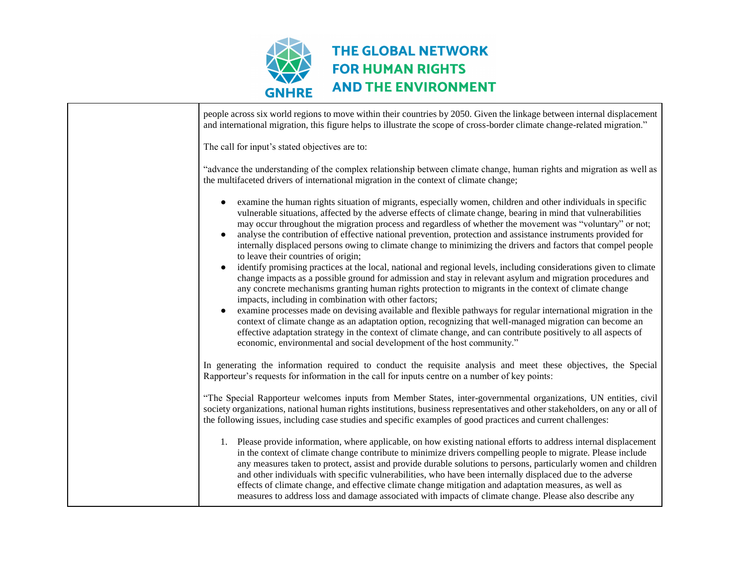

| people across six world regions to move within their countries by 2050. Given the linkage between internal displacement<br>and international migration, this figure helps to illustrate the scope of cross-border climate change-related migration."                                                                                                                                                                                                                                                                                                                                                                                                                                                                                                                                                                                                                                                                                                                                                                                                                                                                                                                                                                                                                                                                                                                                                                                                 |
|------------------------------------------------------------------------------------------------------------------------------------------------------------------------------------------------------------------------------------------------------------------------------------------------------------------------------------------------------------------------------------------------------------------------------------------------------------------------------------------------------------------------------------------------------------------------------------------------------------------------------------------------------------------------------------------------------------------------------------------------------------------------------------------------------------------------------------------------------------------------------------------------------------------------------------------------------------------------------------------------------------------------------------------------------------------------------------------------------------------------------------------------------------------------------------------------------------------------------------------------------------------------------------------------------------------------------------------------------------------------------------------------------------------------------------------------------|
| The call for input's stated objectives are to:                                                                                                                                                                                                                                                                                                                                                                                                                                                                                                                                                                                                                                                                                                                                                                                                                                                                                                                                                                                                                                                                                                                                                                                                                                                                                                                                                                                                       |
| "advance the understanding of the complex relationship between climate change, human rights and migration as well as<br>the multifaceted drivers of international migration in the context of climate change;                                                                                                                                                                                                                                                                                                                                                                                                                                                                                                                                                                                                                                                                                                                                                                                                                                                                                                                                                                                                                                                                                                                                                                                                                                        |
| examine the human rights situation of migrants, especially women, children and other individuals in specific<br>vulnerable situations, affected by the adverse effects of climate change, bearing in mind that vulnerabilities<br>may occur throughout the migration process and regardless of whether the movement was "voluntary" or not;<br>analyse the contribution of effective national prevention, protection and assistance instruments provided for<br>internally displaced persons owing to climate change to minimizing the drivers and factors that compel people<br>to leave their countries of origin;<br>identify promising practices at the local, national and regional levels, including considerations given to climate<br>change impacts as a possible ground for admission and stay in relevant asylum and migration procedures and<br>any concrete mechanisms granting human rights protection to migrants in the context of climate change<br>impacts, including in combination with other factors;<br>examine processes made on devising available and flexible pathways for regular international migration in the<br>context of climate change as an adaptation option, recognizing that well-managed migration can become an<br>effective adaptation strategy in the context of climate change, and can contribute positively to all aspects of<br>economic, environmental and social development of the host community." |
| In generating the information required to conduct the requisite analysis and meet these objectives, the Special<br>Rapporteur's requests for information in the call for inputs centre on a number of key points:                                                                                                                                                                                                                                                                                                                                                                                                                                                                                                                                                                                                                                                                                                                                                                                                                                                                                                                                                                                                                                                                                                                                                                                                                                    |
| "The Special Rapporteur welcomes inputs from Member States, inter-governmental organizations, UN entities, civil<br>society organizations, national human rights institutions, business representatives and other stakeholders, on any or all of<br>the following issues, including case studies and specific examples of good practices and current challenges:                                                                                                                                                                                                                                                                                                                                                                                                                                                                                                                                                                                                                                                                                                                                                                                                                                                                                                                                                                                                                                                                                     |
| 1. Please provide information, where applicable, on how existing national efforts to address internal displacement<br>in the context of climate change contribute to minimize drivers compelling people to migrate. Please include<br>any measures taken to protect, assist and provide durable solutions to persons, particularly women and children<br>and other individuals with specific vulnerabilities, who have been internally displaced due to the adverse<br>effects of climate change, and effective climate change mitigation and adaptation measures, as well as<br>measures to address loss and damage associated with impacts of climate change. Please also describe any                                                                                                                                                                                                                                                                                                                                                                                                                                                                                                                                                                                                                                                                                                                                                             |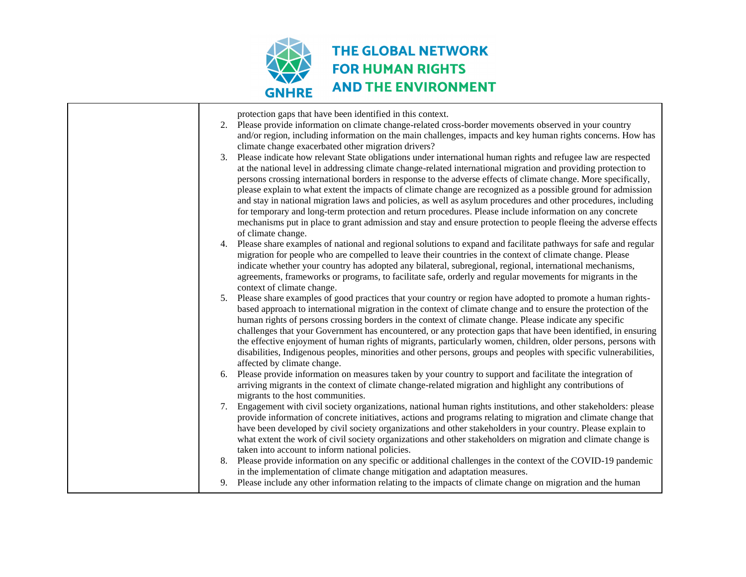

| protection gaps that have been identified in this context.<br>2. Please provide information on climate change-related cross-border movements observed in your country<br>and/or region, including information on the main challenges, impacts and key human rights concerns. How has<br>climate change exacerbated other migration drivers?<br>3. Please indicate how relevant State obligations under international human rights and refugee law are respected<br>at the national level in addressing climate change-related international migration and providing protection to<br>persons crossing international borders in response to the adverse effects of climate change. More specifically,<br>please explain to what extent the impacts of climate change are recognized as a possible ground for admission<br>and stay in national migration laws and policies, as well as asylum procedures and other procedures, including<br>for temporary and long-term protection and return procedures. Please include information on any concrete<br>mechanisms put in place to grant admission and stay and ensure protection to people fleeing the adverse effects |
|------------------------------------------------------------------------------------------------------------------------------------------------------------------------------------------------------------------------------------------------------------------------------------------------------------------------------------------------------------------------------------------------------------------------------------------------------------------------------------------------------------------------------------------------------------------------------------------------------------------------------------------------------------------------------------------------------------------------------------------------------------------------------------------------------------------------------------------------------------------------------------------------------------------------------------------------------------------------------------------------------------------------------------------------------------------------------------------------------------------------------------------------------------------------|
| of climate change.<br>4. Please share examples of national and regional solutions to expand and facilitate pathways for safe and regular<br>migration for people who are compelled to leave their countries in the context of climate change. Please<br>indicate whether your country has adopted any bilateral, subregional, regional, international mechanisms,<br>agreements, frameworks or programs, to facilitate safe, orderly and regular movements for migrants in the<br>context of climate change.                                                                                                                                                                                                                                                                                                                                                                                                                                                                                                                                                                                                                                                           |
| 5. Please share examples of good practices that your country or region have adopted to promote a human rights-<br>based approach to international migration in the context of climate change and to ensure the protection of the<br>human rights of persons crossing borders in the context of climate change. Please indicate any specific<br>challenges that your Government has encountered, or any protection gaps that have been identified, in ensuring<br>the effective enjoyment of human rights of migrants, particularly women, children, older persons, persons with<br>disabilities, Indigenous peoples, minorities and other persons, groups and peoples with specific vulnerabilities,<br>affected by climate change.                                                                                                                                                                                                                                                                                                                                                                                                                                    |
| 6. Please provide information on measures taken by your country to support and facilitate the integration of<br>arriving migrants in the context of climate change-related migration and highlight any contributions of<br>migrants to the host communities.                                                                                                                                                                                                                                                                                                                                                                                                                                                                                                                                                                                                                                                                                                                                                                                                                                                                                                           |
| 7. Engagement with civil society organizations, national human rights institutions, and other stakeholders: please<br>provide information of concrete initiatives, actions and programs relating to migration and climate change that<br>have been developed by civil society organizations and other stakeholders in your country. Please explain to<br>what extent the work of civil society organizations and other stakeholders on migration and climate change is<br>taken into account to inform national policies.                                                                                                                                                                                                                                                                                                                                                                                                                                                                                                                                                                                                                                              |
| 8. Please provide information on any specific or additional challenges in the context of the COVID-19 pandemic<br>in the implementation of climate change mitigation and adaptation measures.                                                                                                                                                                                                                                                                                                                                                                                                                                                                                                                                                                                                                                                                                                                                                                                                                                                                                                                                                                          |
| 9. Please include any other information relating to the impacts of climate change on migration and the human                                                                                                                                                                                                                                                                                                                                                                                                                                                                                                                                                                                                                                                                                                                                                                                                                                                                                                                                                                                                                                                           |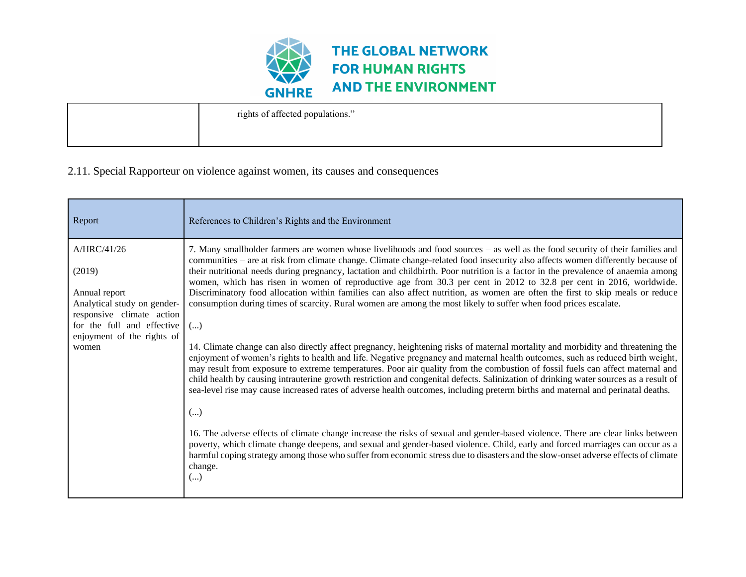

| rights of affected populations." |
|----------------------------------|
|                                  |

### 2.11. Special Rapporteur on violence against women, its causes and consequences

| Report                                                                                             | References to Children's Rights and the Environment                                                                                                                                                                                                                                                                                                                                                                                                                                                                                                                                                                                                                                                                                                                                |
|----------------------------------------------------------------------------------------------------|------------------------------------------------------------------------------------------------------------------------------------------------------------------------------------------------------------------------------------------------------------------------------------------------------------------------------------------------------------------------------------------------------------------------------------------------------------------------------------------------------------------------------------------------------------------------------------------------------------------------------------------------------------------------------------------------------------------------------------------------------------------------------------|
| A/HRC/41/26<br>(2019)<br>Annual report<br>Analytical study on gender-<br>responsive climate action | 7. Many smallholder farmers are women whose livelihoods and food sources – as well as the food security of their families and<br>communities - are at risk from climate change. Climate change-related food insecurity also affects women differently because of<br>their nutritional needs during pregnancy, lactation and childbirth. Poor nutrition is a factor in the prevalence of anaemia among<br>women, which has risen in women of reproductive age from 30.3 per cent in 2012 to 32.8 per cent in 2016, worldwide.<br>Discriminatory food allocation within families can also affect nutrition, as women are often the first to skip meals or reduce<br>consumption during times of scarcity. Rural women are among the most likely to suffer when food prices escalate. |
| for the full and effective<br>enjoyment of the rights of<br>women                                  | $(\ldots)$<br>14. Climate change can also directly affect pregnancy, heightening risks of maternal mortality and morbidity and threatening the<br>enjoyment of women's rights to health and life. Negative pregnancy and maternal health outcomes, such as reduced birth weight,<br>may result from exposure to extreme temperatures. Poor air quality from the combustion of fossil fuels can affect maternal and<br>child health by causing intrauterine growth restriction and congenital defects. Salinization of drinking water sources as a result of<br>sea-level rise may cause increased rates of adverse health outcomes, including preterm births and maternal and perinatal deaths.<br>()                                                                              |
|                                                                                                    | 16. The adverse effects of climate change increase the risks of sexual and gender-based violence. There are clear links between<br>poverty, which climate change deepens, and sexual and gender-based violence. Child, early and forced marriages can occur as a<br>harmful coping strategy among those who suffer from economic stress due to disasters and the slow-onset adverse effects of climate<br>change.<br>()                                                                                                                                                                                                                                                                                                                                                            |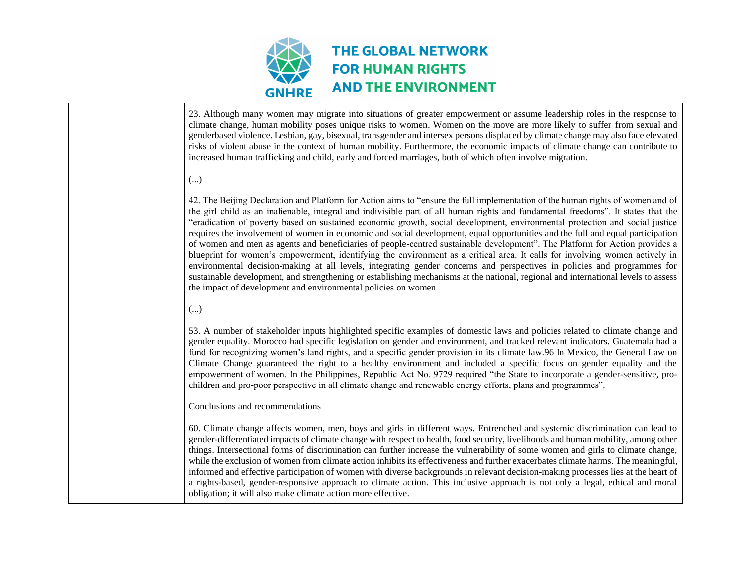

23. Although many women may migrate into situations of greater empowerment or assume leadership roles in the response to climate change, human mobility poses unique risks to women. Women on the move are more likely to suffer from sexual and genderbased violence. Lesbian, gay, bisexual, transgender and intersex persons displaced by climate change may also face elevated risks of violent abuse in the context of human mobility. Furthermore, the economic impacts of climate change can contribute to increased human trafficking and child, early and forced marriages, both of which often involve migration.

#### (...)

42. The Beijing Declaration and Platform for Action aims to "ensure the full implementation of the human rights of women and of the girl child as an inalienable, integral and indivisible part of all human rights and fundamental freedoms". It states that the "eradication of poverty based on sustained economic growth, social development, environmental protection and social justice requires the involvement of women in economic and social development, equal opportunities and the full and equal participation of women and men as agents and beneficiaries of people-centred sustainable development". The Platform for Action provides a blueprint for women's empowerment, identifying the environment as a critical area. It calls for involving women actively in environmental decision-making at all levels, integrating gender concerns and perspectives in policies and programmes for sustainable development, and strengthening or establishing mechanisms at the national, regional and international levels to assess the impact of development and environmental policies on women

#### (...)

53. A number of stakeholder inputs highlighted specific examples of domestic laws and policies related to climate change and gender equality. Morocco had specific legislation on gender and environment, and tracked relevant indicators. Guatemala had a fund for recognizing women's land rights, and a specific gender provision in its climate law.96 In Mexico, the General Law on Climate Change guaranteed the right to a healthy environment and included a specific focus on gender equality and the empowerment of women. In the Philippines, Republic Act No. 9729 required "the State to incorporate a gender-sensitive, prochildren and pro-poor perspective in all climate change and renewable energy efforts, plans and programmes".

#### Conclusions and recommendations

60. Climate change affects women, men, boys and girls in different ways. Entrenched and systemic discrimination can lead to gender-differentiated impacts of climate change with respect to health, food security, livelihoods and human mobility, among other things. Intersectional forms of discrimination can further increase the vulnerability of some women and girls to climate change, while the exclusion of women from climate action inhibits its effectiveness and further exacerbates climate harms. The meaningful, informed and effective participation of women with diverse backgrounds in relevant decision-making processes lies at the heart of a rights-based, gender-responsive approach to climate action. This inclusive approach is not only a legal, ethical and moral obligation; it will also make climate action more effective.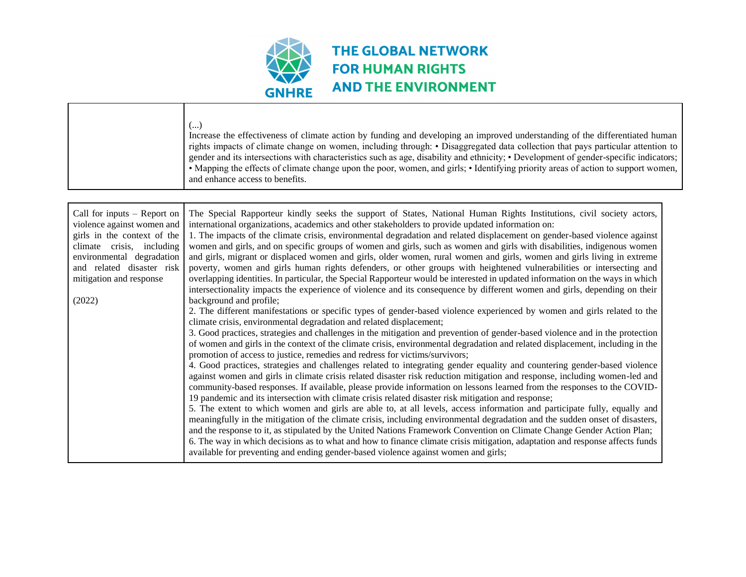

|                                                                                                                                                                                                                        | ()<br>Increase the effectiveness of climate action by funding and developing an improved understanding of the differentiated human<br>rights impacts of climate change on women, including through: • Disaggregated data collection that pays particular attention to<br>gender and its intersections with characteristics such as age, disability and ethnicity; • Development of gender-specific indicators;<br>• Mapping the effects of climate change upon the poor, women, and girls; • Identifying priority areas of action to support women,<br>and enhance access to benefits.                                                                                                                                                                                                                                                                                                                                                                                                                                                                                                                                                                                                                                                                                                                                                                                                                                                                                                                                                                                                                                                                                                                                                                                                                                                                                                                                                                                                                                                                                                                                                                                                                                                                                                                                                                                                                                                                                                                                                                                                                                                                                                 |
|------------------------------------------------------------------------------------------------------------------------------------------------------------------------------------------------------------------------|----------------------------------------------------------------------------------------------------------------------------------------------------------------------------------------------------------------------------------------------------------------------------------------------------------------------------------------------------------------------------------------------------------------------------------------------------------------------------------------------------------------------------------------------------------------------------------------------------------------------------------------------------------------------------------------------------------------------------------------------------------------------------------------------------------------------------------------------------------------------------------------------------------------------------------------------------------------------------------------------------------------------------------------------------------------------------------------------------------------------------------------------------------------------------------------------------------------------------------------------------------------------------------------------------------------------------------------------------------------------------------------------------------------------------------------------------------------------------------------------------------------------------------------------------------------------------------------------------------------------------------------------------------------------------------------------------------------------------------------------------------------------------------------------------------------------------------------------------------------------------------------------------------------------------------------------------------------------------------------------------------------------------------------------------------------------------------------------------------------------------------------------------------------------------------------------------------------------------------------------------------------------------------------------------------------------------------------------------------------------------------------------------------------------------------------------------------------------------------------------------------------------------------------------------------------------------------------------------------------------------------------------------------------------------------------|
| Call for inputs $-$ Report on<br>violence against women and<br>girls in the context of the<br>climate crisis, including<br>environmental degradation<br>and related disaster risk<br>mitigation and response<br>(2022) | The Special Rapporteur kindly seeks the support of States, National Human Rights Institutions, civil society actors,<br>international organizations, academics and other stakeholders to provide updated information on:<br>1. The impacts of the climate crisis, environmental degradation and related displacement on gender-based violence against<br>women and girls, and on specific groups of women and girls, such as women and girls with disabilities, indigenous women<br>and girls, migrant or displaced women and girls, older women, rural women and girls, women and girls living in extreme<br>poverty, women and girls human rights defenders, or other groups with heightened vulnerabilities or intersecting and<br>overlapping identities. In particular, the Special Rapporteur would be interested in updated information on the ways in which<br>intersectionality impacts the experience of violence and its consequence by different women and girls, depending on their<br>background and profile;<br>2. The different manifestations or specific types of gender-based violence experienced by women and girls related to the<br>climate crisis, environmental degradation and related displacement;<br>3. Good practices, strategies and challenges in the mitigation and prevention of gender-based violence and in the protection<br>of women and girls in the context of the climate crisis, environmental degradation and related displacement, including in the<br>promotion of access to justice, remedies and redress for victims/survivors;<br>4. Good practices, strategies and challenges related to integrating gender equality and countering gender-based violence<br>against women and girls in climate crisis related disaster risk reduction mitigation and response, including women-led and<br>community-based responses. If available, please provide information on lessons learned from the responses to the COVID-<br>19 pandemic and its intersection with climate crisis related disaster risk mitigation and response;<br>5. The extent to which women and girls are able to, at all levels, access information and participate fully, equally and<br>meaningfully in the mitigation of the climate crisis, including environmental degradation and the sudden onset of disasters,<br>and the response to it, as stipulated by the United Nations Framework Convention on Climate Change Gender Action Plan;<br>6. The way in which decisions as to what and how to finance climate crisis mitigation, adaptation and response affects funds<br>available for preventing and ending gender-based violence against women and girls; |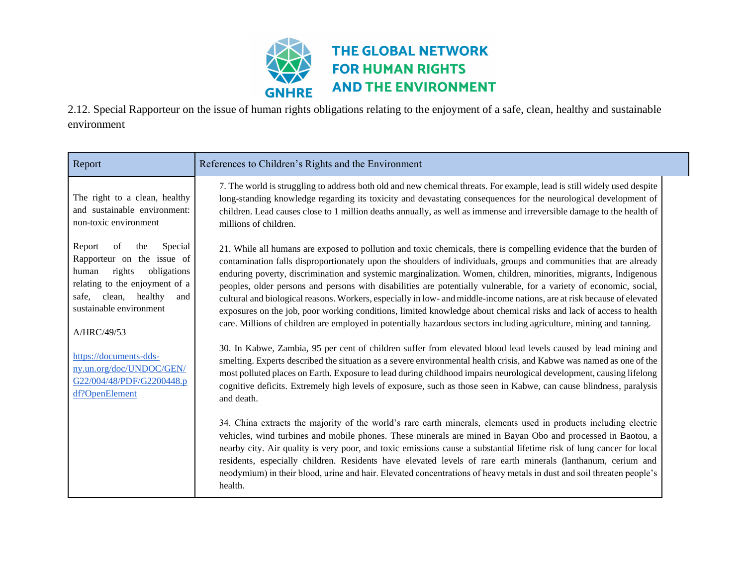

2.12. Special Rapporteur on the issue of human rights obligations relating to the enjoyment of a safe, clean, healthy and sustainable environment

| Report                                                                                                                                                                                                          | References to Children's Rights and the Environment                                                                                                                                                                                                                                                                                                                                                                                                                                                                                                                                                                                                                                                                                                                                                                                                        |
|-----------------------------------------------------------------------------------------------------------------------------------------------------------------------------------------------------------------|------------------------------------------------------------------------------------------------------------------------------------------------------------------------------------------------------------------------------------------------------------------------------------------------------------------------------------------------------------------------------------------------------------------------------------------------------------------------------------------------------------------------------------------------------------------------------------------------------------------------------------------------------------------------------------------------------------------------------------------------------------------------------------------------------------------------------------------------------------|
| The right to a clean, healthy<br>and sustainable environment:<br>non-toxic environment                                                                                                                          | 7. The world is struggling to address both old and new chemical threats. For example, lead is still widely used despite<br>long-standing knowledge regarding its toxicity and devastating consequences for the neurological development of<br>children. Lead causes close to 1 million deaths annually, as well as immense and irreversible damage to the health of<br>millions of children.                                                                                                                                                                                                                                                                                                                                                                                                                                                               |
| Report<br>of<br>the<br>Special<br>Rapporteur on the issue of<br>rights<br>obligations<br>human<br>relating to the enjoyment of a<br>clean,<br>healthy<br>safe,<br>and<br>sustainable environment<br>A/HRC/49/53 | 21. While all humans are exposed to pollution and toxic chemicals, there is compelling evidence that the burden of<br>contamination falls disproportionately upon the shoulders of individuals, groups and communities that are already<br>enduring poverty, discrimination and systemic marginalization. Women, children, minorities, migrants, Indigenous<br>peoples, older persons and persons with disabilities are potentially vulnerable, for a variety of economic, social,<br>cultural and biological reasons. Workers, especially in low- and middle-income nations, are at risk because of elevated<br>exposures on the job, poor working conditions, limited knowledge about chemical risks and lack of access to health<br>care. Millions of children are employed in potentially hazardous sectors including agriculture, mining and tanning. |
| https://documents-dds-<br>ny.un.org/doc/UNDOC/GEN/<br>G22/004/48/PDF/G2200448.p<br>df?OpenElement                                                                                                               | 30. In Kabwe, Zambia, 95 per cent of children suffer from elevated blood lead levels caused by lead mining and<br>smelting. Experts described the situation as a severe environmental health crisis, and Kabwe was named as one of the<br>most polluted places on Earth. Exposure to lead during childhood impairs neurological development, causing lifelong<br>cognitive deficits. Extremely high levels of exposure, such as those seen in Kabwe, can cause blindness, paralysis<br>and death.                                                                                                                                                                                                                                                                                                                                                          |
|                                                                                                                                                                                                                 | 34. China extracts the majority of the world's rare earth minerals, elements used in products including electric<br>vehicles, wind turbines and mobile phones. These minerals are mined in Bayan Obo and processed in Baotou, a<br>nearby city. Air quality is very poor, and toxic emissions cause a substantial lifetime risk of lung cancer for local<br>residents, especially children. Residents have elevated levels of rare earth minerals (lanthanum, cerium and<br>neodymium) in their blood, urine and hair. Elevated concentrations of heavy metals in dust and soil threaten people's<br>health.                                                                                                                                                                                                                                               |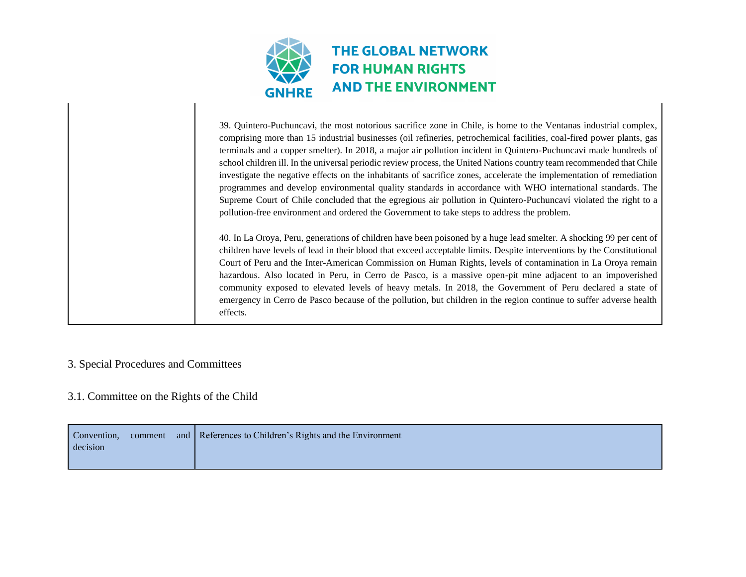

39. Quintero-Puchuncaví, the most notorious sacrifice zone in Chile, is home to the Ventanas industrial complex, comprising more than 15 industrial businesses (oil refineries, petrochemical facilities, coal-fired power plants, gas terminals and a copper smelter). In 2018, a major air pollution incident in Quintero-Puchuncaví made hundreds of school children ill. In the universal periodic review process, the United Nations country team recommended that Chile investigate the negative effects on the inhabitants of sacrifice zones, accelerate the implementation of remediation programmes and develop environmental quality standards in accordance with WHO international standards. The Supreme Court of Chile concluded that the egregious air pollution in Quintero-Puchuncaví violated the right to a pollution-free environment and ordered the Government to take steps to address the problem.

40. In La Oroya, Peru, generations of children have been poisoned by a huge lead smelter. A shocking 99 per cent of children have levels of lead in their blood that exceed acceptable limits. Despite interventions by the Constitutional Court of Peru and the Inter-American Commission on Human Rights, levels of contamination in La Oroya remain hazardous. Also located in Peru, in Cerro de Pasco, is a massive open-pit mine adjacent to an impoverished community exposed to elevated levels of heavy metals. In 2018, the Government of Peru declared a state of emergency in Cerro de Pasco because of the pollution, but children in the region continue to suffer adverse health effects.

### 3. Special Procedures and Committees

#### 3.1. Committee on the Rights of the Child

| Convention, | comment | and References to Children's Rights and the Environment |
|-------------|---------|---------------------------------------------------------|
| decision    |         |                                                         |
|             |         |                                                         |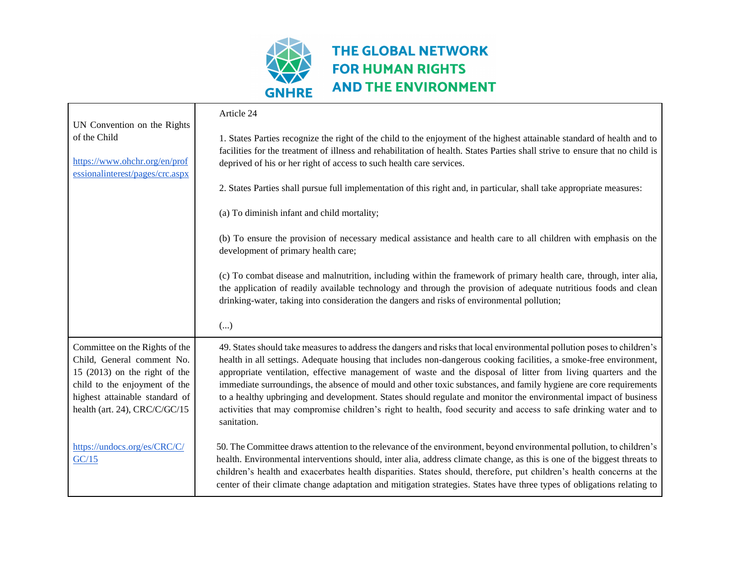

 $\blacksquare$ 

|                                                                                                                                                                                                     | Article 24                                                                                                                                                                                                                                                                                                                                                                                                                                                                                                                                                                                                                                                                                                                                   |
|-----------------------------------------------------------------------------------------------------------------------------------------------------------------------------------------------------|----------------------------------------------------------------------------------------------------------------------------------------------------------------------------------------------------------------------------------------------------------------------------------------------------------------------------------------------------------------------------------------------------------------------------------------------------------------------------------------------------------------------------------------------------------------------------------------------------------------------------------------------------------------------------------------------------------------------------------------------|
| UN Convention on the Rights                                                                                                                                                                         |                                                                                                                                                                                                                                                                                                                                                                                                                                                                                                                                                                                                                                                                                                                                              |
| of the Child                                                                                                                                                                                        | 1. States Parties recognize the right of the child to the enjoyment of the highest attainable standard of health and to                                                                                                                                                                                                                                                                                                                                                                                                                                                                                                                                                                                                                      |
|                                                                                                                                                                                                     | facilities for the treatment of illness and rehabilitation of health. States Parties shall strive to ensure that no child is                                                                                                                                                                                                                                                                                                                                                                                                                                                                                                                                                                                                                 |
| https://www.ohchr.org/en/prof<br>essionalinterest/pages/crc.aspx                                                                                                                                    | deprived of his or her right of access to such health care services.                                                                                                                                                                                                                                                                                                                                                                                                                                                                                                                                                                                                                                                                         |
|                                                                                                                                                                                                     | 2. States Parties shall pursue full implementation of this right and, in particular, shall take appropriate measures:                                                                                                                                                                                                                                                                                                                                                                                                                                                                                                                                                                                                                        |
|                                                                                                                                                                                                     | (a) To diminish infant and child mortality;                                                                                                                                                                                                                                                                                                                                                                                                                                                                                                                                                                                                                                                                                                  |
|                                                                                                                                                                                                     | (b) To ensure the provision of necessary medical assistance and health care to all children with emphasis on the<br>development of primary health care;                                                                                                                                                                                                                                                                                                                                                                                                                                                                                                                                                                                      |
|                                                                                                                                                                                                     | (c) To combat disease and malnutrition, including within the framework of primary health care, through, inter alia,<br>the application of readily available technology and through the provision of adequate nutritious foods and clean<br>drinking-water, taking into consideration the dangers and risks of environmental pollution;                                                                                                                                                                                                                                                                                                                                                                                                       |
|                                                                                                                                                                                                     | ()                                                                                                                                                                                                                                                                                                                                                                                                                                                                                                                                                                                                                                                                                                                                           |
| Committee on the Rights of the<br>Child, General comment No.<br>15 $(2013)$ on the right of the<br>child to the enjoyment of the<br>highest attainable standard of<br>health (art. 24), CRC/C/GC/15 | 49. States should take measures to address the dangers and risks that local environmental pollution poses to children's<br>health in all settings. Adequate housing that includes non-dangerous cooking facilities, a smoke-free environment,<br>appropriate ventilation, effective management of waste and the disposal of litter from living quarters and the<br>immediate surroundings, the absence of mould and other toxic substances, and family hygiene are core requirements<br>to a healthy upbringing and development. States should regulate and monitor the environmental impact of business<br>activities that may compromise children's right to health, food security and access to safe drinking water and to<br>sanitation. |
| https://undocs.org/es/CRC/C/<br>GC/15                                                                                                                                                               | 50. The Committee draws attention to the relevance of the environment, beyond environmental pollution, to children's<br>health. Environmental interventions should, inter alia, address climate change, as this is one of the biggest threats to<br>children's health and exacerbates health disparities. States should, therefore, put children's health concerns at the<br>center of their climate change adaptation and mitigation strategies. States have three types of obligations relating to                                                                                                                                                                                                                                         |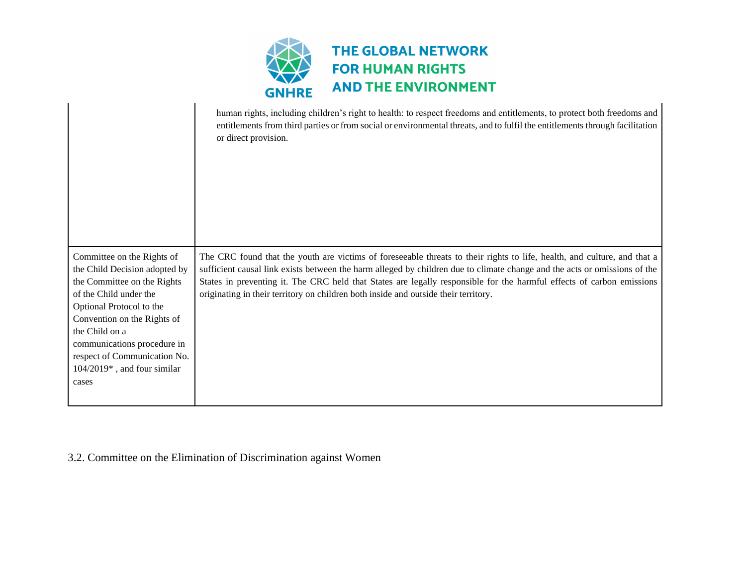

|                                                                                                                                                                                                                                                                                                          | human rights, including children's right to health: to respect freedoms and entitlements, to protect both freedoms and<br>entitlements from third parties or from social or environmental threats, and to fulfil the entitlements through facilitation<br>or direct provision.                                                                                                                                                                                        |
|----------------------------------------------------------------------------------------------------------------------------------------------------------------------------------------------------------------------------------------------------------------------------------------------------------|-----------------------------------------------------------------------------------------------------------------------------------------------------------------------------------------------------------------------------------------------------------------------------------------------------------------------------------------------------------------------------------------------------------------------------------------------------------------------|
| Committee on the Rights of<br>the Child Decision adopted by<br>the Committee on the Rights<br>of the Child under the<br>Optional Protocol to the<br>Convention on the Rights of<br>the Child on a<br>communications procedure in<br>respect of Communication No.<br>104/2019*, and four similar<br>cases | The CRC found that the youth are victims of foreseeable threats to their rights to life, health, and culture, and that a<br>sufficient causal link exists between the harm alleged by children due to climate change and the acts or omissions of the<br>States in preventing it. The CRC held that States are legally responsible for the harmful effects of carbon emissions<br>originating in their territory on children both inside and outside their territory. |

## 3.2. Committee on the Elimination of Discrimination against Women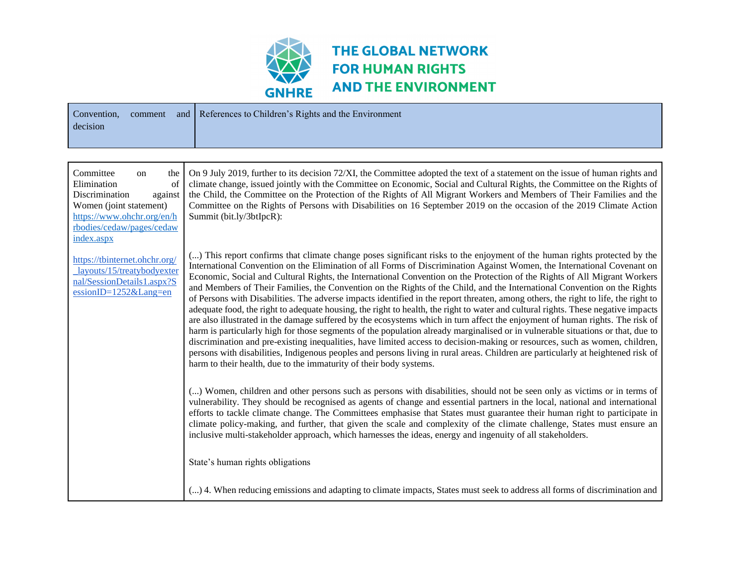

| Convention,<br>comment<br>and<br>decision                                                                                                                                    | References to Children's Rights and the Environment                                                                                                                                                                                                                                                                                                                                                                                                                                                                                                                                                                                                                                                                                                                                                                                                                                                                                                                                                                                                                                                                                                                                                                                                                                                                                                                                                   |
|------------------------------------------------------------------------------------------------------------------------------------------------------------------------------|-------------------------------------------------------------------------------------------------------------------------------------------------------------------------------------------------------------------------------------------------------------------------------------------------------------------------------------------------------------------------------------------------------------------------------------------------------------------------------------------------------------------------------------------------------------------------------------------------------------------------------------------------------------------------------------------------------------------------------------------------------------------------------------------------------------------------------------------------------------------------------------------------------------------------------------------------------------------------------------------------------------------------------------------------------------------------------------------------------------------------------------------------------------------------------------------------------------------------------------------------------------------------------------------------------------------------------------------------------------------------------------------------------|
|                                                                                                                                                                              |                                                                                                                                                                                                                                                                                                                                                                                                                                                                                                                                                                                                                                                                                                                                                                                                                                                                                                                                                                                                                                                                                                                                                                                                                                                                                                                                                                                                       |
| Committee<br>the<br>on<br>Elimination<br>of<br>Discrimination<br>against<br>Women (joint statement)<br>https://www.ohchr.org/en/h<br>rbodies/cedaw/pages/cedaw<br>index.aspx | On 9 July 2019, further to its decision 72/XI, the Committee adopted the text of a statement on the issue of human rights and<br>climate change, issued jointly with the Committee on Economic, Social and Cultural Rights, the Committee on the Rights of<br>the Child, the Committee on the Protection of the Rights of All Migrant Workers and Members of Their Families and the<br>Committee on the Rights of Persons with Disabilities on 16 September 2019 on the occasion of the 2019 Climate Action<br>Summit (bit.ly/3btIpcR):                                                                                                                                                                                                                                                                                                                                                                                                                                                                                                                                                                                                                                                                                                                                                                                                                                                               |
| https://tbinternet.ohchr.org/<br>layouts/15/treatybodyexter<br>nal/SessionDetails1.aspx?S<br>$e$ ssionID=1252⟪=en                                                            | () This report confirms that climate change poses significant risks to the enjoyment of the human rights protected by the<br>International Convention on the Elimination of all Forms of Discrimination Against Women, the International Covenant on<br>Economic, Social and Cultural Rights, the International Convention on the Protection of the Rights of All Migrant Workers<br>and Members of Their Families, the Convention on the Rights of the Child, and the International Convention on the Rights<br>of Persons with Disabilities. The adverse impacts identified in the report threaten, among others, the right to life, the right to<br>adequate food, the right to adequate housing, the right to health, the right to water and cultural rights. These negative impacts<br>are also illustrated in the damage suffered by the ecosystems which in turn affect the enjoyment of human rights. The risk of<br>harm is particularly high for those segments of the population already marginalised or in vulnerable situations or that, due to<br>discrimination and pre-existing inequalities, have limited access to decision-making or resources, such as women, children,<br>persons with disabilities, Indigenous peoples and persons living in rural areas. Children are particularly at heightened risk of<br>harm to their health, due to the immaturity of their body systems. |
|                                                                                                                                                                              | () Women, children and other persons such as persons with disabilities, should not be seen only as victims or in terms of<br>vulnerability. They should be recognised as agents of change and essential partners in the local, national and international<br>efforts to tackle climate change. The Committees emphasise that States must guarantee their human right to participate in<br>climate policy-making, and further, that given the scale and complexity of the climate challenge, States must ensure an<br>inclusive multi-stakeholder approach, which harnesses the ideas, energy and ingenuity of all stakeholders.                                                                                                                                                                                                                                                                                                                                                                                                                                                                                                                                                                                                                                                                                                                                                                       |
|                                                                                                                                                                              | State's human rights obligations                                                                                                                                                                                                                                                                                                                                                                                                                                                                                                                                                                                                                                                                                                                                                                                                                                                                                                                                                                                                                                                                                                                                                                                                                                                                                                                                                                      |
|                                                                                                                                                                              | () 4. When reducing emissions and adapting to climate impacts, States must seek to address all forms of discrimination and                                                                                                                                                                                                                                                                                                                                                                                                                                                                                                                                                                                                                                                                                                                                                                                                                                                                                                                                                                                                                                                                                                                                                                                                                                                                            |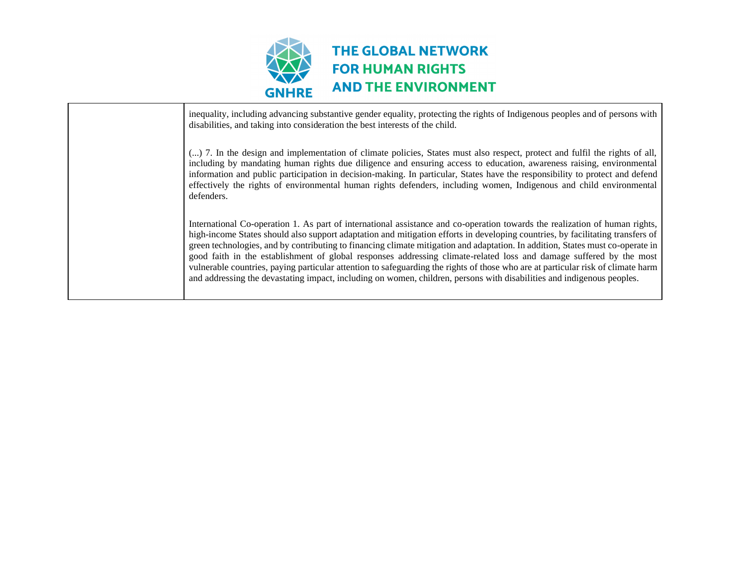

inequality, including advancing substantive gender equality, protecting the rights of Indigenous peoples and of persons with disabilities, and taking into consideration the best interests of the child. (...) 7. In the design and implementation of climate policies, States must also respect, protect and fulfil the rights of all, including by mandating human rights due diligence and ensuring access to education, awareness raising, environmental information and public participation in decision-making. In particular, States have the responsibility to protect and defend effectively the rights of environmental human rights defenders, including women, Indigenous and child environmental defenders. International Co-operation 1. As part of international assistance and co-operation towards the realization of human rights, high-income States should also support adaptation and mitigation efforts in developing countries, by facilitating transfers of green technologies, and by contributing to financing climate mitigation and adaptation. In addition, States must co-operate in good faith in the establishment of global responses addressing climate-related loss and damage suffered by the most vulnerable countries, paying particular attention to safeguarding the rights of those who are at particular risk of climate harm and addressing the devastating impact, including on women, children, persons with disabilities and indigenous peoples.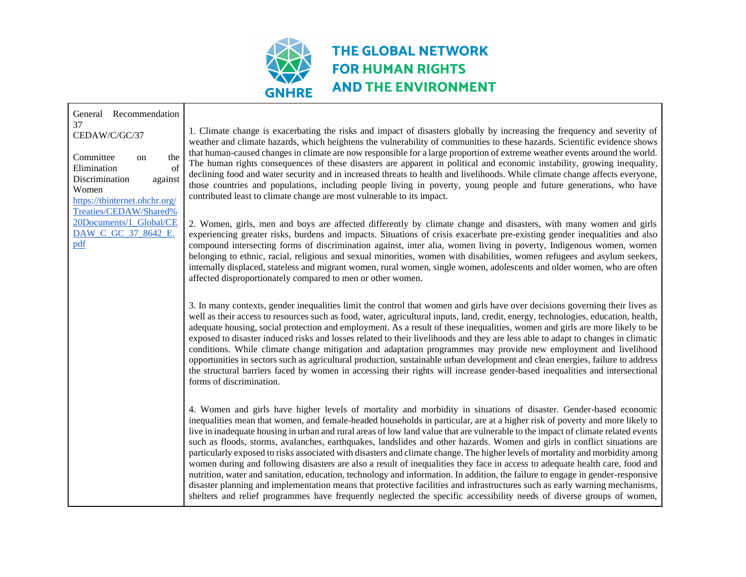

## THE GLOBAL NETWORK **FOR HUMAN RIGHTS AND THE ENVIRONMENT**

| General Recommendation<br>37<br>CEDAW/C/GC/37<br>the<br>Committee<br>on<br>Elimination<br>of<br>Discrimination<br>against<br>Women<br>https://tbinternet.ohchr.org/<br>Treaties/CEDAW/Shared%<br>20Documents/1_Global/CE<br>DAW C GC 37 8642 E.<br>pdf | 1. Climate change is exacerbating the risks and impact of disasters globally by increasing the frequency and severity of<br>weather and climate hazards, which heightens the vulnerability of communities to these hazards. Scientific evidence show<br>that human-caused changes in climate are now responsible for a large proportion of extreme weather events around the world<br>The human rights consequences of these disasters are apparent in political and economic instability, growing inequality<br>declining food and water security and in increased threats to health and livelihoods. While climate change affects everyone<br>those countries and populations, including people living in poverty, young people and future generations, who have<br>contributed least to climate change are most vulnerable to its impact.<br>2. Women, girls, men and boys are affected differently by climate change and disasters, with many women and girls<br>experiencing greater risks, burdens and impacts. Situations of crisis exacerbate pre-existing gender inequalities and also<br>compound intersecting forms of discrimination against, inter alia, women living in poverty, Indigenous women, women<br>belonging to ethnic, racial, religious and sexual minorities, women with disabilities, women refugees and asylum seekers<br>internally displaced, stateless and migrant women, rural women, single women, adolescents and older women, who are often<br>affected disproportionately compared to men or other women.<br>3. In many contexts, gender inequalities limit the control that women and girls have over decisions governing their lives as<br>well as their access to resources such as food, water, agricultural inputs, land, credit, energy, technologies, education, health |
|--------------------------------------------------------------------------------------------------------------------------------------------------------------------------------------------------------------------------------------------------------|--------------------------------------------------------------------------------------------------------------------------------------------------------------------------------------------------------------------------------------------------------------------------------------------------------------------------------------------------------------------------------------------------------------------------------------------------------------------------------------------------------------------------------------------------------------------------------------------------------------------------------------------------------------------------------------------------------------------------------------------------------------------------------------------------------------------------------------------------------------------------------------------------------------------------------------------------------------------------------------------------------------------------------------------------------------------------------------------------------------------------------------------------------------------------------------------------------------------------------------------------------------------------------------------------------------------------------------------------------------------------------------------------------------------------------------------------------------------------------------------------------------------------------------------------------------------------------------------------------------------------------------------------------------------------------------------------------------------------------------------------------------------------------------------------------------------|
|                                                                                                                                                                                                                                                        | adequate housing, social protection and employment. As a result of these inequalities, women and girls are more likely to be<br>exposed to disaster induced risks and losses related to their livelihoods and they are less able to adapt to changes in climatic<br>conditions. While climate change mitigation and adaptation programmes may provide new employment and livelihood<br>opportunities in sectors such as agricultural production, sustainable urban development and clean energies, failure to addres<br>the structural barriers faced by women in accessing their rights will increase gender-based inequalities and intersectional<br>forms of discrimination.                                                                                                                                                                                                                                                                                                                                                                                                                                                                                                                                                                                                                                                                                                                                                                                                                                                                                                                                                                                                                                                                                                                                    |
|                                                                                                                                                                                                                                                        | 4. Women and girls have higher levels of mortality and morbidity in situations of disaster. Gender-based economic<br>inequalities mean that women, and female-headed households in particular, are at a higher risk of poverty and more likely to<br>live in inadequate housing in urban and rural areas of low land value that are vulnerable to the impact of climate related event.<br>such as floods, storms, avalanches, earthquakes, landslides and other hazards. Women and girls in conflict situations are<br>particularly exposed to risks associated with disasters and climate change. The higher levels of mortality and morbidity among<br>women during and following disasters are also a result of inequalities they face in access to adequate health care, food and<br>nutrition, water and sanitation, education, technology and information. In addition, the failure to engage in gender-responsive<br>disaster planning and implementation means that protective facilities and infrastructures such as early warning mechanisms<br>shelters and relief programmes have frequently neglected the specific accessibility needs of diverse groups of women                                                                                                                                                                                                                                                                                                                                                                                                                                                                                                                                                                                                                                     |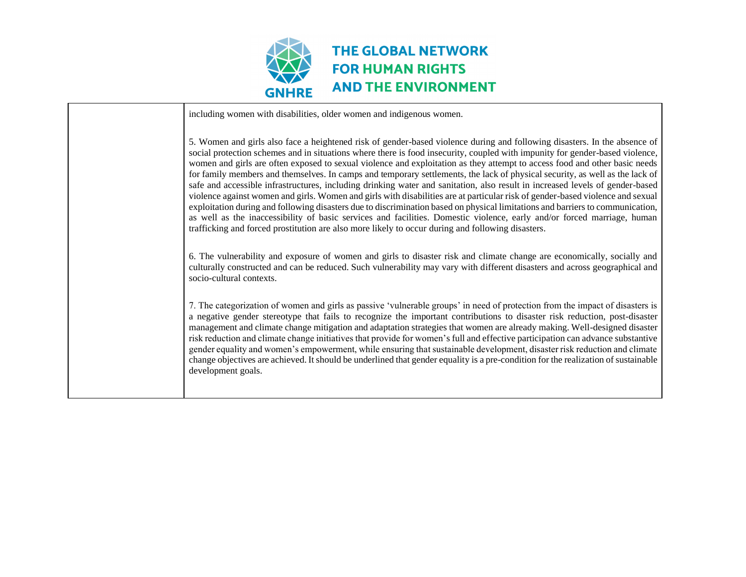

including women with disabilities, older women and indigenous women.

5. Women and girls also face a heightened risk of gender-based violence during and following disasters. In the absence of social protection schemes and in situations where there is food insecurity, coupled with impunity for gender-based violence, women and girls are often exposed to sexual violence and exploitation as they attempt to access food and other basic needs for family members and themselves. In camps and temporary settlements, the lack of physical security, as well as the lack of safe and accessible infrastructures, including drinking water and sanitation, also result in increased levels of gender-based violence against women and girls. Women and girls with disabilities are at particular risk of gender-based violence and sexual exploitation during and following disasters due to discrimination based on physical limitations and barriers to communication, as well as the inaccessibility of basic services and facilities. Domestic violence, early and/or forced marriage, human trafficking and forced prostitution are also more likely to occur during and following disasters.

6. The vulnerability and exposure of women and girls to disaster risk and climate change are economically, socially and culturally constructed and can be reduced. Such vulnerability may vary with different disasters and across geographical and socio-cultural contexts.

7. The categorization of women and girls as passive 'vulnerable groups' in need of protection from the impact of disasters is a negative gender stereotype that fails to recognize the important contributions to disaster risk reduction, post-disaster management and climate change mitigation and adaptation strategies that women are already making. Well-designed disaster risk reduction and climate change initiatives that provide for women's full and effective participation can advance substantive gender equality and women's empowerment, while ensuring that sustainable development, disaster risk reduction and climate change objectives are achieved. It should be underlined that gender equality is a pre-condition for the realization of sustainable development goals.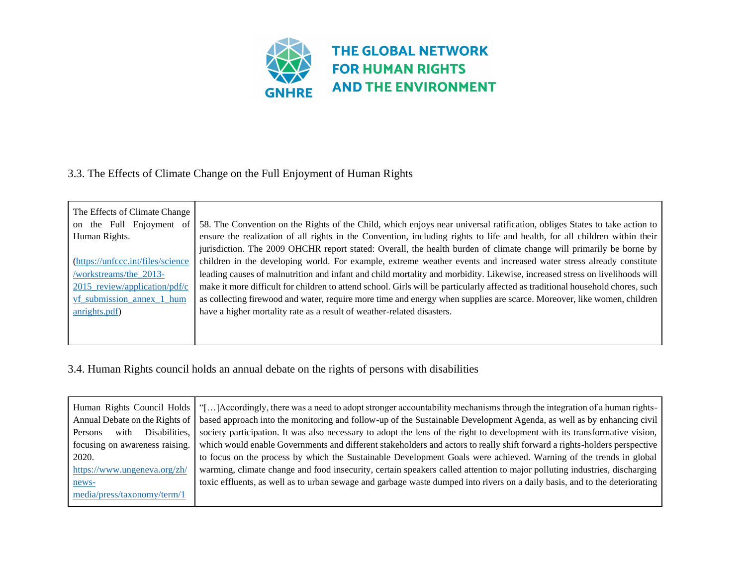

## 3.3. The Effects of Climate Change on the Full Enjoyment of Human Rights

| The Effects of Climate Change     |                                                                                                                                 |
|-----------------------------------|---------------------------------------------------------------------------------------------------------------------------------|
| on the Full Enjoyment of          | 58. The Convention on the Rights of the Child, which enjoys near universal ratification, obliges States to take action to       |
| Human Rights.                     | ensure the realization of all rights in the Convention, including rights to life and health, for all children within their      |
|                                   | jurisdiction. The 2009 OHCHR report stated: Overall, the health burden of climate change will primarily be borne by             |
| (https://unfccc.int/files/science | children in the developing world. For example, extreme weather events and increased water stress already constitute             |
| /workstreams/the_2013-            | leading causes of malnutrition and infant and child mortality and morbidity. Likewise, increased stress on livelihoods will     |
| $2015$ review/application/pdf/c   | make it more difficult for children to attend school. Girls will be particularly affected as traditional household chores, such |
| vf submission annex 1 hum         | as collecting firewood and water, require more time and energy when supplies are scarce. Moreover, like women, children         |
| anrights.pdf)                     | have a higher mortality rate as a result of weather-related disasters.                                                          |
|                                   |                                                                                                                                 |
|                                   |                                                                                                                                 |

## 3.4. Human Rights council holds an annual debate on the rights of persons with disabilities

| Human Rights Council Holds   "[]Accordingly, there was a need to adopt stronger accountability mechanisms through the integration of a human rights- |
|------------------------------------------------------------------------------------------------------------------------------------------------------|
| based approach into the monitoring and follow-up of the Sustainable Development Agenda, as well as by enhancing civil                                |
| society participation. It was also necessary to adopt the lens of the right to development with its transformative vision,                           |
| which would enable Governments and different stakeholders and actors to really shift forward a rights-holders perspective                            |
| to focus on the process by which the Sustainable Development Goals were achieved. Warning of the trends in global                                    |
| warming, climate change and food insecurity, certain speakers called attention to major polluting industries, discharging                            |
| toxic effluents, as well as to urban sewage and garbage waste dumped into rivers on a daily basis, and to the deteriorating                          |
|                                                                                                                                                      |
|                                                                                                                                                      |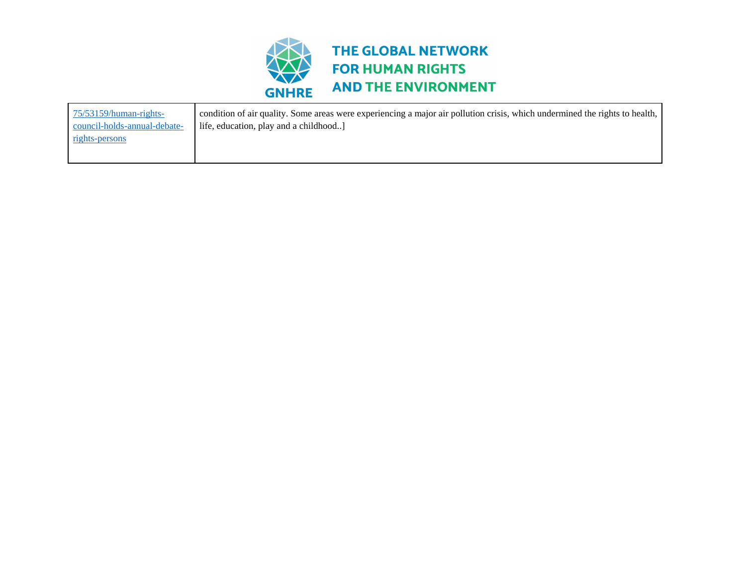

| $75/53159/human-right-$      | condition of air quality. Some areas were experiencing a major air pollution crisis, which undermined the rights to health, |
|------------------------------|-----------------------------------------------------------------------------------------------------------------------------|
| council-holds-annual-debate- | life, education, play and a childhood                                                                                       |
| <u>rights-persons</u>        |                                                                                                                             |
|                              |                                                                                                                             |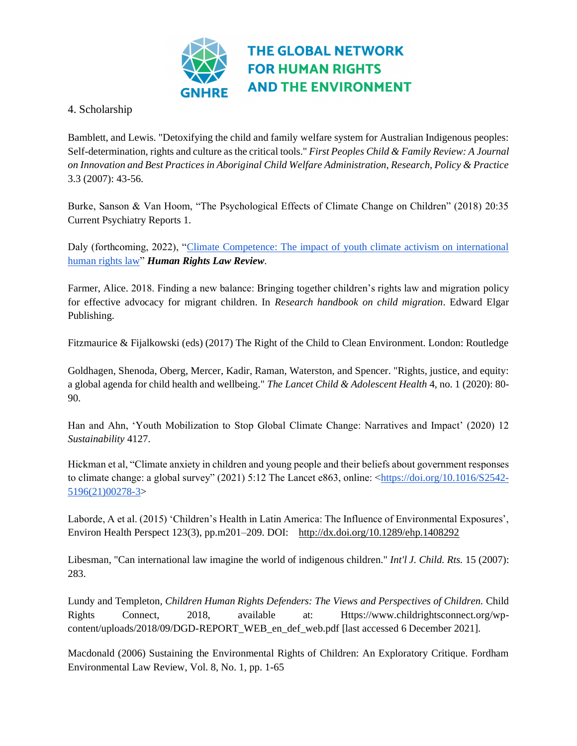

## 4. Scholarship

Bamblett, and Lewis. "Detoxifying the child and family welfare system for Australian Indigenous peoples: Self-determination, rights and culture as the critical tools." *First Peoples Child & Family Review: A Journal on Innovation and Best Practices in Aboriginal Child Welfare Administration, Research, Policy & Practice* 3.3 (2007): 43-56.

Burke, Sanson & Van Hoom, "The Psychological Effects of Climate Change on Children" (2018) 20:35 Current Psychiatry Reports 1.

Daly (forthcoming, 2022), "Climate Competence: The impact of youth climate activism on international [human rights law"](https://ucc-ie.academia.edu/AoifeDaly) *Human Rights Law Review*.

Farmer, Alice. 2018. Finding a new balance: Bringing together children's rights law and migration policy for effective advocacy for migrant children. In *Research handbook on child migration*. Edward Elgar Publishing.

Fitzmaurice & Fijalkowski (eds) (2017) The Right of the Child to Clean Environment. London: Routledge

Goldhagen, Shenoda, Oberg, Mercer, Kadir, Raman, Waterston, and Spencer. "Rights, justice, and equity: a global agenda for child health and wellbeing." *The Lancet Child & Adolescent Health* 4, no. 1 (2020): 80- 90.

Han and Ahn, 'Youth Mobilization to Stop Global Climate Change: Narratives and Impact' (2020) 12 *Sustainability* 4127.

Hickman et al, "Climate anxiety in children and young people and their beliefs about government responses to climate change: a global survey" (2021) 5:12 The Lancet e863, online: [<https://doi.org/10.1016/S2542-](https://doi.org/10.1016/S2542-5196(21)00278-3) [5196\(21\)00278-3>](https://doi.org/10.1016/S2542-5196(21)00278-3)

Laborde, A et al. (2015) 'Children's Health in Latin America: The Influence of Environmental Exposures', Environ Health Perspect 123(3), pp.m201–209. DOI: <http://dx.doi.org/10.1289/ehp.1408292>

Libesman, "Can international law imagine the world of indigenous children." *Int'l J. Child. Rts.* 15 (2007): 283.

Lundy and Templeton*, Children Human Rights Defenders: The Views and Perspectives of Children.* Child Rights Connect, 2018, available at: Https://www.childrightsconnect.org/wpcontent/uploads/2018/09/DGD-REPORT\_WEB\_en\_def\_web.pdf [last accessed 6 December 2021].

Macdonald (2006) Sustaining the Environmental Rights of Children: An Exploratory Critique. Fordham Environmental Law Review, Vol. 8, No. 1, pp. 1-65